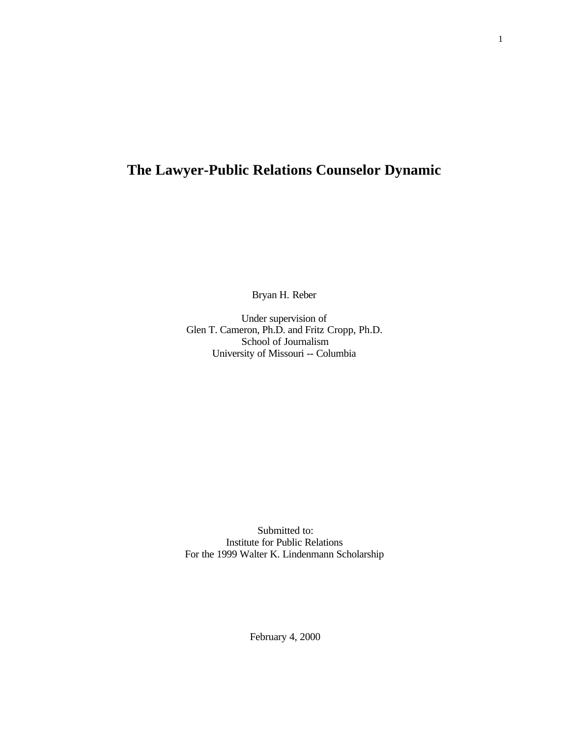# **The Lawyer-Public Relations Counselor Dynamic**

Bryan H. Reber

Under supervision of Glen T. Cameron, Ph.D. and Fritz Cropp, Ph.D. School of Journalism University of Missouri -- Columbia

Submitted to: Institute for Public Relations For the 1999 Walter K. Lindenmann Scholarship

February 4, 2000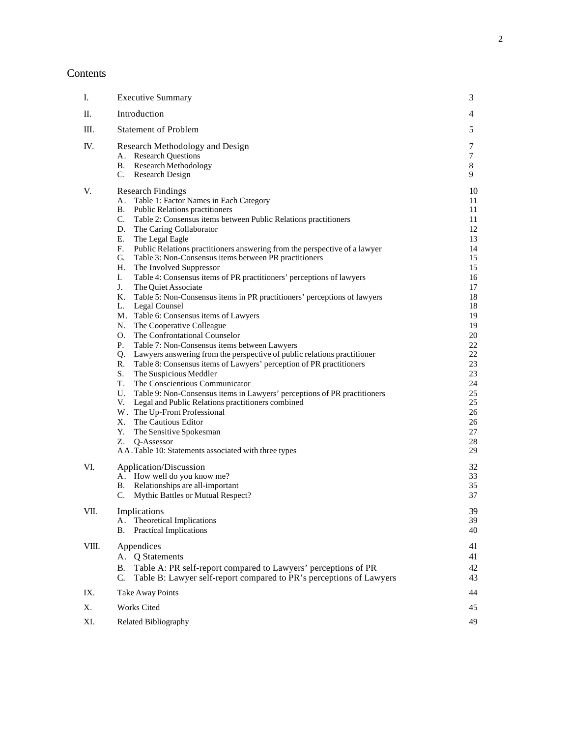# Contents

| I.    | <b>Executive Summary</b>                                                                                                                                                                                                                                                                                                                                                                                                                                                                                                                                                                                                                                                                                                                                                                                                                                                                                                                                                                                                                                                                                                                                                                                                                                                                                                                                                  | 3                                                                                                                                                                    |
|-------|---------------------------------------------------------------------------------------------------------------------------------------------------------------------------------------------------------------------------------------------------------------------------------------------------------------------------------------------------------------------------------------------------------------------------------------------------------------------------------------------------------------------------------------------------------------------------------------------------------------------------------------------------------------------------------------------------------------------------------------------------------------------------------------------------------------------------------------------------------------------------------------------------------------------------------------------------------------------------------------------------------------------------------------------------------------------------------------------------------------------------------------------------------------------------------------------------------------------------------------------------------------------------------------------------------------------------------------------------------------------------|----------------------------------------------------------------------------------------------------------------------------------------------------------------------|
| П.    | Introduction                                                                                                                                                                                                                                                                                                                                                                                                                                                                                                                                                                                                                                                                                                                                                                                                                                                                                                                                                                                                                                                                                                                                                                                                                                                                                                                                                              | 4                                                                                                                                                                    |
| Ш.    | <b>Statement of Problem</b>                                                                                                                                                                                                                                                                                                                                                                                                                                                                                                                                                                                                                                                                                                                                                                                                                                                                                                                                                                                                                                                                                                                                                                                                                                                                                                                                               | 5                                                                                                                                                                    |
| IV.   | Research Methodology and Design<br>A. Research Questions<br><b>B.</b><br>Research Methodology<br>C.<br>Research Design                                                                                                                                                                                                                                                                                                                                                                                                                                                                                                                                                                                                                                                                                                                                                                                                                                                                                                                                                                                                                                                                                                                                                                                                                                                    | 7<br>$\tau$<br>8<br>9                                                                                                                                                |
| V.    | <b>Research Findings</b><br>A. Table 1: Factor Names in Each Category<br>B. Public Relations practitioners<br>C.<br>Table 2: Consensus items between Public Relations practitioners<br>D.<br>The Caring Collaborator<br>Е.<br>The Legal Eagle<br>F.<br>Public Relations practitioners answering from the perspective of a lawyer<br>G.<br>Table 3: Non-Consensus items between PR practitioners<br>Н.<br>The Involved Suppressor<br>I.<br>Table 4: Consensus items of PR practitioners' perceptions of lawyers<br>J.<br>The Quiet Associate<br>Κ.<br>Table 5: Non-Consensus items in PR practitioners' perceptions of lawyers<br>L.<br>Legal Counsel<br>M. Table 6: Consensus items of Lawyers<br>N. The Cooperative Colleague<br>O. The Confrontational Counselor<br>P.<br>Table 7: Non-Consensus items between Lawyers<br>Q. Lawyers answering from the perspective of public relations practitioner<br>R.<br>Table 8: Consensus items of Lawyers' perception of PR practitioners<br>S.<br>The Suspicious Meddler<br>T.<br>The Conscientious Communicator<br>U. Table 9: Non-Consensus items in Lawyers' perceptions of PR practitioners<br>V. Legal and Public Relations practitioners combined<br>W. The Up-Front Professional<br>X. The Cautious Editor<br>Υ.<br>The Sensitive Spokesman<br>Z.<br>Q-Assessor<br>AA. Table 10: Statements associated with three types | 10<br>11<br>11<br>11<br>12<br>13<br>14<br>15<br>15<br>16<br>17<br>18<br>18<br>19<br>19<br>20<br>22<br>22<br>23<br>23<br>24<br>25<br>25<br>26<br>26<br>27<br>28<br>29 |
| VI.   | Application/Discussion<br>A. How well do you know me?<br>Relationships are all-important<br>В.<br>Mythic Battles or Mutual Respect?<br>C.                                                                                                                                                                                                                                                                                                                                                                                                                                                                                                                                                                                                                                                                                                                                                                                                                                                                                                                                                                                                                                                                                                                                                                                                                                 | 32<br>33<br>35<br>37                                                                                                                                                 |
| VII.  | Implications<br>Theoretical Implications<br>А.<br>Practical Implications<br>В.                                                                                                                                                                                                                                                                                                                                                                                                                                                                                                                                                                                                                                                                                                                                                                                                                                                                                                                                                                                                                                                                                                                                                                                                                                                                                            | 39<br>39<br>40                                                                                                                                                       |
| VIII. | Appendices<br>A. Q Statements<br>Table A: PR self-report compared to Lawyers' perceptions of PR<br>В.<br>Table B: Lawyer self-report compared to PR's perceptions of Lawyers<br>C.                                                                                                                                                                                                                                                                                                                                                                                                                                                                                                                                                                                                                                                                                                                                                                                                                                                                                                                                                                                                                                                                                                                                                                                        | 41<br>41<br>42<br>43                                                                                                                                                 |
| IX.   | <b>Take Away Points</b>                                                                                                                                                                                                                                                                                                                                                                                                                                                                                                                                                                                                                                                                                                                                                                                                                                                                                                                                                                                                                                                                                                                                                                                                                                                                                                                                                   | 44                                                                                                                                                                   |
| Х.    | <b>Works Cited</b>                                                                                                                                                                                                                                                                                                                                                                                                                                                                                                                                                                                                                                                                                                                                                                                                                                                                                                                                                                                                                                                                                                                                                                                                                                                                                                                                                        | 45                                                                                                                                                                   |
| XI.   | Related Bibliography                                                                                                                                                                                                                                                                                                                                                                                                                                                                                                                                                                                                                                                                                                                                                                                                                                                                                                                                                                                                                                                                                                                                                                                                                                                                                                                                                      | 49                                                                                                                                                                   |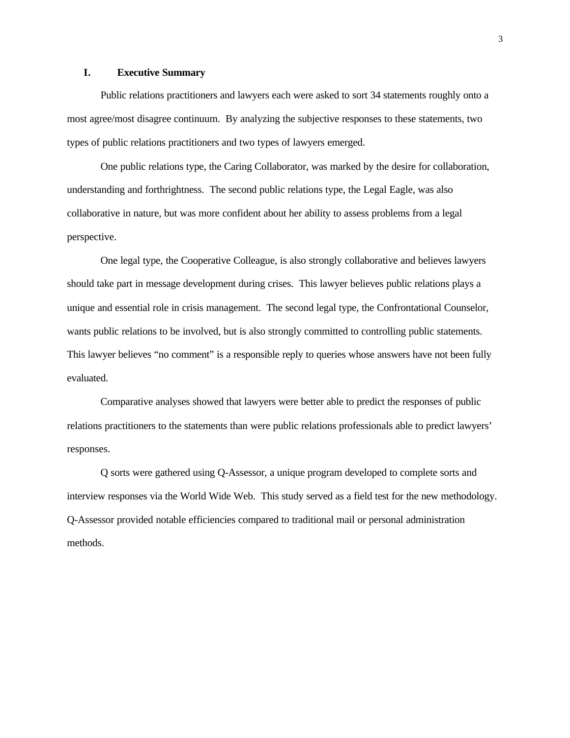## **I. Executive Summary**

Public relations practitioners and lawyers each were asked to sort 34 statements roughly onto a most agree/most disagree continuum. By analyzing the subjective responses to these statements, two types of public relations practitioners and two types of lawyers emerged.

One public relations type, the Caring Collaborator, was marked by the desire for collaboration, understanding and forthrightness. The second public relations type, the Legal Eagle, was also collaborative in nature, but was more confident about her ability to assess problems from a legal perspective.

One legal type, the Cooperative Colleague, is also strongly collaborative and believes lawyers should take part in message development during crises. This lawyer believes public relations plays a unique and essential role in crisis management. The second legal type, the Confrontational Counselor, wants public relations to be involved, but is also strongly committed to controlling public statements. This lawyer believes "no comment" is a responsible reply to queries whose answers have not been fully evaluated.

Comparative analyses showed that lawyers were better able to predict the responses of public relations practitioners to the statements than were public relations professionals able to predict lawyers' responses.

Q sorts were gathered using Q-Assessor, a unique program developed to complete sorts and interview responses via the World Wide Web. This study served as a field test for the new methodology. Q-Assessor provided notable efficiencies compared to traditional mail or personal administration methods.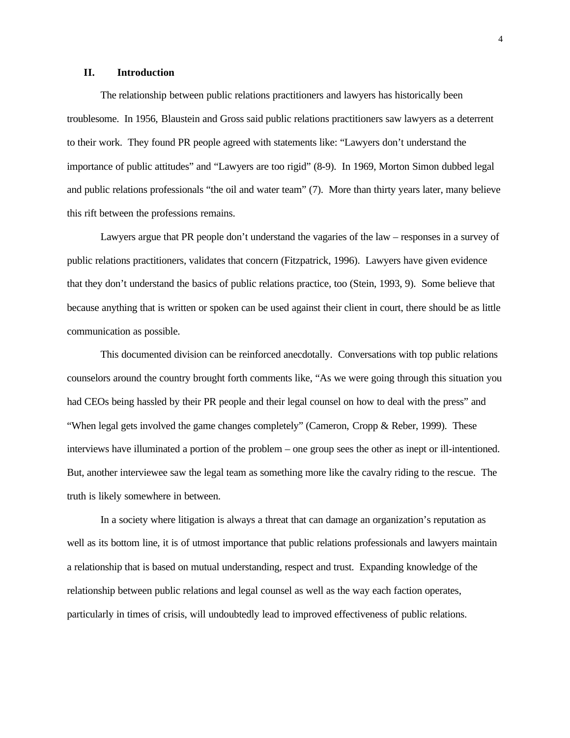# **II. Introduction**

The relationship between public relations practitioners and lawyers has historically been troublesome. In 1956, Blaustein and Gross said public relations practitioners saw lawyers as a deterrent to their work. They found PR people agreed with statements like: "Lawyers don't understand the importance of public attitudes" and "Lawyers are too rigid" (8-9). In 1969, Morton Simon dubbed legal and public relations professionals "the oil and water team" (7). More than thirty years later, many believe this rift between the professions remains.

Lawyers argue that PR people don't understand the vagaries of the law – responses in a survey of public relations practitioners, validates that concern (Fitzpatrick, 1996). Lawyers have given evidence that they don't understand the basics of public relations practice, too (Stein, 1993, 9). Some believe that because anything that is written or spoken can be used against their client in court, there should be as little communication as possible.

This documented division can be reinforced anecdotally. Conversations with top public relations counselors around the country brought forth comments like, "As we were going through this situation you had CEOs being hassled by their PR people and their legal counsel on how to deal with the press" and "When legal gets involved the game changes completely" (Cameron, Cropp & Reber, 1999). These interviews have illuminated a portion of the problem – one group sees the other as inept or ill-intentioned. But, another interviewee saw the legal team as something more like the cavalry riding to the rescue. The truth is likely somewhere in between.

In a society where litigation is always a threat that can damage an organization's reputation as well as its bottom line, it is of utmost importance that public relations professionals and lawyers maintain a relationship that is based on mutual understanding, respect and trust. Expanding knowledge of the relationship between public relations and legal counsel as well as the way each faction operates, particularly in times of crisis, will undoubtedly lead to improved effectiveness of public relations.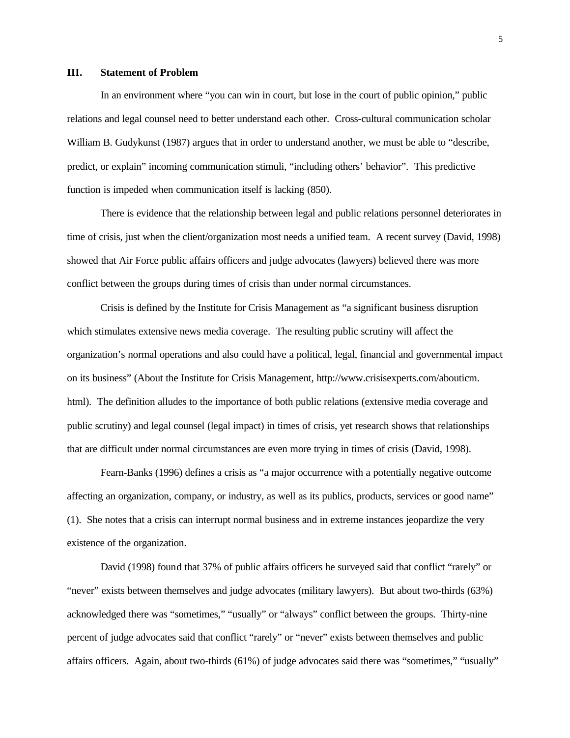#### **III. Statement of Problem**

In an environment where "you can win in court, but lose in the court of public opinion," public relations and legal counsel need to better understand each other. Cross-cultural communication scholar William B. Gudykunst (1987) argues that in order to understand another, we must be able to "describe, predict, or explain" incoming communication stimuli, "including others' behavior". This predictive function is impeded when communication itself is lacking (850).

There is evidence that the relationship between legal and public relations personnel deteriorates in time of crisis, just when the client/organization most needs a unified team. A recent survey (David, 1998) showed that Air Force public affairs officers and judge advocates (lawyers) believed there was more conflict between the groups during times of crisis than under normal circumstances.

Crisis is defined by the Institute for Crisis Management as "a significant business disruption which stimulates extensive news media coverage. The resulting public scrutiny will affect the organization's normal operations and also could have a political, legal, financial and governmental impact on its business" (About the Institute for Crisis Management, http://www.crisisexperts.com/abouticm. html). The definition alludes to the importance of both public relations (extensive media coverage and public scrutiny) and legal counsel (legal impact) in times of crisis, yet research shows that relationships that are difficult under normal circumstances are even more trying in times of crisis (David, 1998).

Fearn-Banks (1996) defines a crisis as "a major occurrence with a potentially negative outcome affecting an organization, company, or industry, as well as its publics, products, services or good name" (1). She notes that a crisis can interrupt normal business and in extreme instances jeopardize the very existence of the organization.

David (1998) found that 37% of public affairs officers he surveyed said that conflict "rarely" or "never" exists between themselves and judge advocates (military lawyers). But about two-thirds (63%) acknowledged there was "sometimes," "usually" or "always" conflict between the groups. Thirty-nine percent of judge advocates said that conflict "rarely" or "never" exists between themselves and public affairs officers. Again, about two-thirds (61%) of judge advocates said there was "sometimes," "usually"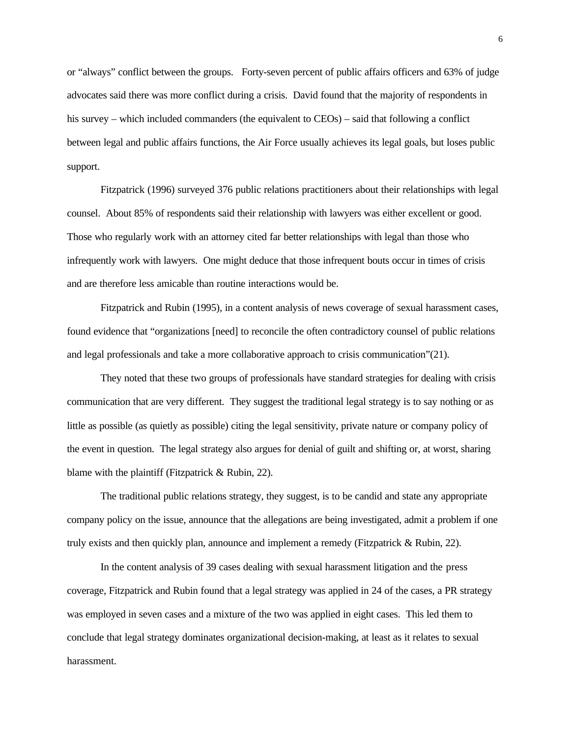or "always" conflict between the groups. Forty-seven percent of public affairs officers and 63% of judge advocates said there was more conflict during a crisis. David found that the majority of respondents in his survey – which included commanders (the equivalent to CEOs) – said that following a conflict between legal and public affairs functions, the Air Force usually achieves its legal goals, but loses public support.

Fitzpatrick (1996) surveyed 376 public relations practitioners about their relationships with legal counsel. About 85% of respondents said their relationship with lawyers was either excellent or good. Those who regularly work with an attorney cited far better relationships with legal than those who infrequently work with lawyers. One might deduce that those infrequent bouts occur in times of crisis and are therefore less amicable than routine interactions would be.

Fitzpatrick and Rubin (1995), in a content analysis of news coverage of sexual harassment cases, found evidence that "organizations [need] to reconcile the often contradictory counsel of public relations and legal professionals and take a more collaborative approach to crisis communication"(21).

They noted that these two groups of professionals have standard strategies for dealing with crisis communication that are very different. They suggest the traditional legal strategy is to say nothing or as little as possible (as quietly as possible) citing the legal sensitivity, private nature or company policy of the event in question. The legal strategy also argues for denial of guilt and shifting or, at worst, sharing blame with the plaintiff (Fitzpatrick & Rubin, 22).

The traditional public relations strategy, they suggest, is to be candid and state any appropriate company policy on the issue, announce that the allegations are being investigated, admit a problem if one truly exists and then quickly plan, announce and implement a remedy (Fitzpatrick & Rubin, 22).

In the content analysis of 39 cases dealing with sexual harassment litigation and the press coverage, Fitzpatrick and Rubin found that a legal strategy was applied in 24 of the cases, a PR strategy was employed in seven cases and a mixture of the two was applied in eight cases. This led them to conclude that legal strategy dominates organizational decision-making, at least as it relates to sexual harassment.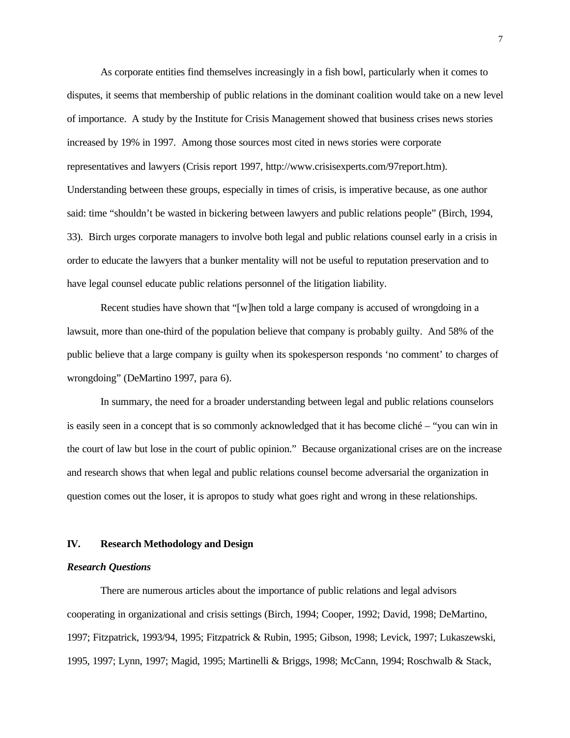As corporate entities find themselves increasingly in a fish bowl, particularly when it comes to disputes, it seems that membership of public relations in the dominant coalition would take on a new level of importance. A study by the Institute for Crisis Management showed that business crises news stories increased by 19% in 1997. Among those sources most cited in news stories were corporate representatives and lawyers (Crisis report 1997, http://www.crisisexperts.com/97report.htm). Understanding between these groups, especially in times of crisis, is imperative because, as one author said: time "shouldn't be wasted in bickering between lawyers and public relations people" (Birch, 1994, 33). Birch urges corporate managers to involve both legal and public relations counsel early in a crisis in order to educate the lawyers that a bunker mentality will not be useful to reputation preservation and to have legal counsel educate public relations personnel of the litigation liability.

Recent studies have shown that "[w]hen told a large company is accused of wrongdoing in a lawsuit, more than one-third of the population believe that company is probably guilty. And 58% of the public believe that a large company is guilty when its spokesperson responds 'no comment' to charges of wrongdoing" (DeMartino 1997, para 6).

In summary, the need for a broader understanding between legal and public relations counselors is easily seen in a concept that is so commonly acknowledged that it has become cliché – "you can win in the court of law but lose in the court of public opinion." Because organizational crises are on the increase and research shows that when legal and public relations counsel become adversarial the organization in question comes out the loser, it is apropos to study what goes right and wrong in these relationships.

### **IV. Research Methodology and Design**

#### *Research Questions*

There are numerous articles about the importance of public relations and legal advisors cooperating in organizational and crisis settings (Birch, 1994; Cooper, 1992; David, 1998; DeMartino, 1997; Fitzpatrick, 1993/94, 1995; Fitzpatrick & Rubin, 1995; Gibson, 1998; Levick, 1997; Lukaszewski, 1995, 1997; Lynn, 1997; Magid, 1995; Martinelli & Briggs, 1998; McCann, 1994; Roschwalb & Stack,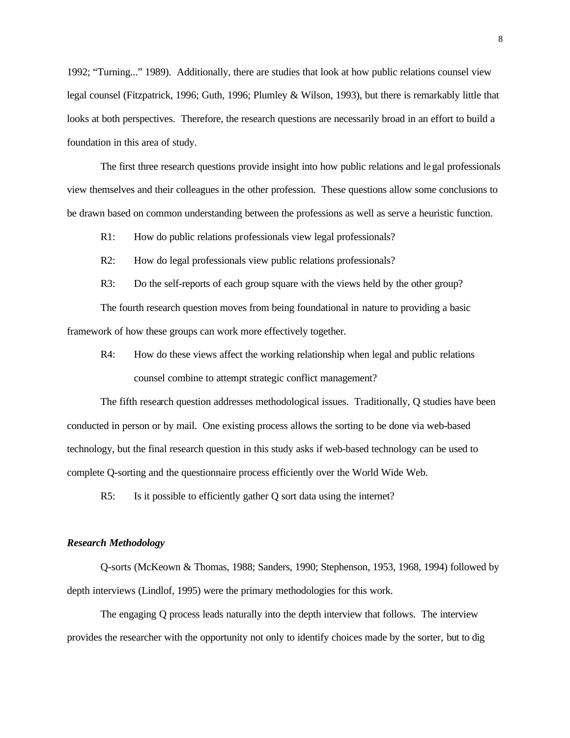1992; "Turning..." 1989). Additionally, there are studies that look at how public relations counsel view legal counsel (Fitzpatrick, 1996; Guth, 1996; Plumley & Wilson, 1993), but there is remarkably little that looks at both perspectives. Therefore, the research questions are necessarily broad in an effort to build a foundation in this area of study.

The first three research questions provide insight into how public relations and legal professionals view themselves and their colleagues in the other profession. These questions allow some conclusions to be drawn based on common understanding between the professions as well as serve a heuristic function.

R1: How do public relations professionals view legal professionals?

R2: How do legal professionals view public relations professionals?

R3: Do the self-reports of each group square with the views held by the other group?

The fourth research question moves from being foundational in nature to providing a basic framework of how these groups can work more effectively together.

R4: How do these views affect the working relationship when legal and public relations counsel combine to attempt strategic conflict management?

The fifth research question addresses methodological issues. Traditionally, Q studies have been conducted in person or by mail. One existing process allows the sorting to be done via web-based technology, but the final research question in this study asks if web-based technology can be used to complete Q-sorting and the questionnaire process efficiently over the World Wide Web.

R5: Is it possible to efficiently gather Q sort data using the internet?

### *Research Methodology*

Q-sorts (McKeown & Thomas, 1988; Sanders, 1990; Stephenson, 1953, 1968, 1994) followed by depth interviews (Lindlof, 1995) were the primary methodologies for this work.

The engaging Q process leads naturally into the depth interview that follows. The interview provides the researcher with the opportunity not only to identify choices made by the sorter, but to dig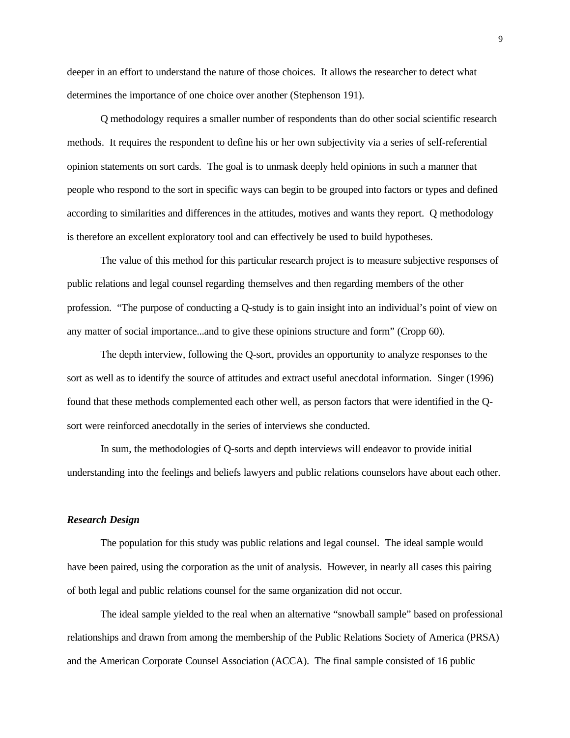deeper in an effort to understand the nature of those choices. It allows the researcher to detect what determines the importance of one choice over another (Stephenson 191).

Q methodology requires a smaller number of respondents than do other social scientific research methods. It requires the respondent to define his or her own subjectivity via a series of self-referential opinion statements on sort cards. The goal is to unmask deeply held opinions in such a manner that people who respond to the sort in specific ways can begin to be grouped into factors or types and defined according to similarities and differences in the attitudes, motives and wants they report. Q methodology is therefore an excellent exploratory tool and can effectively be used to build hypotheses.

The value of this method for this particular research project is to measure subjective responses of public relations and legal counsel regarding themselves and then regarding members of the other profession. "The purpose of conducting a Q-study is to gain insight into an individual's point of view on any matter of social importance...and to give these opinions structure and form" (Cropp 60).

The depth interview, following the Q-sort, provides an opportunity to analyze responses to the sort as well as to identify the source of attitudes and extract useful anecdotal information. Singer (1996) found that these methods complemented each other well, as person factors that were identified in the Qsort were reinforced anecdotally in the series of interviews she conducted.

In sum, the methodologies of Q-sorts and depth interviews will endeavor to provide initial understanding into the feelings and beliefs lawyers and public relations counselors have about each other.

# *Research Design*

The population for this study was public relations and legal counsel. The ideal sample would have been paired, using the corporation as the unit of analysis. However, in nearly all cases this pairing of both legal and public relations counsel for the same organization did not occur.

The ideal sample yielded to the real when an alternative "snowball sample" based on professional relationships and drawn from among the membership of the Public Relations Society of America (PRSA) and the American Corporate Counsel Association (ACCA). The final sample consisted of 16 public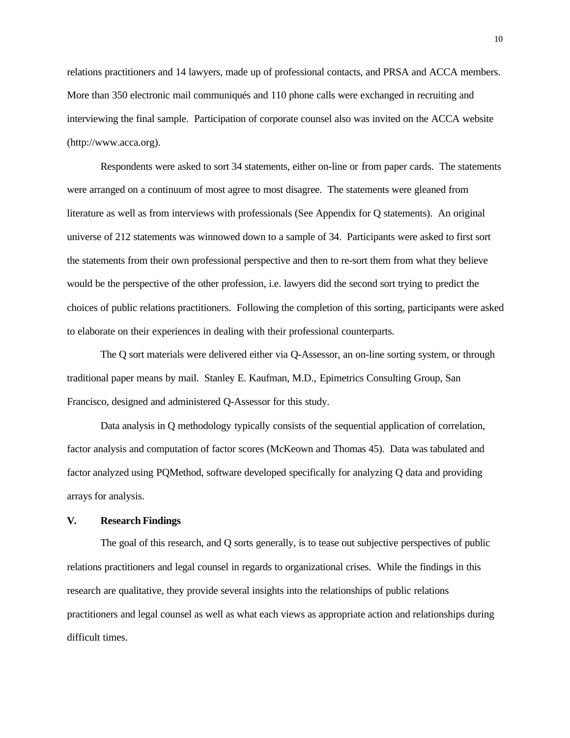relations practitioners and 14 lawyers, made up of professional contacts, and PRSA and ACCA members. More than 350 electronic mail communiqués and 110 phone calls were exchanged in recruiting and interviewing the final sample. Participation of corporate counsel also was invited on the ACCA website (http://www.acca.org).

Respondents were asked to sort 34 statements, either on-line or from paper cards. The statements were arranged on a continuum of most agree to most disagree. The statements were gleaned from literature as well as from interviews with professionals (See Appendix for Q statements). An original universe of 212 statements was winnowed down to a sample of 34. Participants were asked to first sort the statements from their own professional perspective and then to re-sort them from what they believe would be the perspective of the other profession, i.e. lawyers did the second sort trying to predict the choices of public relations practitioners. Following the completion of this sorting, participants were asked to elaborate on their experiences in dealing with their professional counterparts.

The Q sort materials were delivered either via Q-Assessor, an on-line sorting system, or through traditional paper means by mail. Stanley E. Kaufman, M.D., Epimetrics Consulting Group, San Francisco, designed and administered Q-Assessor for this study.

Data analysis in Q methodology typically consists of the sequential application of correlation, factor analysis and computation of factor scores (McKeown and Thomas 45). Data was tabulated and factor analyzed using PQMethod, software developed specifically for analyzing Q data and providing arrays for analysis.

### **V. Research Findings**

The goal of this research, and Q sorts generally, is to tease out subjective perspectives of public relations practitioners and legal counsel in regards to organizational crises. While the findings in this research are qualitative, they provide several insights into the relationships of public relations practitioners and legal counsel as well as what each views as appropriate action and relationships during difficult times.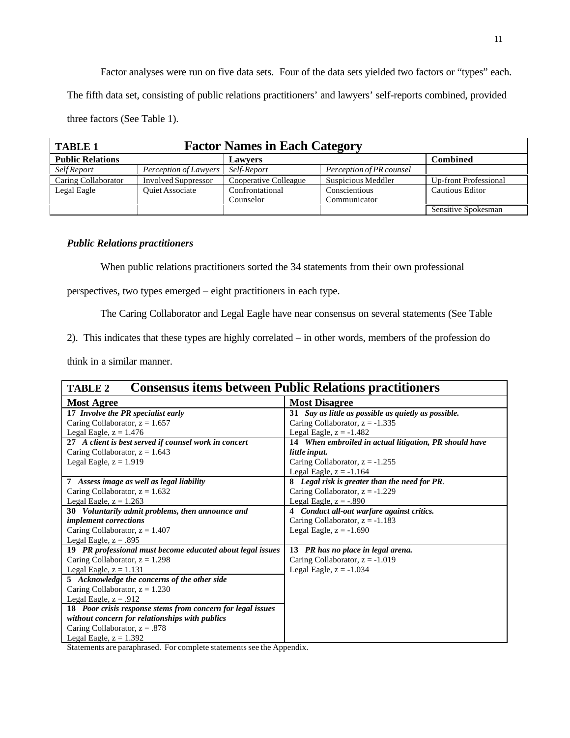Factor analyses were run on five data sets. Four of the data sets yielded two factors or "types" each. The fifth data set, consisting of public relations practitioners' and lawyers' self-reports combined, provided three factors (See Table 1).

| <b>TABLE 1</b>          |                            | <b>Factor Names in Each Category</b> |                               |                              |  |
|-------------------------|----------------------------|--------------------------------------|-------------------------------|------------------------------|--|
| <b>Public Relations</b> |                            | <b>Lawvers</b>                       |                               | <b>Combined</b>              |  |
| <i>Self Report</i>      | Perception of Lawyers      | Self-Report                          | Perception of PR counsel      |                              |  |
| Caring Collaborator     | <b>Involved Suppressor</b> | Cooperative Colleague                | Suspicious Meddler            | <b>Up-front Professional</b> |  |
| Legal Eagle             | <b>Ouiet Associate</b>     | Confrontational<br>Counselor         | Conscientious<br>Communicator | Cautious Editor              |  |
|                         |                            |                                      |                               | Sensitive Spokesman          |  |

# *Public Relations practitioners*

When public relations practitioners sorted the 34 statements from their own professional

perspectives, two types emerged – eight practitioners in each type.

The Caring Collaborator and Legal Eagle have near consensus on several statements (See Table

2). This indicates that these types are highly correlated – in other words, members of the profession do

think in a similar manner.

| <b>Consensus items between Public Relations practitioners</b><br><b>TABLE 2</b> |                                                        |  |  |  |
|---------------------------------------------------------------------------------|--------------------------------------------------------|--|--|--|
| <b>Most Agree</b>                                                               | <b>Most Disagree</b>                                   |  |  |  |
| 17 Involve the PR specialist early                                              | 31 Say as little as possible as quietly as possible.   |  |  |  |
| Caring Collaborator, $z = 1.657$                                                | Caring Collaborator, $z = -1.335$                      |  |  |  |
| Legal Eagle, $z = 1.476$                                                        | Legal Eagle, $z = -1.482$                              |  |  |  |
| 27 A client is best served if counsel work in concert                           | 14 When embroiled in actual litigation, PR should have |  |  |  |
| Caring Collaborator, $z = 1.643$                                                | little input.                                          |  |  |  |
| Legal Eagle, $z = 1.919$                                                        | Caring Collaborator, $z = -1.255$                      |  |  |  |
|                                                                                 | Legal Eagle, $z = -1.164$                              |  |  |  |
| 7 Assess image as well as legal liability                                       | 8 Legal risk is greater than the need for PR.          |  |  |  |
| Caring Collaborator, $z = 1.632$                                                | Caring Collaborator, $z = -1.229$                      |  |  |  |
| Legal Eagle, $z = 1.263$                                                        | Legal Eagle, $z = -.890$                               |  |  |  |
| 30 Voluntarily admit problems, then announce and                                | 4 Conduct all-out warfare against critics.             |  |  |  |
| <i>implement corrections</i>                                                    | Caring Collaborator, $z = -1.183$                      |  |  |  |
| Caring Collaborator, $z = 1.407$                                                | Legal Eagle, $z = -1.690$                              |  |  |  |
| Legal Eagle, $z = .895$                                                         |                                                        |  |  |  |
| 19 PR professional must become educated about legal issues                      | 13 PR has no place in legal arena.                     |  |  |  |
| Caring Collaborator, $z = 1.298$                                                | Caring Collaborator, $z = -1.019$                      |  |  |  |
| Legal Eagle, $z = 1.131$                                                        | Legal Eagle, $z = -1.034$                              |  |  |  |
| 5 Acknowledge the concerns of the other side                                    |                                                        |  |  |  |
| Caring Collaborator, $z = 1.230$                                                |                                                        |  |  |  |
| Legal Eagle, $z = .912$                                                         |                                                        |  |  |  |
| 18 Poor crisis response stems from concern for legal issues                     |                                                        |  |  |  |
| without concern for relationships with publics                                  |                                                        |  |  |  |
| Caring Collaborator, $z = .878$                                                 |                                                        |  |  |  |
| Legal Eagle, $z = 1.392$                                                        |                                                        |  |  |  |

Statements are paraphrased. For complete statements see the Appendix.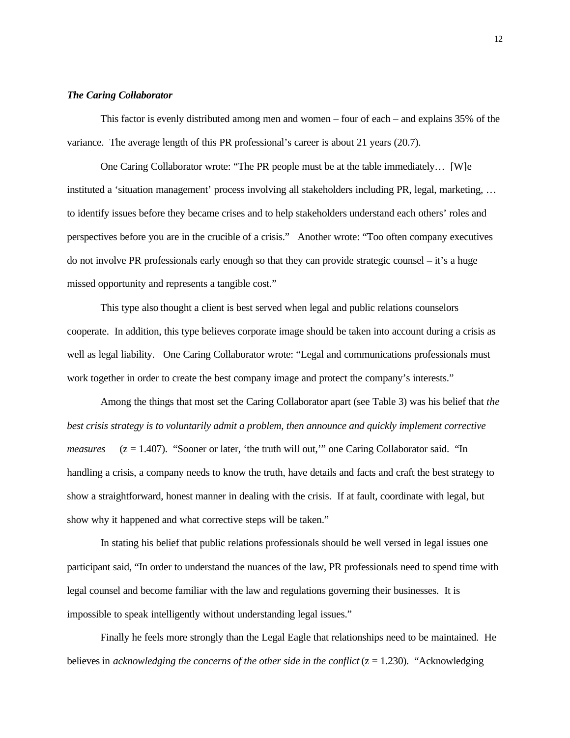#### *The Caring Collaborator*

This factor is evenly distributed among men and women – four of each – and explains 35% of the variance. The average length of this PR professional's career is about 21 years (20.7).

One Caring Collaborator wrote: "The PR people must be at the table immediately… [W]e instituted a 'situation management' process involving all stakeholders including PR, legal, marketing, ... to identify issues before they became crises and to help stakeholders understand each others' roles and perspectives before you are in the crucible of a crisis." Another wrote: "Too often company executives do not involve PR professionals early enough so that they can provide strategic counsel – it's a huge missed opportunity and represents a tangible cost."

This type also thought a client is best served when legal and public relations counselors cooperate. In addition, this type believes corporate image should be taken into account during a crisis as well as legal liability. One Caring Collaborator wrote: "Legal and communications professionals must work together in order to create the best company image and protect the company's interests."

Among the things that most set the Caring Collaborator apart (see Table 3) was his belief that *the best crisis strategy is to voluntarily admit a problem, then announce and quickly implement corrective measures* (z = 1.407). "Sooner or later, 'the truth will out,'" one Caring Collaborator said. "In handling a crisis, a company needs to know the truth, have details and facts and craft the best strategy to show a straightforward, honest manner in dealing with the crisis. If at fault, coordinate with legal, but show why it happened and what corrective steps will be taken."

In stating his belief that public relations professionals should be well versed in legal issues one participant said, "In order to understand the nuances of the law, PR professionals need to spend time with legal counsel and become familiar with the law and regulations governing their businesses. It is impossible to speak intelligently without understanding legal issues."

Finally he feels more strongly than the Legal Eagle that relationships need to be maintained. He believes in *acknowledging the concerns of the other side in the conflict* ( $z = 1.230$ ). "Acknowledging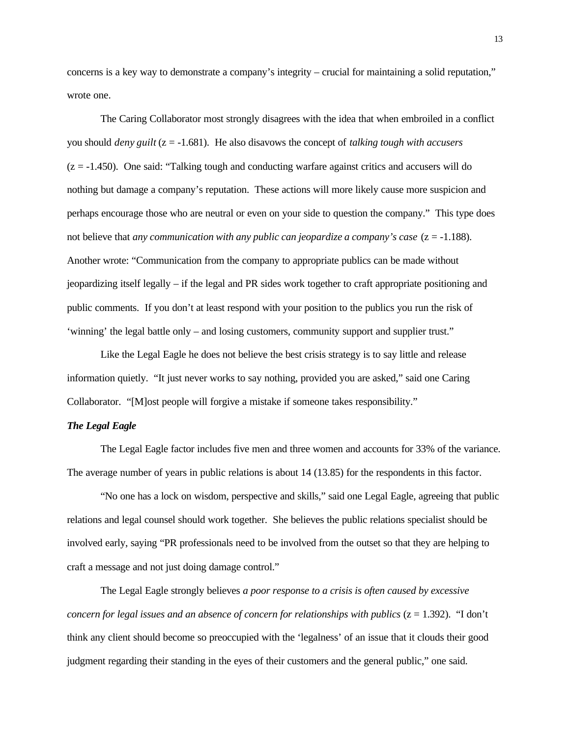concerns is a key way to demonstrate a company's integrity – crucial for maintaining a solid reputation," wrote one.

The Caring Collaborator most strongly disagrees with the idea that when embroiled in a conflict you should *deny guilt* (z = -1.681). He also disavows the concept of *talking tough with accusers*  $(z = -1.450)$ . One said: "Talking tough and conducting warfare against critics and accusers will do nothing but damage a company's reputation. These actions will more likely cause more suspicion and perhaps encourage those who are neutral or even on your side to question the company." This type does not believe that *any communication with any public can jeopardize a company's case* (z = -1.188). Another wrote: "Communication from the company to appropriate publics can be made without jeopardizing itself legally – if the legal and PR sides work together to craft appropriate positioning and public comments. If you don't at least respond with your position to the publics you run the risk of 'winning' the legal battle only – and losing customers, community support and supplier trust."

Like the Legal Eagle he does not believe the best crisis strategy is to say little and release information quietly. "It just never works to say nothing, provided you are asked," said one Caring Collaborator. "[M]ost people will forgive a mistake if someone takes responsibility."

#### *The Legal Eagle*

The Legal Eagle factor includes five men and three women and accounts for 33% of the variance. The average number of years in public relations is about 14 (13.85) for the respondents in this factor.

"No one has a lock on wisdom, perspective and skills," said one Legal Eagle, agreeing that public relations and legal counsel should work together. She believes the public relations specialist should be involved early, saying "PR professionals need to be involved from the outset so that they are helping to craft a message and not just doing damage control."

The Legal Eagle strongly believes *a poor response to a crisis is often caused by excessive concern for legal issues and an absence of concern for relationships with publics* (z = 1.392). "I don't think any client should become so preoccupied with the 'legalness' of an issue that it clouds their good judgment regarding their standing in the eyes of their customers and the general public," one said.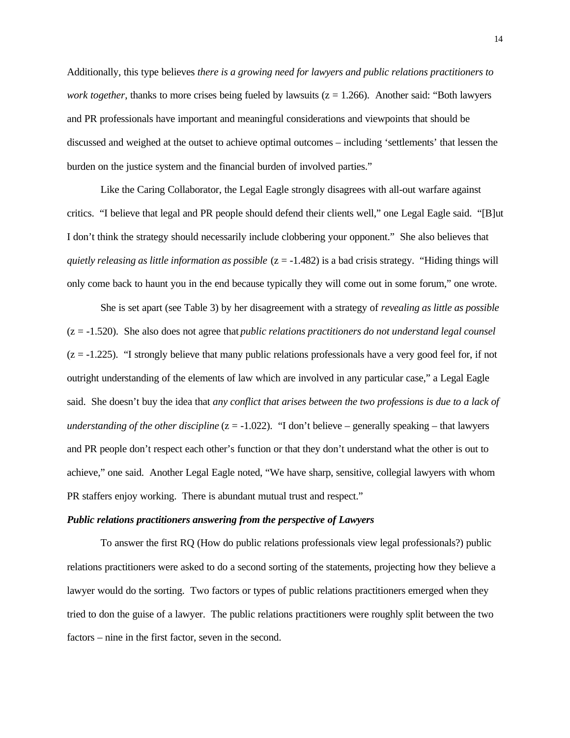Additionally, this type believes *there is a growing need for lawyers and public relations practitioners to work together*, thanks to more crises being fueled by lawsuits  $(z = 1.266)$ . Another said: "Both lawyers" and PR professionals have important and meaningful considerations and viewpoints that should be discussed and weighed at the outset to achieve optimal outcomes – including 'settlements' that lessen the burden on the justice system and the financial burden of involved parties."

Like the Caring Collaborator, the Legal Eagle strongly disagrees with all-out warfare against critics. "I believe that legal and PR people should defend their clients well," one Legal Eagle said. "[B]ut I don't think the strategy should necessarily include clobbering your opponent." She also believes that *quietly releasing as little information as possible* (z = -1.482) is a bad crisis strategy. "Hiding things will only come back to haunt you in the end because typically they will come out in some forum," one wrote.

She is set apart (see Table 3) by her disagreement with a strategy of *revealing as little as possible* (z = -1.520). She also does not agree that *public relations practitioners do not understand legal counsel*  $(z = -1.225)$ . "I strongly believe that many public relations professionals have a very good feel for, if not outright understanding of the elements of law which are involved in any particular case," a Legal Eagle said. She doesn't buy the idea that *any conflict that arises between the two professions is due to a lack of understanding of the other discipline* (z = -1.022). "I don't believe – generally speaking – that lawyers and PR people don't respect each other's function or that they don't understand what the other is out to achieve," one said. Another Legal Eagle noted, "We have sharp, sensitive, collegial lawyers with whom PR staffers enjoy working. There is abundant mutual trust and respect."

# *Public relations practitioners answering from the perspective of Lawyers*

To answer the first RQ (How do public relations professionals view legal professionals?) public relations practitioners were asked to do a second sorting of the statements, projecting how they believe a lawyer would do the sorting. Two factors or types of public relations practitioners emerged when they tried to don the guise of a lawyer. The public relations practitioners were roughly split between the two factors – nine in the first factor, seven in the second.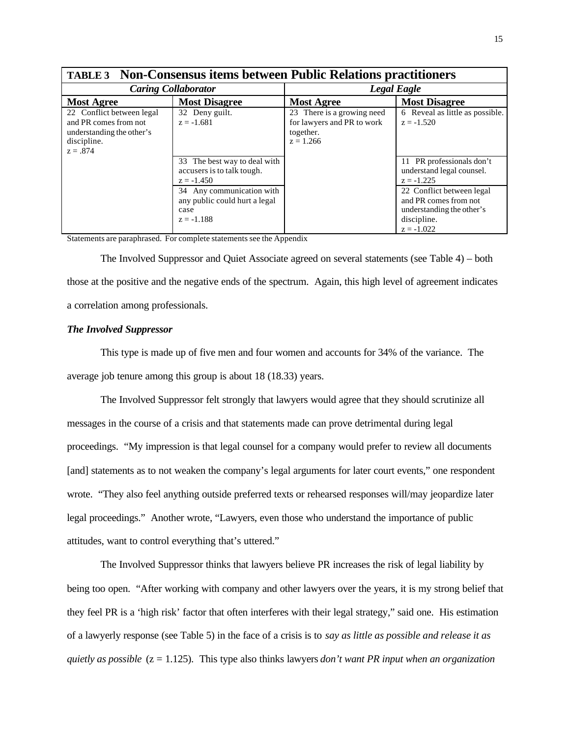| <b>TABLE 3</b> Non-Consensus items between Public Relations practitioners                                    |                                                                                    |                                                                                      |                                                                                                                |  |  |  |  |
|--------------------------------------------------------------------------------------------------------------|------------------------------------------------------------------------------------|--------------------------------------------------------------------------------------|----------------------------------------------------------------------------------------------------------------|--|--|--|--|
|                                                                                                              | <b>Caring Collaborator</b>                                                         |                                                                                      | <b>Legal Eagle</b>                                                                                             |  |  |  |  |
| <b>Most Agree</b>                                                                                            | <b>Most Disagree</b>                                                               | <b>Most Agree</b>                                                                    | <b>Most Disagree</b>                                                                                           |  |  |  |  |
| 22 Conflict between legal<br>and PR comes from not<br>understanding the other's<br>discipline.<br>$z = .874$ | 32 Deny guilt.<br>$z = -1.681$                                                     | 23 There is a growing need<br>for lawyers and PR to work<br>together.<br>$z = 1.266$ | 6 Reveal as little as possible.<br>$z = -1.520$                                                                |  |  |  |  |
|                                                                                                              | 33 The best way to deal with<br>accusers is to talk tough.<br>$z = -1.450$         |                                                                                      | 11 PR professionals don't<br>understand legal counsel.<br>$z = -1.225$                                         |  |  |  |  |
|                                                                                                              | 34 Any communication with<br>any public could hurt a legal<br>case<br>$z = -1.188$ |                                                                                      | 22 Conflict between legal<br>and PR comes from not<br>understanding the other's<br>discipline.<br>$z = -1.022$ |  |  |  |  |

Statements are paraphrased. For complete statements see the Appendix

The Involved Suppressor and Quiet Associate agreed on several statements (see Table 4) – both those at the positive and the negative ends of the spectrum. Again, this high level of agreement indicates a correlation among professionals.

#### *The Involved Suppressor*

This type is made up of five men and four women and accounts for 34% of the variance. The average job tenure among this group is about 18 (18.33) years.

The Involved Suppressor felt strongly that lawyers would agree that they should scrutinize all messages in the course of a crisis and that statements made can prove detrimental during legal proceedings. "My impression is that legal counsel for a company would prefer to review all documents [and] statements as to not weaken the company's legal arguments for later court events," one respondent wrote. "They also feel anything outside preferred texts or rehearsed responses will/may jeopardize later legal proceedings." Another wrote, "Lawyers, even those who understand the importance of public attitudes, want to control everything that's uttered."

The Involved Suppressor thinks that lawyers believe PR increases the risk of legal liability by being too open. "After working with company and other lawyers over the years, it is my strong belief that they feel PR is a 'high risk' factor that often interferes with their legal strategy," said one. His estimation of a lawyerly response (see Table 5) in the face of a crisis is to *say as little as possible and release it as quietly as possible* (z = 1.125). This type also thinks lawyers *don't want PR input when an organization*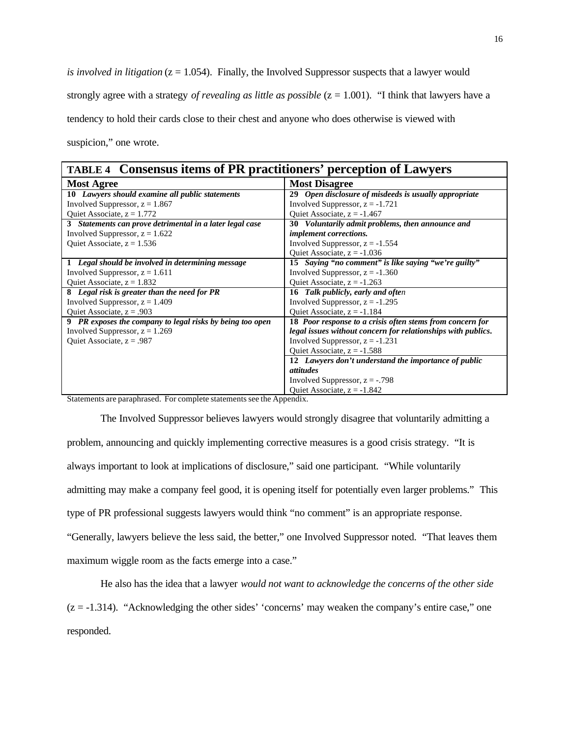*is involved in litigation* ( $z = 1.054$ ). Finally, the Involved Suppressor suspects that a lawyer would strongly agree with a strategy *of revealing as little as possible* (z = 1.001). "I think that lawyers have a tendency to hold their cards close to their chest and anyone who does otherwise is viewed with suspicion," one wrote.

| <b>TABLE 4 Consensus items of PR practitioners' perception of Lawyers</b> |                                                              |  |  |  |
|---------------------------------------------------------------------------|--------------------------------------------------------------|--|--|--|
| <b>Most Agree</b>                                                         | <b>Most Disagree</b>                                         |  |  |  |
| 10 Lawyers should examine all public statements                           | Open disclosure of misdeeds is usually appropriate<br>29     |  |  |  |
| Involved Suppressor, $z = 1.867$                                          | Involved Suppressor, $z = -1.721$                            |  |  |  |
| Quiet Associate, $z = 1.772$                                              | Ouiet Associate, $z = -1.467$                                |  |  |  |
| 3 Statements can prove detrimental in a later legal case                  | Voluntarily admit problems, then announce and<br>30          |  |  |  |
| Involved Suppressor, $z = 1.622$                                          | implement corrections.                                       |  |  |  |
| Quiet Associate, $z = 1.536$                                              | Involved Suppressor, $z = -1.554$                            |  |  |  |
|                                                                           | Quiet Associate, $z = -1.036$                                |  |  |  |
| Legal should be involved in determining message                           | 15 Saying "no comment" is like saying "we're guilty"         |  |  |  |
| Involved Suppressor, $z = 1.611$                                          | Involved Suppressor, $z = -1.360$                            |  |  |  |
| Quiet Associate, $z = 1.832$                                              | Quiet Associate, $z = -1.263$                                |  |  |  |
| 8 Legal risk is greater than the need for PR                              | 16 Talk publicly, early and often                            |  |  |  |
| Involved Suppressor, $z = 1.409$                                          | Involved Suppressor, $z = -1.295$                            |  |  |  |
| Quiet Associate, $z = .903$                                               | Quiet Associate, $z = -1.184$                                |  |  |  |
| 9 PR exposes the company to legal risks by being too open                 | 18 Poor response to a crisis often stems from concern for    |  |  |  |
| Involved Suppressor, $z = 1.269$                                          | legal issues without concern for relationships with publics. |  |  |  |
| Quiet Associate, $z = .987$                                               | Involved Suppressor, $z = -1.231$                            |  |  |  |
|                                                                           | Ouiet Associate, $z = -1.588$                                |  |  |  |
|                                                                           | 12 Lawyers don't understand the importance of public         |  |  |  |
|                                                                           | <i>attitudes</i>                                             |  |  |  |
|                                                                           | Involved Suppressor, $z = -0.798$                            |  |  |  |
|                                                                           | Quiet Associate, $z = -1.842$                                |  |  |  |

Statements are paraphrased. For complete statements see the Appendix.

The Involved Suppressor believes lawyers would strongly disagree that voluntarily admitting a problem, announcing and quickly implementing corrective measures is a good crisis strategy. "It is always important to look at implications of disclosure," said one participant. "While voluntarily admitting may make a company feel good, it is opening itself for potentially even larger problems." This type of PR professional suggests lawyers would think "no comment" is an appropriate response. "Generally, lawyers believe the less said, the better," one Involved Suppressor noted. "That leaves them maximum wiggle room as the facts emerge into a case."

He also has the idea that a lawyer *would not want to acknowledge the concerns of the other side*  $(z = -1.314)$ . "Acknowledging the other sides' 'concerns' may weaken the company's entire case," one responded.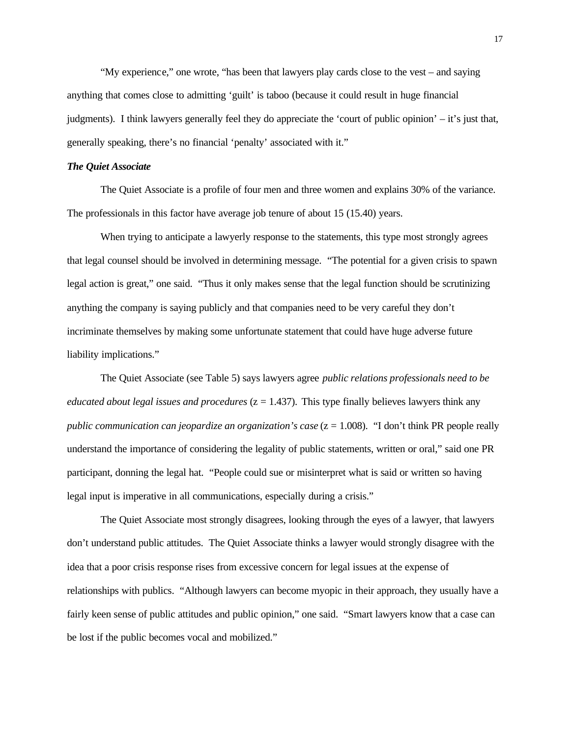"My experience," one wrote, "has been that lawyers play cards close to the vest – and saying anything that comes close to admitting 'guilt' is taboo (because it could result in huge financial judgments). I think lawyers generally feel they do appreciate the 'court of public opinion' – it's just that, generally speaking, there's no financial 'penalty' associated with it."

#### *The Quiet Associate*

The Quiet Associate is a profile of four men and three women and explains 30% of the variance. The professionals in this factor have average job tenure of about 15 (15.40) years.

When trying to anticipate a lawyerly response to the statements, this type most strongly agrees that legal counsel should be involved in determining message. "The potential for a given crisis to spawn legal action is great," one said. "Thus it only makes sense that the legal function should be scrutinizing anything the company is saying publicly and that companies need to be very careful they don't incriminate themselves by making some unfortunate statement that could have huge adverse future liability implications."

The Quiet Associate (see Table 5) says lawyers agree *public relations professionals need to be educated about legal issues and procedures*  $(z = 1.437)$ *. This type finally believes lawyers think any public communication can jeopardize an organization's case*  $(z = 1.008)$ . "I don't think PR people really understand the importance of considering the legality of public statements, written or oral," said one PR participant, donning the legal hat. "People could sue or misinterpret what is said or written so having legal input is imperative in all communications, especially during a crisis."

The Quiet Associate most strongly disagrees, looking through the eyes of a lawyer, that lawyers don't understand public attitudes. The Quiet Associate thinks a lawyer would strongly disagree with the idea that a poor crisis response rises from excessive concern for legal issues at the expense of relationships with publics. "Although lawyers can become myopic in their approach, they usually have a fairly keen sense of public attitudes and public opinion," one said. "Smart lawyers know that a case can be lost if the public becomes vocal and mobilized."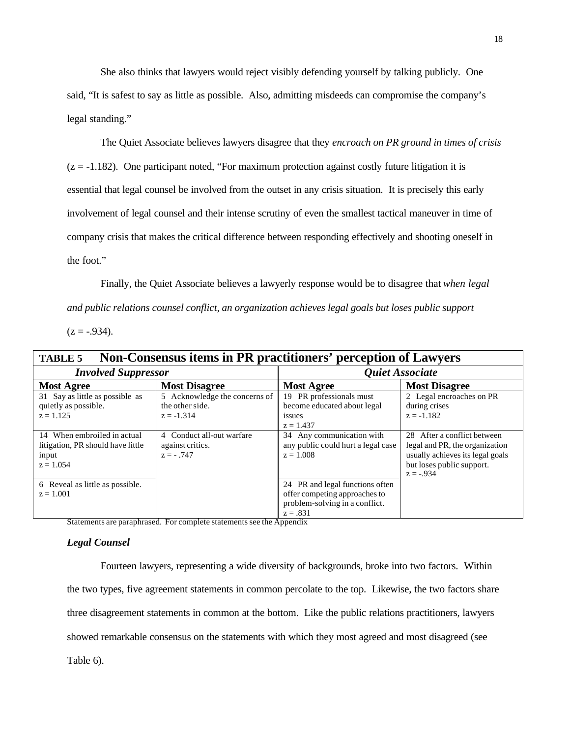She also thinks that lawyers would reject visibly defending yourself by talking publicly. One said, "It is safest to say as little as possible. Also, admitting misdeeds can compromise the company's legal standing."

The Quiet Associate believes lawyers disagree that they *encroach on PR ground in times of crisis*  $(z = -1.182)$ . One participant noted, "For maximum protection against costly future litigation it is essential that legal counsel be involved from the outset in any crisis situation. It is precisely this early involvement of legal counsel and their intense scrutiny of even the smallest tactical maneuver in time of company crisis that makes the critical difference between responding effectively and shooting oneself in the foot."

Finally, the Quiet Associate believes a lawyerly response would be to disagree that *when legal and public relations counsel conflict, an organization achieves legal goals but loses public support*

 $(z = -.934)$ .

| Non-Consensus items in PR practitioners' perception of Lawyers<br><b>TABLE 5</b>         |                                                                  |                                                                                                                  |                                                                                                                                               |  |  |  |
|------------------------------------------------------------------------------------------|------------------------------------------------------------------|------------------------------------------------------------------------------------------------------------------|-----------------------------------------------------------------------------------------------------------------------------------------------|--|--|--|
| <b>Involved Suppressor</b>                                                               |                                                                  |                                                                                                                  | <b>Ouiet Associate</b>                                                                                                                        |  |  |  |
| <b>Most Agree</b>                                                                        | <b>Most Disagree</b>                                             | <b>Most Agree</b>                                                                                                | <b>Most Disagree</b>                                                                                                                          |  |  |  |
| 31 Say as little as possible as<br>quietly as possible.<br>$z = 1.125$                   | 5 Acknowledge the concerns of<br>the other side.<br>$z = -1.314$ | 19 PR professionals must<br>become educated about legal<br><i>ssues</i><br>$z = 1.437$                           | 2 Legal encroaches on PR<br>during crises<br>$z = -1.182$                                                                                     |  |  |  |
| 14 When embroiled in actual<br>litigation, PR should have little<br>input<br>$z = 1.054$ | 4 Conduct all-out warfare<br>against critics.<br>$z = -0.747$    | 34 Any communication with<br>any public could hurt a legal case<br>$z = 1.008$                                   | 28 After a conflict between<br>legal and PR, the organization<br>usually achieves its legal goals<br>but loses public support.<br>$z = -.934$ |  |  |  |
| 6 Reveal as little as possible.<br>$z = 1.001$                                           |                                                                  | 24 PR and legal functions often<br>offer competing approaches to<br>problem-solving in a conflict.<br>$z = .831$ |                                                                                                                                               |  |  |  |

Statements are paraphrased. For complete statements see the Appendix

#### *Legal Counsel*

Fourteen lawyers, representing a wide diversity of backgrounds, broke into two factors. Within the two types, five agreement statements in common percolate to the top. Likewise, the two factors share three disagreement statements in common at the bottom. Like the public relations practitioners, lawyers showed remarkable consensus on the statements with which they most agreed and most disagreed (see Table 6).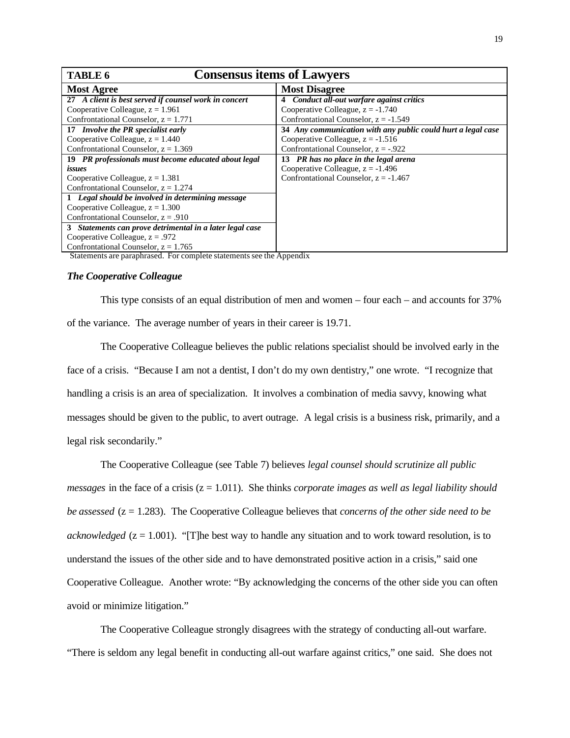| <b>Consensus items of Lawyers</b>                            |
|--------------------------------------------------------------|
| <b>Most Disagree</b>                                         |
| Conduct all-out warfare against critics                      |
| Cooperative Colleague, $z = -1.740$                          |
| Confrontational Counselor, $z = -1.549$                      |
| 34 Any communication with any public could hurt a legal case |
| Cooperative Colleague, $z = -1.516$                          |
| Confrontational Counselor, $z = -0.922$                      |
| 13 PR has no place in the legal arena                        |
| Cooperative Colleague, $z = -1.496$                          |
| Confrontational Counselor, $z = -1.467$                      |
|                                                              |
|                                                              |
|                                                              |
|                                                              |
|                                                              |
|                                                              |
| $\mathbf{1}$                                                 |
| $\lambda$ 1 $\lambda$                                        |

Statements are paraphrased. For complete statements see the Appendix

#### *The Cooperative Colleague*

This type consists of an equal distribution of men and women – four each – and accounts for 37% of the variance. The average number of years in their career is 19.71.

The Cooperative Colleague believes the public relations specialist should be involved early in the face of a crisis. "Because I am not a dentist, I don't do my own dentistry," one wrote. "I recognize that handling a crisis is an area of specialization. It involves a combination of media savvy, knowing what messages should be given to the public, to avert outrage. A legal crisis is a business risk, primarily, and a legal risk secondarily."

The Cooperative Colleague (see Table 7) believes *legal counsel should scrutinize all public messages* in the face of a crisis (z = 1.011). She thinks *corporate images as well as legal liability should be assessed* (z = 1.283). The Cooperative Colleague believes that *concerns of the other side need to be acknowledged*  $(z = 1.001)$ . "[T]he best way to handle any situation and to work toward resolution, is to understand the issues of the other side and to have demonstrated positive action in a crisis," said one Cooperative Colleague. Another wrote: "By acknowledging the concerns of the other side you can often avoid or minimize litigation."

The Cooperative Colleague strongly disagrees with the strategy of conducting all-out warfare. "There is seldom any legal benefit in conducting all-out warfare against critics," one said. She does not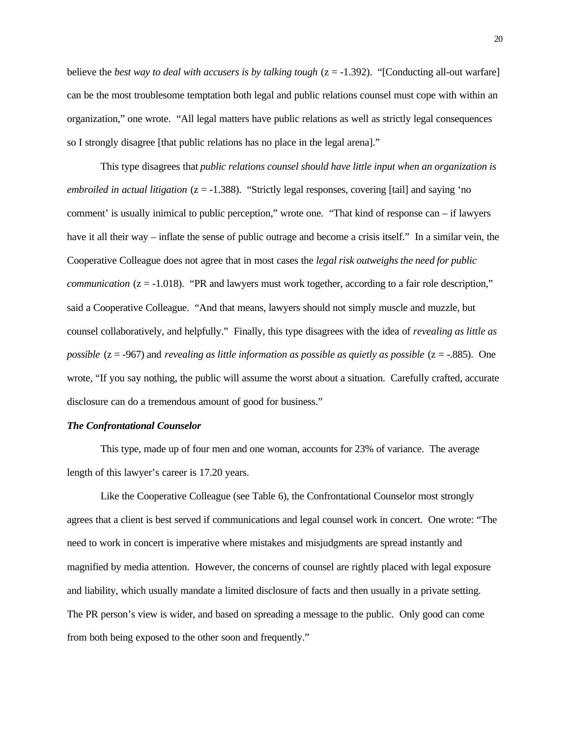believe the *best way to deal with accusers is by talking tough* (z = -1.392). "[Conducting all-out warfare] can be the most troublesome temptation both legal and public relations counsel must cope with within an organization," one wrote. "All legal matters have public relations as well as strictly legal consequences so I strongly disagree [that public relations has no place in the legal arena]."

This type disagrees that *public relations counsel should have little input when an organization is embroiled in actual litigation* ( $z = -1.388$ ). "Strictly legal responses, covering [tail] and saying 'no comment' is usually inimical to public perception," wrote one. "That kind of response can – if lawyers have it all their way – inflate the sense of public outrage and become a crisis itself." In a similar vein, the Cooperative Colleague does not agree that in most cases the *legal risk outweighs the need for public communication* ( $z = -1.018$ ). "PR and lawyers must work together, according to a fair role description," said a Cooperative Colleague. "And that means, lawyers should not simply muscle and muzzle, but counsel collaboratively, and helpfully." Finally, this type disagrees with the idea of *revealing as little as possible* (z = -967) and *revealing as little information as possible as quietly as possible* (z = -.885). One wrote, "If you say nothing, the public will assume the worst about a situation. Carefully crafted, accurate disclosure can do a tremendous amount of good for business."

# *The Confrontational Counselor*

This type, made up of four men and one woman, accounts for 23% of variance. The average length of this lawyer's career is 17.20 years.

Like the Cooperative Colleague (see Table 6), the Confrontational Counselor most strongly agrees that a client is best served if communications and legal counsel work in concert. One wrote: "The need to work in concert is imperative where mistakes and misjudgments are spread instantly and magnified by media attention. However, the concerns of counsel are rightly placed with legal exposure and liability, which usually mandate a limited disclosure of facts and then usually in a private setting. The PR person's view is wider, and based on spreading a message to the public. Only good can come from both being exposed to the other soon and frequently."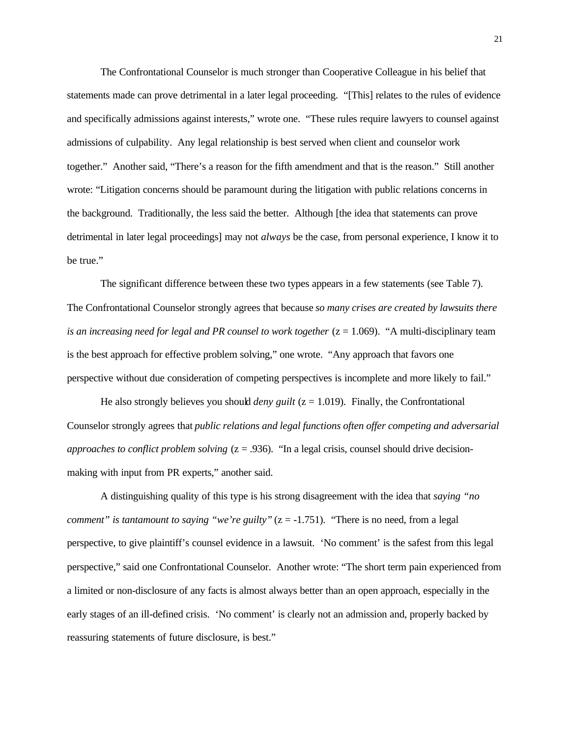The Confrontational Counselor is much stronger than Cooperative Colleague in his belief that statements made can prove detrimental in a later legal proceeding. "[This] relates to the rules of evidence and specifically admissions against interests," wrote one. "These rules require lawyers to counsel against admissions of culpability. Any legal relationship is best served when client and counselor work together." Another said, "There's a reason for the fifth amendment and that is the reason." Still another wrote: "Litigation concerns should be paramount during the litigation with public relations concerns in the background. Traditionally, the less said the better. Although [the idea that statements can prove detrimental in later legal proceedings] may not *always* be the case, from personal experience, I know it to be true."

The significant difference between these two types appears in a few statements (see Table 7). The Confrontational Counselor strongly agrees that because *so many crises are created by lawsuits there is an increasing need for legal and PR counsel to work together*  $(z = 1.069)$ . "A multi-disciplinary team is the best approach for effective problem solving," one wrote. "Any approach that favors one perspective without due consideration of competing perspectives is incomplete and more likely to fail."

He also strongly believes you should *deny guilt*  $(z = 1.019)$ . Finally, the Confrontational Counselor strongly agrees that *public relations and legal functions often offer competing and adversarial approaches to conflict problem solving* ( $z = .936$ ). "In a legal crisis, counsel should drive decisionmaking with input from PR experts," another said.

A distinguishing quality of this type is his strong disagreement with the idea that *saying "no comment" is tantamount to saying "we're guilty"*  $(z = -1.751)$ . "There is no need, from a legal perspective, to give plaintiff's counsel evidence in a lawsuit. 'No comment' is the safest from this legal perspective," said one Confrontational Counselor. Another wrote: "The short term pain experienced from a limited or non-disclosure of any facts is almost always better than an open approach, especially in the early stages of an ill-defined crisis. 'No comment' is clearly not an admission and, properly backed by reassuring statements of future disclosure, is best."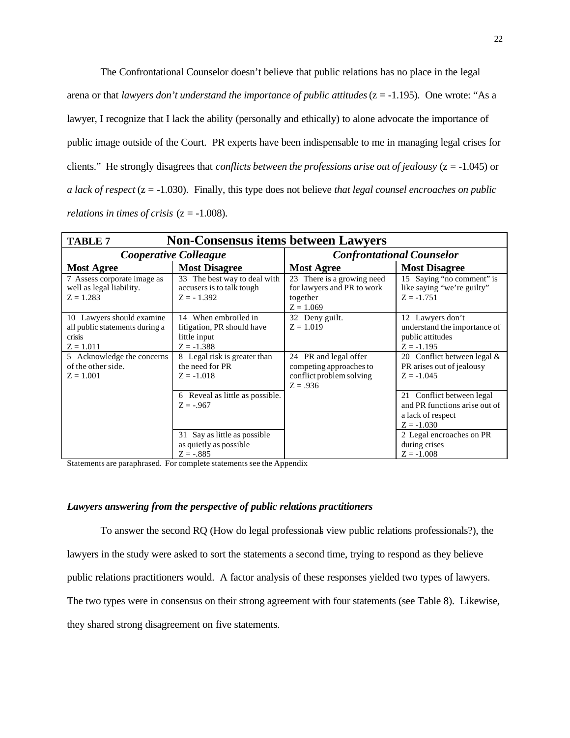The Confrontational Counselor doesn't believe that public relations has no place in the legal arena or that *lawyers don't understand the importance of public attitudes*  $(z = -1.195)$ . One wrote: "As a lawyer, I recognize that I lack the ability (personally and ethically) to alone advocate the importance of public image outside of the Court. PR experts have been indispensable to me in managing legal crises for clients." He strongly disagrees that *conflicts between the professions arise out of jealousy* (z = -1.045) or *a lack of respect* (z = -1.030). Finally, this type does not believe *that legal counsel encroaches on public relations in times of crisis*  $(z = -1.008)$ .

| <b>Non-Consensus items between Lawyers</b><br><b>TABLE 7</b>                         |                                                                                    |                                                                                            |                                                                                                 |  |  |
|--------------------------------------------------------------------------------------|------------------------------------------------------------------------------------|--------------------------------------------------------------------------------------------|-------------------------------------------------------------------------------------------------|--|--|
|                                                                                      | Cooperative Colleague                                                              | <b>Confrontational Counselor</b>                                                           |                                                                                                 |  |  |
| <b>Most Agree</b>                                                                    | <b>Most Disagree</b>                                                               | <b>Most Agree</b>                                                                          | <b>Most Disagree</b>                                                                            |  |  |
| 7 Assess corporate image as<br>well as legal liability.<br>$Z = 1.283$               | 33 The best way to deal with<br>accusers is to talk tough<br>$Z = -1.392$          | 23 There is a growing need<br>for lawyers and PR to work<br>together<br>$Z = 1.069$        | 15 Saying "no comment" is<br>like saying "we're guilty"<br>$Z = -1.751$                         |  |  |
| 10 Lawyers should examine<br>all public statements during a<br>crisis<br>$Z = 1.011$ | 14 When embroiled in<br>litigation, PR should have<br>little input<br>$Z = -1.388$ | 32 Deny guilt.<br>$Z = 1.019$                                                              | 12 Lawyers don't<br>understand the importance of<br>public attitudes<br>$Z = -1.195$            |  |  |
| 5 Acknowledge the concerns<br>of the other side.<br>$Z = 1.001$                      | 8 Legal risk is greater than<br>the need for PR<br>$Z = -1.018$                    | 24 PR and legal offer<br>competing approaches to<br>conflict problem solving<br>$Z = .936$ | 20 Conflict between legal &<br>PR arises out of jealousy<br>$Z = -1.045$                        |  |  |
|                                                                                      | 6 Reveal as little as possible.<br>$Z = -.967$                                     |                                                                                            | 21 Conflict between legal<br>and PR functions arise out of<br>a lack of respect<br>$Z = -1.030$ |  |  |
|                                                                                      | Say as little as possible<br>31<br>as quietly as possible<br>$Z = -.885$           |                                                                                            | 2 Legal encroaches on PR<br>during crises<br>$Z = -1.008$                                       |  |  |

Statements are paraphrased. For complete statements see the Appendix

# *Lawyers answering from the perspective of public relations practitioners*

To answer the second RQ (How do legal professionals view public relations professionals?), the lawyers in the study were asked to sort the statements a second time, trying to respond as they believe public relations practitioners would. A factor analysis of these responses yielded two types of lawyers. The two types were in consensus on their strong agreement with four statements (see Table 8). Likewise, they shared strong disagreement on five statements.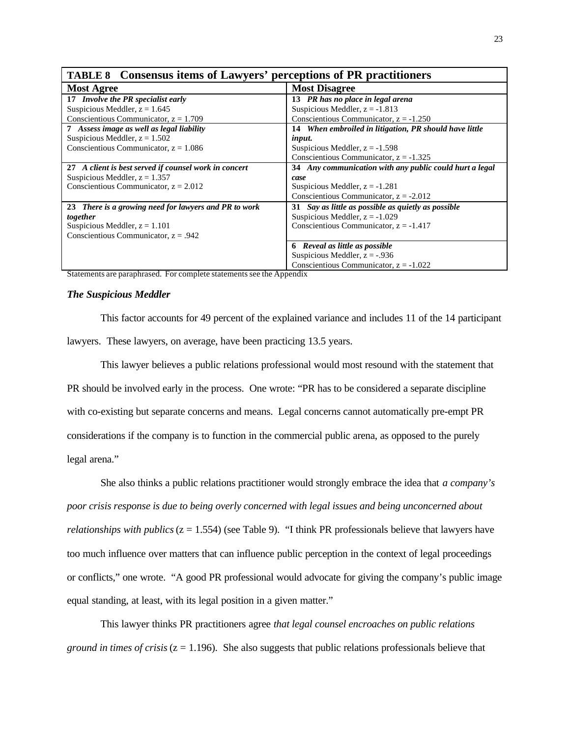| <b>TABLE 8</b> Consensus items of Lawyers' perceptions of PR practitioners |                                                           |  |  |  |
|----------------------------------------------------------------------------|-----------------------------------------------------------|--|--|--|
| <b>Most Agree</b>                                                          | <b>Most Disagree</b>                                      |  |  |  |
| 17 Involve the PR specialist early                                         | 13 PR has no place in legal arena                         |  |  |  |
| Suspicious Meddler, $z = 1.645$                                            | Suspicious Meddler, $z = -1.813$                          |  |  |  |
| Conscientious Communicator, $z = 1.709$                                    | Conscientious Communicator, $z = -1.250$                  |  |  |  |
| 7 Assess image as well as legal liability                                  | When embroiled in litigation, PR should have little<br>14 |  |  |  |
| Suspicious Meddler, $z = 1.502$                                            | <i>input.</i>                                             |  |  |  |
| Conscientious Communicator, $z = 1.086$                                    | Suspicious Meddler, $z = -1.598$                          |  |  |  |
|                                                                            | Conscientious Communicator, $z = -1.325$                  |  |  |  |
| 27 A client is best served if counsel work in concert                      | 34 Any communication with any public could hurt a legal   |  |  |  |
| Suspicious Meddler, $z = 1.357$                                            | case                                                      |  |  |  |
| Conscientious Communicator, $z = 2.012$                                    | Suspicious Meddler, $z = -1.281$                          |  |  |  |
|                                                                            | Conscientious Communicator, $z = -2.012$                  |  |  |  |
| 23 There is a growing need for lawyers and PR to work                      | 31 Say as little as possible as quietly as possible       |  |  |  |
| together                                                                   | Suspicious Meddler, $z = -1.029$                          |  |  |  |
| Suspicious Meddler, $z = 1.101$                                            | Conscientious Communicator, $z = -1.417$                  |  |  |  |
| Conscientious Communicator, $z = .942$                                     |                                                           |  |  |  |
|                                                                            | 6 Reveal as little as possible                            |  |  |  |
|                                                                            | Suspicious Meddler, $z = -.936$                           |  |  |  |
|                                                                            | Conscientious Communicator, $z = -1.022$                  |  |  |  |

Statements are paraphrased. For complete statements see the Appendix

#### *The Suspicious Meddler*

This factor accounts for 49 percent of the explained variance and includes 11 of the 14 participant lawyers. These lawyers, on average, have been practicing 13.5 years.

This lawyer believes a public relations professional would most resound with the statement that PR should be involved early in the process. One wrote: "PR has to be considered a separate discipline with co-existing but separate concerns and means. Legal concerns cannot automatically pre-empt PR considerations if the company is to function in the commercial public arena, as opposed to the purely legal arena."

She also thinks a public relations practitioner would strongly embrace the idea that *a company's poor crisis response is due to being overly concerned with legal issues and being unconcerned about relationships with publics* ( $z = 1.554$ ) (see Table 9). "I think PR professionals believe that lawyers have too much influence over matters that can influence public perception in the context of legal proceedings or conflicts," one wrote. "A good PR professional would advocate for giving the company's public image equal standing, at least, with its legal position in a given matter."

This lawyer thinks PR practitioners agree *that legal counsel encroaches on public relations ground in times of crisis* (z = 1.196). She also suggests that public relations professionals believe that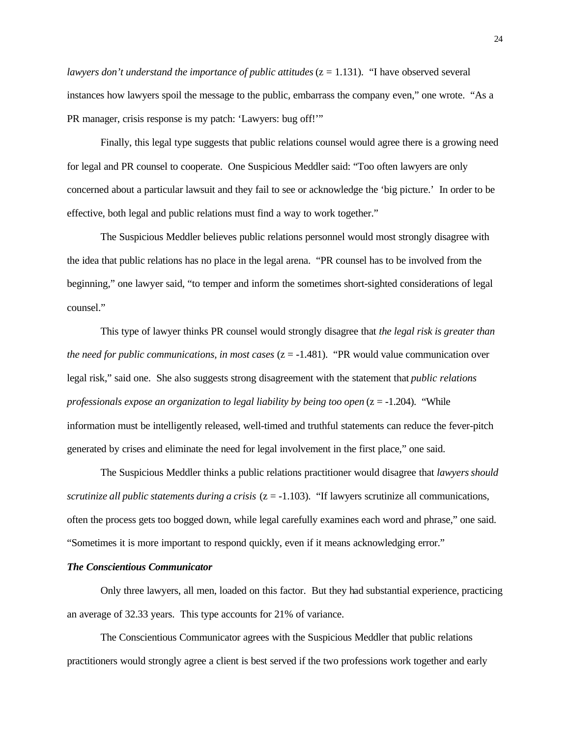*lawyers don't understand the importance of public attitudes* ( $z = 1.131$ ). "I have observed several instances how lawyers spoil the message to the public, embarrass the company even," one wrote. "As a PR manager, crisis response is my patch: 'Lawyers: bug off!'"

Finally, this legal type suggests that public relations counsel would agree there is a growing need for legal and PR counsel to cooperate. One Suspicious Meddler said: "Too often lawyers are only concerned about a particular lawsuit and they fail to see or acknowledge the 'big picture.' In order to be effective, both legal and public relations must find a way to work together."

The Suspicious Meddler believes public relations personnel would most strongly disagree with the idea that public relations has no place in the legal arena. "PR counsel has to be involved from the beginning," one lawyer said, "to temper and inform the sometimes short-sighted considerations of legal counsel."

 This type of lawyer thinks PR counsel would strongly disagree that *the legal risk is greater than the need for public communications, in most cases*  $(z = -1.481)$ . "PR would value communication over legal risk," said one. She also suggests strong disagreement with the statement that *public relations professionals expose an organization to legal liability by being too open* (z = -1.204). "While information must be intelligently released, well-timed and truthful statements can reduce the fever-pitch generated by crises and eliminate the need for legal involvement in the first place," one said.

The Suspicious Meddler thinks a public relations practitioner would disagree that *lawyers should scrutinize all public statements during a crisis* (z = -1.103). "If lawyers scrutinize all communications, often the process gets too bogged down, while legal carefully examines each word and phrase," one said. "Sometimes it is more important to respond quickly, even if it means acknowledging error."

#### *The Conscientious Communicator*

Only three lawyers, all men, loaded on this factor. But they had substantial experience, practicing an average of 32.33 years. This type accounts for 21% of variance.

The Conscientious Communicator agrees with the Suspicious Meddler that public relations practitioners would strongly agree a client is best served if the two professions work together and early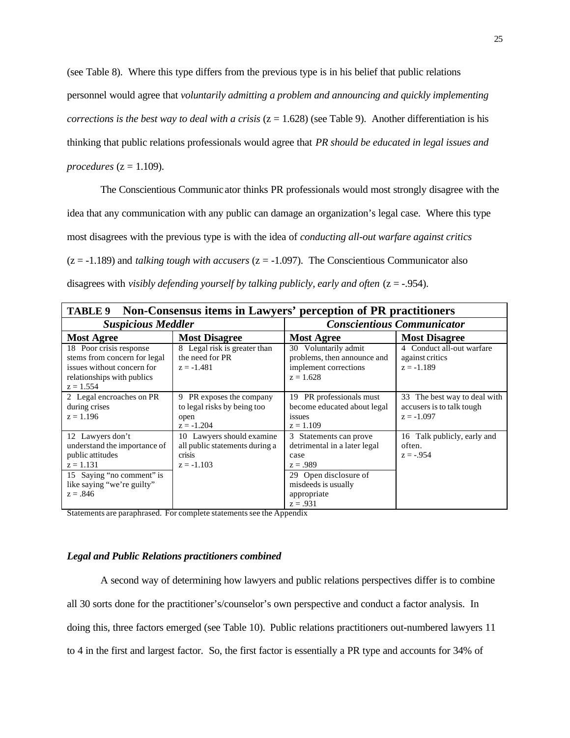(see Table 8). Where this type differs from the previous type is in his belief that public relations personnel would agree that *voluntarily admitting a problem and announcing and quickly implementing corrections is the best way to deal with a crisis*  $(z = 1.628)$  (see Table 9). Another differentiation is his thinking that public relations professionals would agree that *PR should be educated in legal issues and procedures*  $(z = 1.109)$ .

The Conscientious Communic ator thinks PR professionals would most strongly disagree with the idea that any communication with any public can damage an organization's legal case. Where this type most disagrees with the previous type is with the idea of *conducting all-out warfare against critics* (z = -1.189) and *talking tough with accusers* (z = -1.097). The Conscientious Communicator also disagrees with *visibly defending yourself by talking publicly, early and often* ( $z = -0.954$ ).

| Non-Consensus items in Lawyers' perception of PR practitioners<br><b>TABLE 9</b> |                                |                                   |                              |  |  |
|----------------------------------------------------------------------------------|--------------------------------|-----------------------------------|------------------------------|--|--|
| <b>Suspicious Meddler</b>                                                        |                                | <b>Conscientious Communicator</b> |                              |  |  |
| <b>Most Disagree</b><br><b>Most Agree</b>                                        |                                | <b>Most Agree</b>                 | <b>Most Disagree</b>         |  |  |
| 18 Poor crisis response                                                          | 8 Legal risk is greater than   | 30 Voluntarily admit              | 4 Conduct all-out warfare    |  |  |
| stems from concern for legal                                                     | the need for PR                | problems, then announce and       | against critics              |  |  |
| issues without concern for                                                       | $z = -1.481$                   | implement corrections             | $z = -1.189$                 |  |  |
| relationships with publics                                                       |                                | $z = 1.628$                       |                              |  |  |
| $z = 1.554$                                                                      |                                |                                   |                              |  |  |
| 2 Legal encroaches on PR                                                         | 9 PR exposes the company       | PR professionals must<br>19       | 33 The best way to deal with |  |  |
| during crises                                                                    | to legal risks by being too    | become educated about legal       | accusers is to talk tough    |  |  |
| $z = 1.196$                                                                      | open                           | issues                            | $z = -1.097$                 |  |  |
|                                                                                  | $z = -1.204$                   | $z = 1.109$                       |                              |  |  |
| 12 Lawyers don't                                                                 | 10 Lawyers should examine      | 3 Statements can prove            | 16 Talk publicly, early and  |  |  |
| understand the importance of                                                     | all public statements during a | detrimental in a later legal      | often.                       |  |  |
| public attitudes<br>crisis                                                       |                                | case                              | $z = -.954$                  |  |  |
| $z = 1.131$                                                                      | $z = -1.103$                   | $z = .989$                        |                              |  |  |
| 15 Saying "no comment" is                                                        |                                | 29 Open disclosure of             |                              |  |  |
| like saying "we're guilty"                                                       |                                | misdeeds is usually               |                              |  |  |
| $z = .846$                                                                       |                                | appropriate                       |                              |  |  |
|                                                                                  |                                | $z = .931$                        |                              |  |  |

Statements are paraphrased. For complete statements see the Appendix

#### *Legal and Public Relations practitioners combined*

A second way of determining how lawyers and public relations perspectives differ is to combine all 30 sorts done for the practitioner's/counselor's own perspective and conduct a factor analysis. In doing this, three factors emerged (see Table 10). Public relations practitioners out-numbered lawyers 11 to 4 in the first and largest factor. So, the first factor is essentially a PR type and accounts for 34% of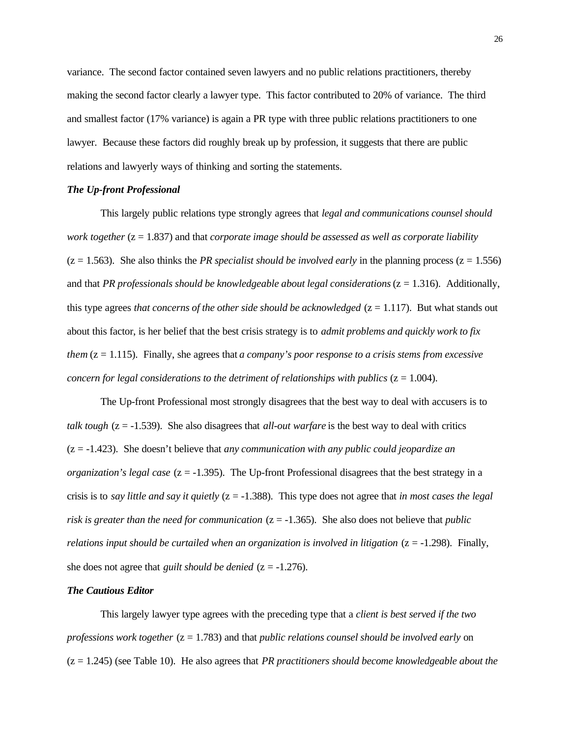variance. The second factor contained seven lawyers and no public relations practitioners, thereby making the second factor clearly a lawyer type. This factor contributed to 20% of variance. The third and smallest factor (17% variance) is again a PR type with three public relations practitioners to one lawyer. Because these factors did roughly break up by profession, it suggests that there are public relations and lawyerly ways of thinking and sorting the statements.

#### *The Up-front Professional*

This largely public relations type strongly agrees that *legal and communications counsel should work together* (z = 1.837) and that *corporate image should be assessed as well as corporate liability*  $(z = 1.563)$ . She also thinks the *PR specialist should be involved early* in the planning process  $(z = 1.556)$ and that *PR professionals should be knowledgeable about legal considerations* (z = 1.316). Additionally, this type agrees *that concerns of the other side should be acknowledged*  $(z = 1.117)$ . But what stands out about this factor, is her belief that the best crisis strategy is to *admit problems and quickly work to fix them* (z = 1.115). Finally, she agrees that *a company's poor response to a crisis stems from excessive concern for legal considerations to the detriment of relationships with publics*  $(z = 1.004)$ .

The Up-front Professional most strongly disagrees that the best way to deal with accusers is to *talk tough* (z = -1.539). She also disagrees that *all-out warfare* is the best way to deal with critics (z = -1.423). She doesn't believe that *any communication with any public could jeopardize an organization's legal case* (z = -1.395). The Up-front Professional disagrees that the best strategy in a crisis is to *say little and say it quietly* (z = -1.388). This type does not agree that *in most cases the legal risk is greater than the need for communication*  $(z = -1.365)$ . She also does not believe that *public relations input should be curtailed when an organization is involved in litigation* ( $z = -1.298$ ). Finally, she does not agree that *guilt should be denied*  $(z = -1.276)$ .

#### *The Cautious Editor*

This largely lawyer type agrees with the preceding type that a *client is best served if the two professions work together* (z = 1.783) and that *public relations counsel should be involved early* on (z = 1.245) (see Table 10). He also agrees that *PR practitioners should become knowledgeable about the*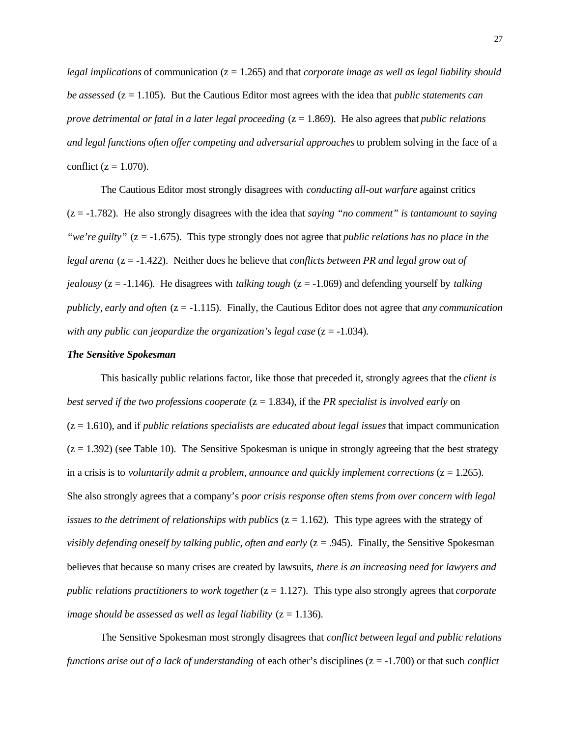*legal implications* of communication (z = 1.265) and that *corporate image as well as legal liability should be assessed* (z = 1.105). But the Cautious Editor most agrees with the idea that *public statements can prove detrimental or fatal in a later legal proceeding* (z = 1.869). He also agrees that *public relations and legal functions often offer competing and adversarial approaches* to problem solving in the face of a conflict ( $z = 1.070$ ).

The Cautious Editor most strongly disagrees with *conducting all-out warfare* against critics (z = -1.782). He also strongly disagrees with the idea that *saying "no comment" is tantamount to saying "we're guilty"* (z = -1.675). This type strongly does not agree that *public relations has no place in the legal arena* (z = -1.422). Neither does he believe that *conflicts between PR and legal grow out of jealousy* (z = -1.146). He disagrees with *talking tough* (z = -1.069) and defending yourself by *talking publicly, early and often* (z = -1.115). Finally, the Cautious Editor does not agree that *any communication with any public can jeopardize the organization's legal case* (z = -1.034).

#### *The Sensitive Spokesman*

This basically public relations factor, like those that preceded it, strongly agrees that the *client is best served if the two professions cooperate* (z = 1.834), if the *PR specialist is involved early* on (z = 1.610), and if *public relations specialists are educated about legal issues* that impact communication  $(z = 1.392)$  (see Table 10). The Sensitive Spokesman is unique in strongly agreeing that the best strategy in a crisis is to *voluntarily admit a problem, announce and quickly implement corrections*  $(z = 1.265)$ . She also strongly agrees that a company's *poor crisis response often stems from over concern with legal issues to the detriment of relationships with publics*  $(z = 1.162)$ . This type agrees with the strategy of *visibly defending oneself by talking public, often and early* (z = .945). Finally, the Sensitive Spokesman believes that because so many crises are created by lawsuits, *there is an increasing need for lawyers and public relations practitioners to work together* (z = 1.127). This type also strongly agrees that *corporate image should be assessed as well as legal liability*  $(z = 1.136)$ .

The Sensitive Spokesman most strongly disagrees that *conflict between legal and public relations functions arise out of a lack of understanding* of each other's disciplines (z = -1.700) or that such *conflict*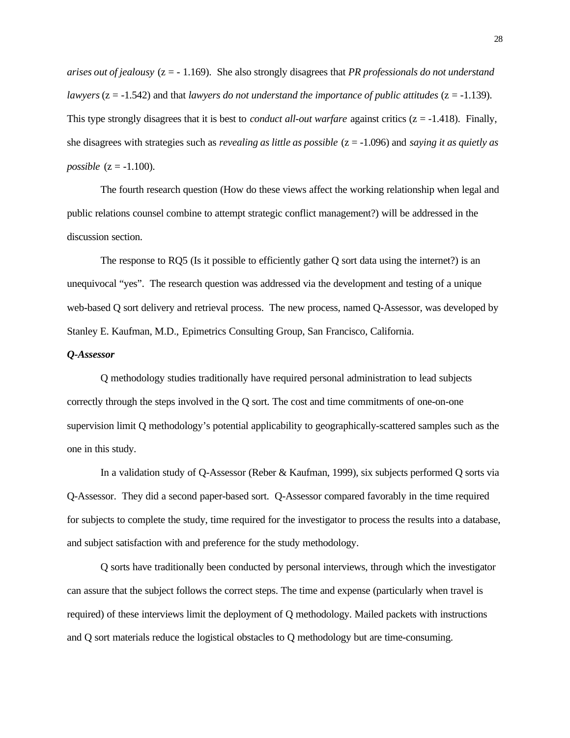*arises out of jealousy* (z = - 1.169). She also strongly disagrees that *PR professionals do not understand lawyers* (z = -1.542) and that *lawyers do not understand the importance of public attitudes* (z = -1.139). This type strongly disagrees that it is best to *conduct all-out warfare* against critics  $(z = -1.418)$ . Finally, she disagrees with strategies such as *revealing as little as possible* (z = -1.096) and *saying it as quietly as possible*  $(z = -1.100)$ .

The fourth research question (How do these views affect the working relationship when legal and public relations counsel combine to attempt strategic conflict management?) will be addressed in the discussion section.

The response to RQ5 (Is it possible to efficiently gather Q sort data using the internet?) is an unequivocal "yes". The research question was addressed via the development and testing of a unique web-based Q sort delivery and retrieval process. The new process, named Q-Assessor, was developed by Stanley E. Kaufman, M.D., Epimetrics Consulting Group, San Francisco, California.

# *Q-Assessor*

Q methodology studies traditionally have required personal administration to lead subjects correctly through the steps involved in the Q sort. The cost and time commitments of one-on-one supervision limit Q methodology's potential applicability to geographically-scattered samples such as the one in this study.

In a validation study of Q-Assessor (Reber & Kaufman, 1999), six subjects performed Q sorts via Q-Assessor. They did a second paper-based sort. Q-Assessor compared favorably in the time required for subjects to complete the study, time required for the investigator to process the results into a database, and subject satisfaction with and preference for the study methodology.

Q sorts have traditionally been conducted by personal interviews, through which the investigator can assure that the subject follows the correct steps. The time and expense (particularly when travel is required) of these interviews limit the deployment of Q methodology. Mailed packets with instructions and Q sort materials reduce the logistical obstacles to Q methodology but are time-consuming.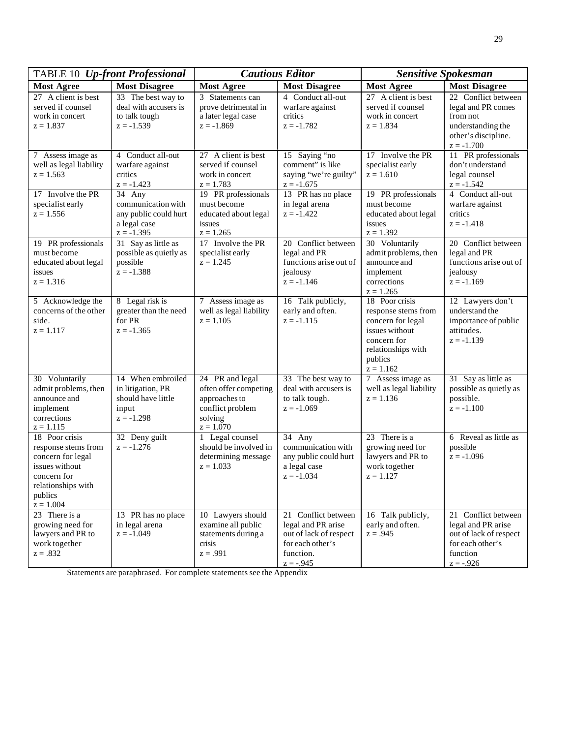| TABLE 10 Up-front Professional                                                                                                              |                                                                                       |                                                                                                         | <b>Cautious Editor</b>                                                                                              |                                                                                                                                             | <b>Sensitive Spokesman</b>                                                                                         |
|---------------------------------------------------------------------------------------------------------------------------------------------|---------------------------------------------------------------------------------------|---------------------------------------------------------------------------------------------------------|---------------------------------------------------------------------------------------------------------------------|---------------------------------------------------------------------------------------------------------------------------------------------|--------------------------------------------------------------------------------------------------------------------|
| <b>Most Agree</b>                                                                                                                           | <b>Most Disagree</b><br><b>Most Agree</b>                                             |                                                                                                         | <b>Most Disagree</b>                                                                                                | <b>Most Agree</b>                                                                                                                           | <b>Most Disagree</b>                                                                                               |
| 27 A client is best<br>served if counsel<br>work in concert<br>$z = 1.837$                                                                  | 33 The best way to<br>deal with accusers is<br>to talk tough<br>$z = -1.539$          | 3 Statements can<br>prove detrimental in<br>a later legal case<br>$z = -1.869$                          | 4 Conduct all-out<br>warfare against<br>critics<br>$z = -1.782$                                                     | 27 A client is best<br>served if counsel<br>work in concert<br>$z = 1.834$                                                                  | 22 Conflict between<br>legal and PR comes<br>from not<br>understanding the<br>other's discipline.<br>$z = -1.700$  |
| 7 Assess image as<br>well as legal liability<br>$z = 1.563$                                                                                 | 4 Conduct all-out<br>warfare against<br>critics<br>$z = -1.423$                       | 27 A client is best<br>served if counsel<br>work in concert<br>$z = 1.783$                              | 15 Saying "no<br>comment" is like<br>saying "we're guilty"<br>$z = -1.675$                                          | 17 Involve the PR<br>specialist early<br>$z = 1.610$                                                                                        | 11 PR professionals<br>don't understand<br>legal counsel<br>$z = -1.542$                                           |
| 17 Involve the PR<br>specialist early<br>$z = 1.556$                                                                                        | 34 Any<br>communication with<br>any public could hurt<br>a legal case<br>$z = -1.395$ | 19 PR professionals<br>must become<br>educated about legal<br>issues<br>$z = 1.265$                     | 13 PR has no place<br>in legal arena<br>$z = -1.422$                                                                | 19 PR professionals<br>must become<br>educated about legal<br>issues<br>$z = 1.392$                                                         | 4 Conduct all-out<br>warfare against<br>critics<br>$z = -1.418$                                                    |
| 19 PR professionals<br>must become<br>educated about legal<br>issues<br>$z = 1.316$                                                         | 31 Say as little as<br>possible as quietly as<br>possible<br>$z = -1.388$             | 17 Involve the PR<br>specialist early<br>$z = 1.245$                                                    | 20 Conflict between<br>legal and PR<br>functions arise out of<br>jealousy<br>$z = -1.146$                           | 30 Voluntarily<br>admit problems, then<br>announce and<br>implement<br>corrections<br>$z = 1.265$                                           | 20 Conflict between<br>legal and PR<br>functions arise out of<br>jealousy<br>$z = -1.169$                          |
| 5 Acknowledge the<br>concerns of the other<br>side.<br>$z = 1.117$                                                                          | 8 Legal risk is<br>greater than the need<br>for PR<br>$z = -1.365$                    | 7 Assess image as<br>well as legal liability<br>$z = 1.105$                                             | 16 Talk publicly,<br>early and often.<br>$z = -1.115$                                                               | 18 Poor crisis<br>response stems from<br>concern for legal<br>issues without<br>concern for<br>relationships with<br>publics<br>$z = 1.162$ | 12 Lawyers don't<br>understand the<br>importance of public<br>attitudes.<br>$z = -1.139$                           |
| 30 Voluntarily<br>admit problems, then<br>announce and<br>implement<br>corrections<br>$z = 1.115$                                           | 14 When embroiled<br>in litigation, PR<br>should have little<br>input<br>$z = -1.298$ | 24 PR and legal<br>often offer competing<br>approaches to<br>conflict problem<br>solving<br>$z = 1.070$ | 33 The best way to<br>deal with accusers is<br>to talk tough.<br>$z = -1.069$                                       | 7 Assess image as<br>well as legal liability<br>$z = 1.136$                                                                                 | 31 Say as little as<br>possible as quietly as<br>possible.<br>$z = -1.100$                                         |
| 18 Poor crisis<br>response stems from<br>concern for legal<br>issues without<br>concern for<br>relationships with<br>publics<br>$z = 1.004$ | 32 Deny guilt<br>$z = -1.276$                                                         | 1 Legal counsel<br>should be involved in<br>determining message<br>$z = 1.033$                          | 34 Any<br>communication with<br>any public could hurt<br>a legal case<br>$z = -1.034$                               | 23 There is a<br>growing need for<br>lawyers and PR to<br>work together<br>$z = 1.127$                                                      | 6 Reveal as little as<br>possible<br>$z = -1.096$                                                                  |
| 23 There is a<br>growing need for<br>lawyers and PR to<br>work together<br>$z = .832$                                                       | 13 PR has no place<br>in legal arena<br>$z = -1.049$                                  | 10 Lawyers should<br>examine all public<br>statements during a<br>crisis<br>$z = .991$                  | 21 Conflict between<br>legal and PR arise<br>out of lack of respect<br>for each other's<br>function.<br>$z = -.945$ | 16 Talk publicly,<br>early and often.<br>$z = .945$                                                                                         | 21 Conflict between<br>legal and PR arise<br>out of lack of respect<br>for each other's<br>function<br>$z = -.926$ |

Statements are paraphrased. For complete statements see the Appendix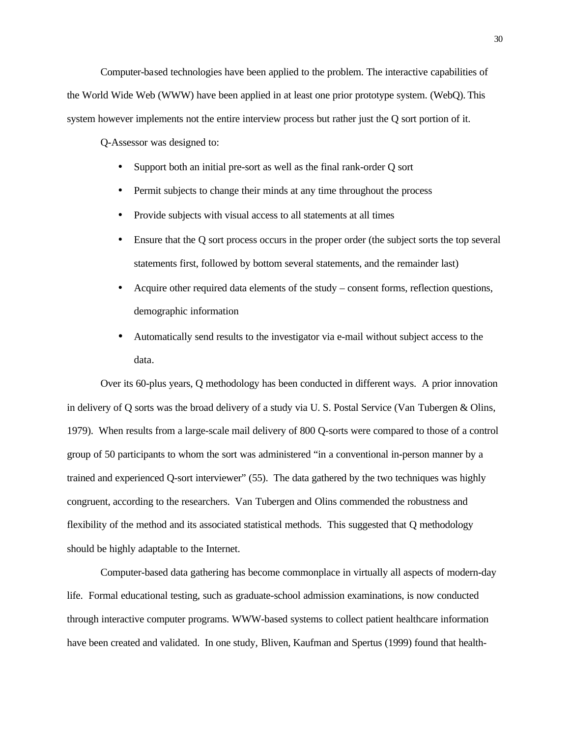Computer-based technologies have been applied to the problem. The interactive capabilities of the World Wide Web (WWW) have been applied in at least one prior prototype system. (WebQ). This system however implements not the entire interview process but rather just the Q sort portion of it.

Q-Assessor was designed to:

- Support both an initial pre-sort as well as the final rank-order Q sort
- Permit subjects to change their minds at any time throughout the process
- Provide subjects with visual access to all statements at all times
- Ensure that the Q sort process occurs in the proper order (the subject sorts the top several statements first, followed by bottom several statements, and the remainder last)
- Acquire other required data elements of the study consent forms, reflection questions, demographic information
- Automatically send results to the investigator via e-mail without subject access to the data.

Over its 60-plus years, Q methodology has been conducted in different ways. A prior innovation in delivery of Q sorts was the broad delivery of a study via U. S. Postal Service (Van Tubergen & Olins, 1979). When results from a large-scale mail delivery of 800 Q-sorts were compared to those of a control group of 50 participants to whom the sort was administered "in a conventional in-person manner by a trained and experienced Q-sort interviewer" (55). The data gathered by the two techniques was highly congruent, according to the researchers. Van Tubergen and Olins commended the robustness and flexibility of the method and its associated statistical methods. This suggested that Q methodology should be highly adaptable to the Internet.

Computer-based data gathering has become commonplace in virtually all aspects of modern-day life. Formal educational testing, such as graduate-school admission examinations, is now conducted through interactive computer programs. WWW-based systems to collect patient healthcare information have been created and validated. In one study, Bliven, Kaufman and Spertus (1999) found that health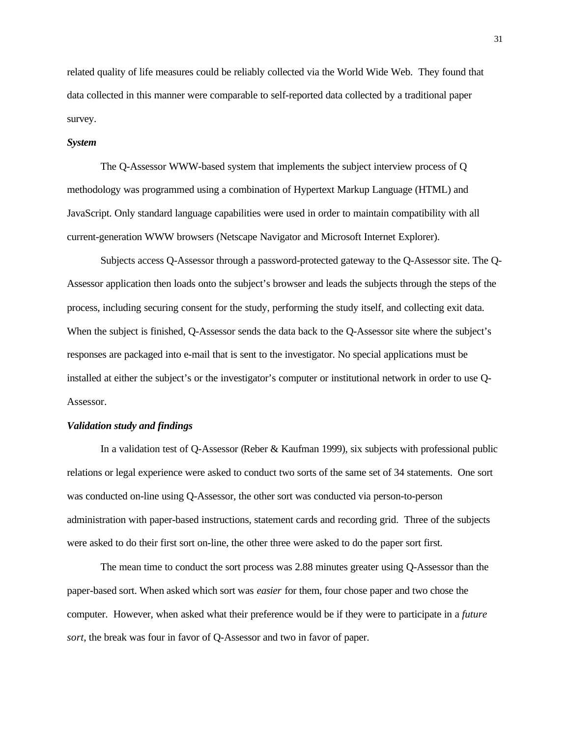related quality of life measures could be reliably collected via the World Wide Web. They found that data collected in this manner were comparable to self-reported data collected by a traditional paper survey.

#### *System*

The Q-Assessor WWW-based system that implements the subject interview process of Q methodology was programmed using a combination of Hypertext Markup Language (HTML) and JavaScript. Only standard language capabilities were used in order to maintain compatibility with all current-generation WWW browsers (Netscape Navigator and Microsoft Internet Explorer).

Subjects access Q-Assessor through a password-protected gateway to the Q-Assessor site. The Q-Assessor application then loads onto the subject's browser and leads the subjects through the steps of the process, including securing consent for the study, performing the study itself, and collecting exit data. When the subject is finished, Q-Assessor sends the data back to the Q-Assessor site where the subject's responses are packaged into e-mail that is sent to the investigator. No special applications must be installed at either the subject's or the investigator's computer or institutional network in order to use Q-Assessor.

# *Validation study and findings*

In a validation test of Q-Assessor (Reber & Kaufman 1999), six subjects with professional public relations or legal experience were asked to conduct two sorts of the same set of 34 statements. One sort was conducted on-line using Q-Assessor, the other sort was conducted via person-to-person administration with paper-based instructions, statement cards and recording grid. Three of the subjects were asked to do their first sort on-line, the other three were asked to do the paper sort first.

The mean time to conduct the sort process was 2.88 minutes greater using Q-Assessor than the paper-based sort. When asked which sort was *easier* for them, four chose paper and two chose the computer. However, when asked what their preference would be if they were to participate in a *future sort*, the break was four in favor of Q-Assessor and two in favor of paper.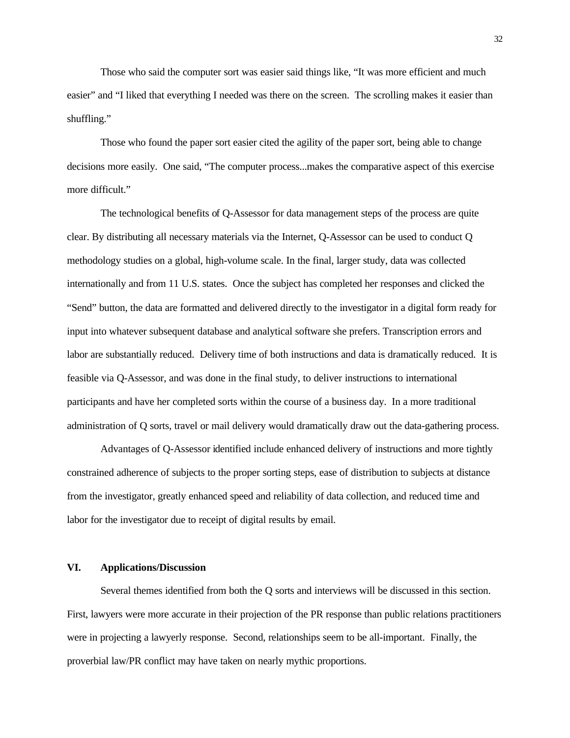Those who said the computer sort was easier said things like, "It was more efficient and much easier" and "I liked that everything I needed was there on the screen. The scrolling makes it easier than shuffling."

Those who found the paper sort easier cited the agility of the paper sort, being able to change decisions more easily. One said, "The computer process...makes the comparative aspect of this exercise more difficult."

The technological benefits of Q-Assessor for data management steps of the process are quite clear. By distributing all necessary materials via the Internet, Q-Assessor can be used to conduct Q methodology studies on a global, high-volume scale. In the final, larger study, data was collected internationally and from 11 U.S. states. Once the subject has completed her responses and clicked the "Send" button, the data are formatted and delivered directly to the investigator in a digital form ready for input into whatever subsequent database and analytical software she prefers. Transcription errors and labor are substantially reduced. Delivery time of both instructions and data is dramatically reduced. It is feasible via Q-Assessor, and was done in the final study, to deliver instructions to international participants and have her completed sorts within the course of a business day. In a more traditional administration of Q sorts, travel or mail delivery would dramatically draw out the data-gathering process.

Advantages of Q-Assessor identified include enhanced delivery of instructions and more tightly constrained adherence of subjects to the proper sorting steps, ease of distribution to subjects at distance from the investigator, greatly enhanced speed and reliability of data collection, and reduced time and labor for the investigator due to receipt of digital results by email.

# **VI. Applications/Discussion**

Several themes identified from both the Q sorts and interviews will be discussed in this section. First, lawyers were more accurate in their projection of the PR response than public relations practitioners were in projecting a lawyerly response. Second, relationships seem to be all-important. Finally, the proverbial law/PR conflict may have taken on nearly mythic proportions.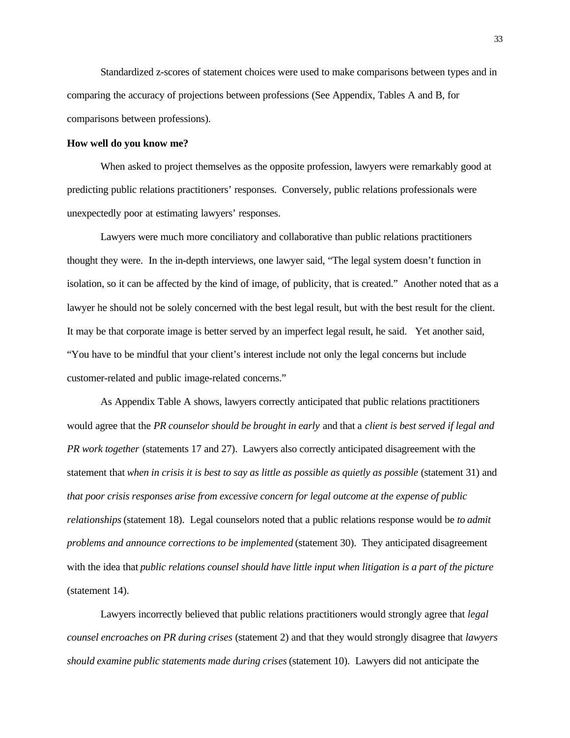Standardized z-scores of statement choices were used to make comparisons between types and in comparing the accuracy of projections between professions (See Appendix, Tables A and B, for comparisons between professions).

# **How well do you know me?**

When asked to project themselves as the opposite profession, lawyers were remarkably good at predicting public relations practitioners' responses. Conversely, public relations professionals were unexpectedly poor at estimating lawyers' responses.

Lawyers were much more conciliatory and collaborative than public relations practitioners thought they were. In the in-depth interviews, one lawyer said, "The legal system doesn't function in isolation, so it can be affected by the kind of image, of publicity, that is created." Another noted that as a lawyer he should not be solely concerned with the best legal result, but with the best result for the client. It may be that corporate image is better served by an imperfect legal result, he said. Yet another said, "You have to be mindful that your client's interest include not only the legal concerns but include customer-related and public image-related concerns."

As Appendix Table A shows, lawyers correctly anticipated that public relations practitioners would agree that the *PR counselor should be brought in early* and that a *client is best served if legal and PR work together* (statements 17 and 27). Lawyers also correctly anticipated disagreement with the statement that *when in crisis it is best to say as little as possible as quietly as possible* (statement 31) and *that poor crisis responses arise from excessive concern for legal outcome at the expense of public relationships* (statement 18). Legal counselors noted that a public relations response would be *to admit problems and announce corrections to be implemented* (statement 30). They anticipated disagreement with the idea that *public relations counsel should have little input when litigation is a part of the picture* (statement 14).

Lawyers incorrectly believed that public relations practitioners would strongly agree that *legal counsel encroaches on PR during crises* (statement 2) and that they would strongly disagree that *lawyers should examine public statements made during crises* (statement 10). Lawyers did not anticipate the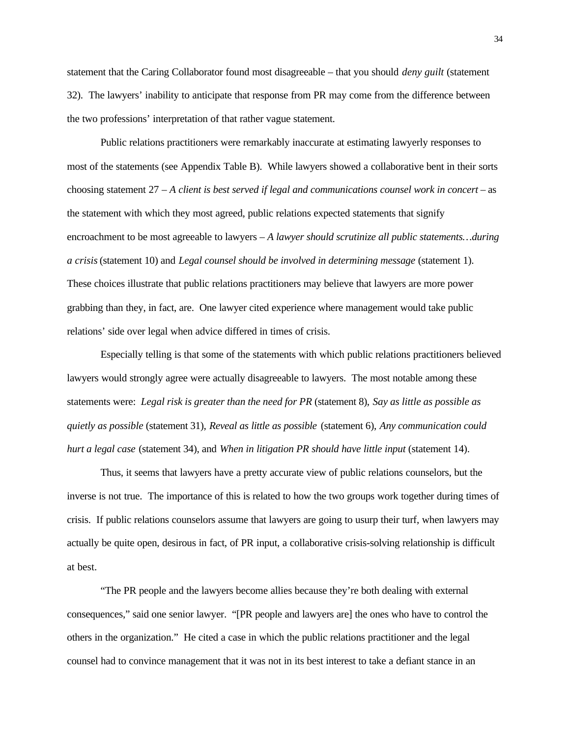statement that the Caring Collaborator found most disagreeable – that you should *deny guilt* (statement 32). The lawyers' inability to anticipate that response from PR may come from the difference between the two professions' interpretation of that rather vague statement.

Public relations practitioners were remarkably inaccurate at estimating lawyerly responses to most of the statements (see Appendix Table B). While lawyers showed a collaborative bent in their sorts choosing statement 27 – *A client is best served if legal and communications counsel work in concert* – as the statement with which they most agreed, public relations expected statements that signify encroachment to be most agreeable to lawyers – *A lawyer should scrutinize all public statements…during a crisis* (statement 10) and *Legal counsel should be involved in determining message* (statement 1). These choices illustrate that public relations practitioners may believe that lawyers are more power grabbing than they, in fact, are. One lawyer cited experience where management would take public relations' side over legal when advice differed in times of crisis.

Especially telling is that some of the statements with which public relations practitioners believed lawyers would strongly agree were actually disagreeable to lawyers. The most notable among these statements were: *Legal risk is greater than the need for PR* (statement 8), *Say as little as possible as quietly as possible* (statement 31), *Reveal as little as possible* (statement 6), *Any communication could hurt a legal case* (statement 34), and *When in litigation PR should have little input* (statement 14).

Thus, it seems that lawyers have a pretty accurate view of public relations counselors, but the inverse is not true. The importance of this is related to how the two groups work together during times of crisis. If public relations counselors assume that lawyers are going to usurp their turf, when lawyers may actually be quite open, desirous in fact, of PR input, a collaborative crisis-solving relationship is difficult at best.

"The PR people and the lawyers become allies because they're both dealing with external consequences," said one senior lawyer. "[PR people and lawyers are] the ones who have to control the others in the organization." He cited a case in which the public relations practitioner and the legal counsel had to convince management that it was not in its best interest to take a defiant stance in an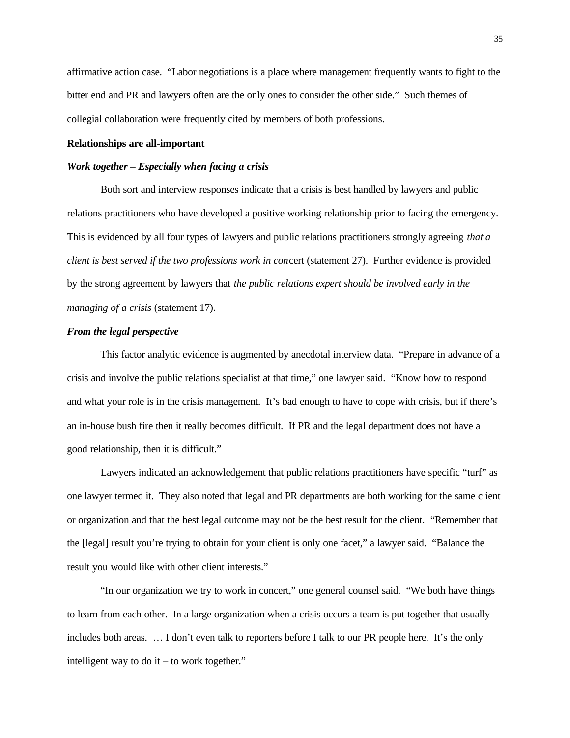affirmative action case. "Labor negotiations is a place where management frequently wants to fight to the bitter end and PR and lawyers often are the only ones to consider the other side." Such themes of collegial collaboration were frequently cited by members of both professions.

# **Relationships are all-important**

#### *Work together – Especially when facing a crisis*

Both sort and interview responses indicate that a crisis is best handled by lawyers and public relations practitioners who have developed a positive working relationship prior to facing the emergency. This is evidenced by all four types of lawyers and public relations practitioners strongly agreeing *that a client is best served if the two professions work in con*cert (statement 27). Further evidence is provided by the strong agreement by lawyers that *the public relations expert should be involved early in the managing of a crisis* (statement 17).

#### *From the legal perspective*

This factor analytic evidence is augmented by anecdotal interview data. "Prepare in advance of a crisis and involve the public relations specialist at that time," one lawyer said. "Know how to respond and what your role is in the crisis management. It's bad enough to have to cope with crisis, but if there's an in-house bush fire then it really becomes difficult. If PR and the legal department does not have a good relationship, then it is difficult."

Lawyers indicated an acknowledgement that public relations practitioners have specific "turf" as one lawyer termed it. They also noted that legal and PR departments are both working for the same client or organization and that the best legal outcome may not be the best result for the client. "Remember that the [legal] result you're trying to obtain for your client is only one facet," a lawyer said. "Balance the result you would like with other client interests."

"In our organization we try to work in concert," one general counsel said. "We both have things to learn from each other. In a large organization when a crisis occurs a team is put together that usually includes both areas. … I don't even talk to reporters before I talk to our PR people here. It's the only intelligent way to do it – to work together."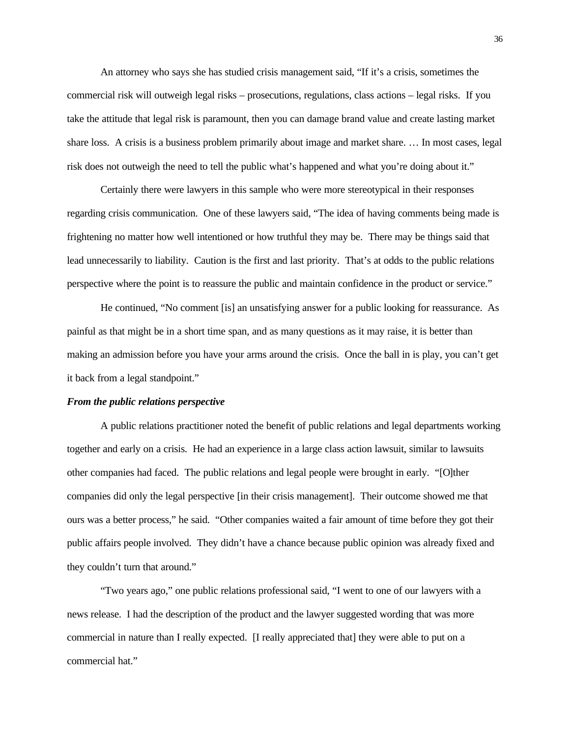An attorney who says she has studied crisis management said, "If it's a crisis, sometimes the commercial risk will outweigh legal risks – prosecutions, regulations, class actions – legal risks. If you take the attitude that legal risk is paramount, then you can damage brand value and create lasting market share loss. A crisis is a business problem primarily about image and market share. … In most cases, legal risk does not outweigh the need to tell the public what's happened and what you're doing about it."

Certainly there were lawyers in this sample who were more stereotypical in their responses regarding crisis communication. One of these lawyers said, "The idea of having comments being made is frightening no matter how well intentioned or how truthful they may be. There may be things said that lead unnecessarily to liability. Caution is the first and last priority. That's at odds to the public relations perspective where the point is to reassure the public and maintain confidence in the product or service."

He continued, "No comment [is] an unsatisfying answer for a public looking for reassurance. As painful as that might be in a short time span, and as many questions as it may raise, it is better than making an admission before you have your arms around the crisis. Once the ball in is play, you can't get it back from a legal standpoint."

#### *From the public relations perspective*

A public relations practitioner noted the benefit of public relations and legal departments working together and early on a crisis. He had an experience in a large class action lawsuit, similar to lawsuits other companies had faced. The public relations and legal people were brought in early. "[O]ther companies did only the legal perspective [in their crisis management]. Their outcome showed me that ours was a better process," he said. "Other companies waited a fair amount of time before they got their public affairs people involved. They didn't have a chance because public opinion was already fixed and they couldn't turn that around."

"Two years ago," one public relations professional said, "I went to one of our lawyers with a news release. I had the description of the product and the lawyer suggested wording that was more commercial in nature than I really expected. [I really appreciated that] they were able to put on a commercial hat."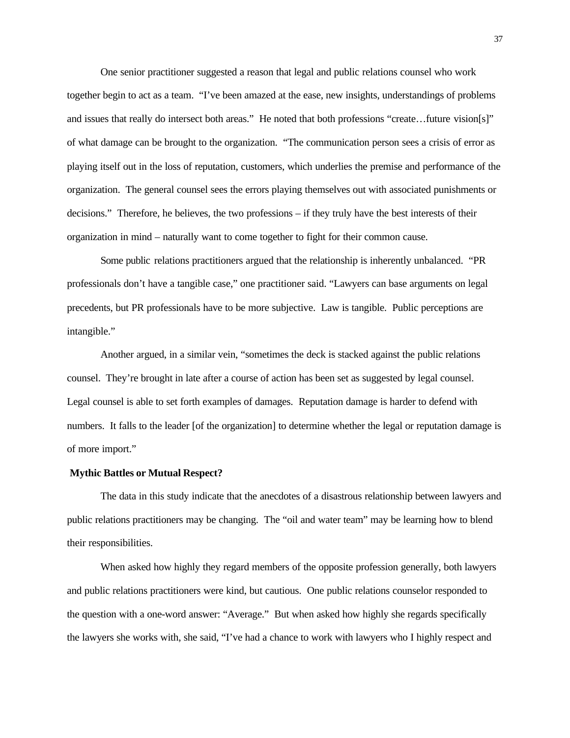One senior practitioner suggested a reason that legal and public relations counsel who work together begin to act as a team. "I've been amazed at the ease, new insights, understandings of problems and issues that really do intersect both areas." He noted that both professions "create…future vision[s]" of what damage can be brought to the organization. "The communication person sees a crisis of error as playing itself out in the loss of reputation, customers, which underlies the premise and performance of the organization. The general counsel sees the errors playing themselves out with associated punishments or decisions." Therefore, he believes, the two professions – if they truly have the best interests of their organization in mind – naturally want to come together to fight for their common cause.

Some public relations practitioners argued that the relationship is inherently unbalanced. "PR professionals don't have a tangible case," one practitioner said. "Lawyers can base arguments on legal precedents, but PR professionals have to be more subjective. Law is tangible. Public perceptions are intangible."

Another argued, in a similar vein, "sometimes the deck is stacked against the public relations counsel. They're brought in late after a course of action has been set as suggested by legal counsel. Legal counsel is able to set forth examples of damages. Reputation damage is harder to defend with numbers. It falls to the leader [of the organization] to determine whether the legal or reputation damage is of more import."

# **Mythic Battles or Mutual Respect?**

The data in this study indicate that the anecdotes of a disastrous relationship between lawyers and public relations practitioners may be changing. The "oil and water team" may be learning how to blend their responsibilities.

When asked how highly they regard members of the opposite profession generally, both lawyers and public relations practitioners were kind, but cautious. One public relations counselor responded to the question with a one-word answer: "Average." But when asked how highly she regards specifically the lawyers she works with, she said, "I've had a chance to work with lawyers who I highly respect and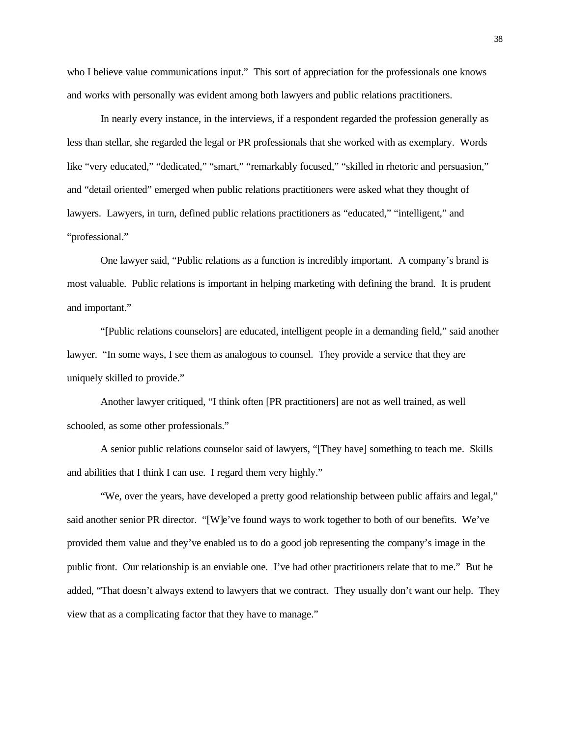who I believe value communications input." This sort of appreciation for the professionals one knows and works with personally was evident among both lawyers and public relations practitioners.

In nearly every instance, in the interviews, if a respondent regarded the profession generally as less than stellar, she regarded the legal or PR professionals that she worked with as exemplary. Words like "very educated," "dedicated," "smart," "remarkably focused," "skilled in rhetoric and persuasion," and "detail oriented" emerged when public relations practitioners were asked what they thought of lawyers. Lawyers, in turn, defined public relations practitioners as "educated," "intelligent," and "professional."

One lawyer said, "Public relations as a function is incredibly important. A company's brand is most valuable. Public relations is important in helping marketing with defining the brand. It is prudent and important."

"[Public relations counselors] are educated, intelligent people in a demanding field," said another lawyer. "In some ways, I see them as analogous to counsel. They provide a service that they are uniquely skilled to provide."

Another lawyer critiqued, "I think often [PR practitioners] are not as well trained, as well schooled, as some other professionals."

A senior public relations counselor said of lawyers, "[They have] something to teach me. Skills and abilities that I think I can use. I regard them very highly."

"We, over the years, have developed a pretty good relationship between public affairs and legal," said another senior PR director. "[W]e've found ways to work together to both of our benefits. We've provided them value and they've enabled us to do a good job representing the company's image in the public front. Our relationship is an enviable one. I've had other practitioners relate that to me." But he added, "That doesn't always extend to lawyers that we contract. They usually don't want our help. They view that as a complicating factor that they have to manage."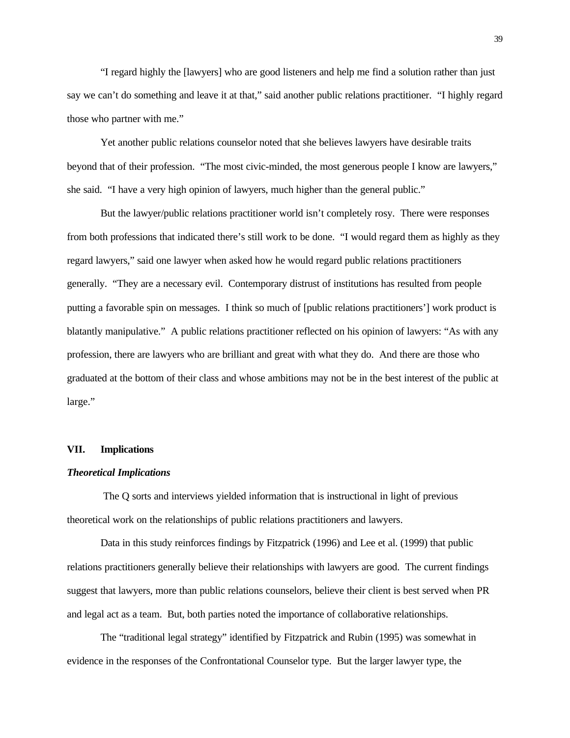"I regard highly the [lawyers] who are good listeners and help me find a solution rather than just say we can't do something and leave it at that," said another public relations practitioner. "I highly regard those who partner with me."

Yet another public relations counselor noted that she believes lawyers have desirable traits beyond that of their profession. "The most civic-minded, the most generous people I know are lawyers," she said. "I have a very high opinion of lawyers, much higher than the general public."

But the lawyer/public relations practitioner world isn't completely rosy. There were responses from both professions that indicated there's still work to be done. "I would regard them as highly as they regard lawyers," said one lawyer when asked how he would regard public relations practitioners generally. "They are a necessary evil. Contemporary distrust of institutions has resulted from people putting a favorable spin on messages. I think so much of [public relations practitioners'] work product is blatantly manipulative." A public relations practitioner reflected on his opinion of lawyers: "As with any profession, there are lawyers who are brilliant and great with what they do. And there are those who graduated at the bottom of their class and whose ambitions may not be in the best interest of the public at large."

#### **VII. Implications**

#### *Theoretical Implications*

 The Q sorts and interviews yielded information that is instructional in light of previous theoretical work on the relationships of public relations practitioners and lawyers.

Data in this study reinforces findings by Fitzpatrick (1996) and Lee et al. (1999) that public relations practitioners generally believe their relationships with lawyers are good. The current findings suggest that lawyers, more than public relations counselors, believe their client is best served when PR and legal act as a team. But, both parties noted the importance of collaborative relationships.

The "traditional legal strategy" identified by Fitzpatrick and Rubin (1995) was somewhat in evidence in the responses of the Confrontational Counselor type. But the larger lawyer type, the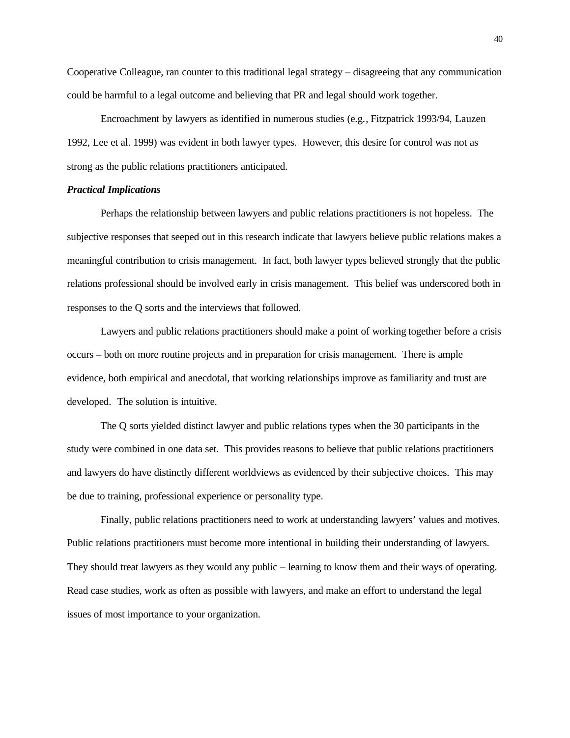Cooperative Colleague, ran counter to this traditional legal strategy – disagreeing that any communication could be harmful to a legal outcome and believing that PR and legal should work together.

Encroachment by lawyers as identified in numerous studies (e.g., Fitzpatrick 1993/94, Lauzen 1992, Lee et al. 1999) was evident in both lawyer types. However, this desire for control was not as strong as the public relations practitioners anticipated.

#### *Practical Implications*

Perhaps the relationship between lawyers and public relations practitioners is not hopeless. The subjective responses that seeped out in this research indicate that lawyers believe public relations makes a meaningful contribution to crisis management. In fact, both lawyer types believed strongly that the public relations professional should be involved early in crisis management. This belief was underscored both in responses to the Q sorts and the interviews that followed.

Lawyers and public relations practitioners should make a point of working together before a crisis occurs – both on more routine projects and in preparation for crisis management. There is ample evidence, both empirical and anecdotal, that working relationships improve as familiarity and trust are developed. The solution is intuitive.

The Q sorts yielded distinct lawyer and public relations types when the 30 participants in the study were combined in one data set. This provides reasons to believe that public relations practitioners and lawyers do have distinctly different worldviews as evidenced by their subjective choices. This may be due to training, professional experience or personality type.

Finally, public relations practitioners need to work at understanding lawyers' values and motives. Public relations practitioners must become more intentional in building their understanding of lawyers. They should treat lawyers as they would any public – learning to know them and their ways of operating. Read case studies, work as often as possible with lawyers, and make an effort to understand the legal issues of most importance to your organization.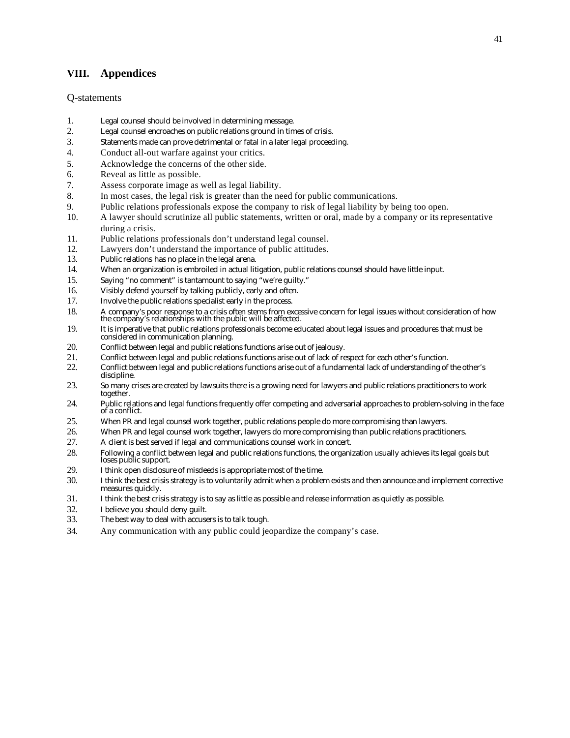# **VIII. Appendices**

#### Q-statements

- 1. Legal counsel should be involved in determining message.
- 2. Legal counsel encroaches on public relations ground in times of crisis.
- 3. Statements made can prove detrimental or fatal in a later legal proceeding.
- 4. Conduct all-out warfare against your critics.
- 5. Acknowledge the concerns of the other side.
- 6. Reveal as little as possible.
- 7. Assess corporate image as well as legal liability.
- 8. In most cases, the legal risk is greater than the need for public communications.
- 9. Public relations professionals expose the company to risk of legal liability by being too open.
- 10. A lawyer should scrutinize all public statements, written or oral, made by a company or its representative during a crisis.
- 11. Public relations professionals don't understand legal counsel.
- 12. Lawyers don't understand the importance of public attitudes.
- 13. Public relations has no place in the legal arena.
- 14. When an organization is embroiled in actual litigation, public relations counsel should have little input.
- 15. Saying "no comment" is tantamount to saying "we're guilty."
- 16. Visibly defend yourself by talking publicly, early and often.
- 17. Involve the public relations specialist early in the process.
- 18. A company's poor response to a crisis often stems from excessive concern for legal issues without consideration of how the company's relationships with the public will be affected.
- 19. It is imperative that public relations professionals become educated about legal issues and procedures that must be considered in communication planning.
- 20. Conflict between legal and public relations functions arise out of jealousy.
- 21. Conflict between legal and public relations functions arise out of lack of respect for each other's function.
- 22. Conflict between legal and public relations functions arise out of a fundamental lack of understanding of the other's discipline.
- 23. So many crises are created by lawsuits there is a growing need for lawyers and public relations practitioners to work together.
- 24. Public relations and legal functions frequently offer competing and adversarial approaches to problem-solving in the face of a conflict.
- 25. When PR and legal counsel work together, public relations people do more compromising than lawyers.
- 26. When PR and legal counsel work together, lawyers do more compromising than public relations practitioners.
- 27. A client is best served if legal and communications counsel work in concert.
- 28. Following a conflict between legal and public relations functions, the organization usually achieves its legal goals but loses public support.
- 29. I think open disclosure of misdeeds is appropriate most of the time.
- 30. I think the best crisis strategy is to voluntarily admit when a problem exists and then announce and implement corrective measures quickly.
- 31. I think the best crisis strategy is to say as little as possible and release information as quietly as possible.
- 32. I believe you should deny guilt.
- 33. The best way to deal with accusers is to talk tough.
- 34. Any communication with any public could jeopardize the company's case.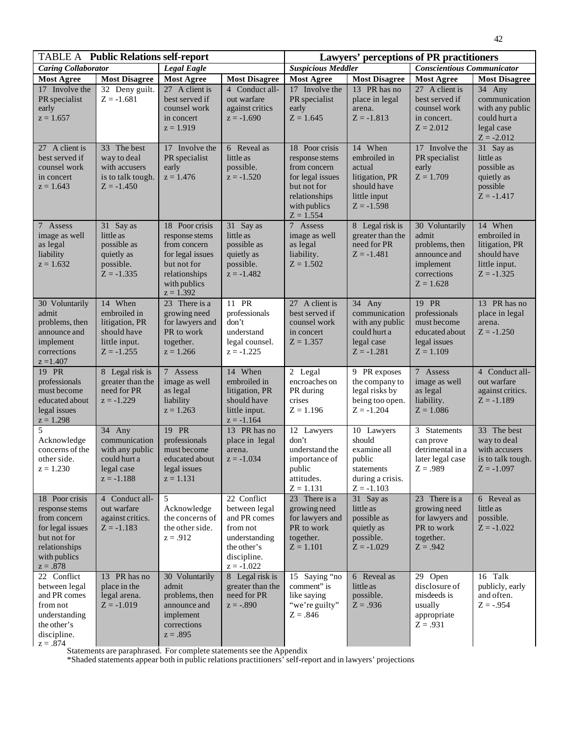| <b>TABLE A</b> Public Relations self-report                                                                                        |                                                                                           |                                                                                                                                     |                                                                                                                         |                                                                                                                                     | <b>Lawyers' perceptions of PR practitioners</b>                                                    |                                                                                                      |                                                                                           |
|------------------------------------------------------------------------------------------------------------------------------------|-------------------------------------------------------------------------------------------|-------------------------------------------------------------------------------------------------------------------------------------|-------------------------------------------------------------------------------------------------------------------------|-------------------------------------------------------------------------------------------------------------------------------------|----------------------------------------------------------------------------------------------------|------------------------------------------------------------------------------------------------------|-------------------------------------------------------------------------------------------|
| <b>Caring Collaborator</b>                                                                                                         |                                                                                           | <b>Legal Eagle</b>                                                                                                                  |                                                                                                                         | <b>Suspicious Meddler</b>                                                                                                           |                                                                                                    | <b>Conscientious Communicator</b>                                                                    |                                                                                           |
| <b>Most Agree</b>                                                                                                                  | <b>Most Disagree</b>                                                                      | <b>Most Agree</b>                                                                                                                   | <b>Most Disagree</b>                                                                                                    | <b>Most Agree</b>                                                                                                                   | <b>Most Disagree</b>                                                                               | <b>Most Agree</b>                                                                                    | <b>Most Disagree</b>                                                                      |
| 17 Involve the<br>PR specialist<br>early<br>$z = 1.657$                                                                            | $\overline{32}$ Deny guilt.<br>$Z = -1.681$                                               | 27 A client is<br>best served if<br>counsel work<br>in concert<br>$z = 1.919$                                                       | 4 Conduct all-<br>out warfare<br>against critics<br>$z = -1.690$                                                        | 17 Involve the<br>PR specialist<br>early<br>$Z = 1.645$                                                                             | 13 PR has no<br>place in legal<br>arena.<br>$Z = -1.813$                                           | 27 A client is<br>best served if<br>counsel work<br>in concert.<br>$Z = 2.012$                       | 34 Any<br>communication<br>with any public<br>could hurt a<br>legal case<br>$Z = -2.012$  |
| 27 A client is<br>best served if<br>counsel work<br>in concert<br>$z = 1.643$                                                      | 33 The best<br>way to deal<br>with accusers<br>is to talk tough.<br>$Z = -1.450$          | 17 Involve the<br>PR specialist<br>early<br>$z = 1.476$                                                                             | 6 Reveal as<br>little as<br>possible.<br>$z = -1.520$                                                                   | 18 Poor crisis<br>response stems<br>from concern<br>for legal issues<br>but not for<br>relationships<br>with publics<br>$Z = 1.554$ | 14 When<br>embroiled in<br>actual<br>litigation, PR<br>should have<br>little input<br>$Z = -1.598$ | 17 Involve the<br>PR specialist<br>early<br>$Z = 1.709$                                              | 31 Say as<br>little as<br>possible as<br>quietly as<br>possible<br>$Z = -1.417$           |
| 7 Assess<br>image as well<br>as legal<br>liability<br>$z = 1.632$                                                                  | 31 Say as<br>little as<br>possible as<br>quietly as<br>possible.<br>$Z = -1.335$          | 18 Poor crisis<br>response stems<br>from concern<br>for legal issues<br>but not for<br>relationships<br>with publics<br>$z = 1.392$ | 31 Say as<br>little as<br>possible as<br>quietly as<br>possible.<br>$z = -1.482$                                        | 7 Assess<br>image as well<br>as legal<br>liability.<br>$Z = 1.502$                                                                  | 8 Legal risk is<br>greater than the<br>need for PR<br>$Z = -1.481$                                 | 30 Voluntarily<br>admit<br>problems, then<br>announce and<br>implement<br>corrections<br>$Z = 1.628$ | 14 When<br>embroiled in<br>litigation, PR<br>should have<br>little input.<br>$Z = -1.325$ |
| 30 Voluntarily<br>admit<br>problems, then<br>announce and<br>implement<br>corrections<br>$z = 1.407$                               | 14 When<br>embroiled in<br>litigation, PR<br>should have<br>little input.<br>$Z = -1.255$ | 23 There is a<br>growing need<br>for lawyers and<br>PR to work<br>together.<br>$z = 1.266$                                          | 11 PR<br>professionals<br>don't<br>understand<br>legal counsel.<br>$z = -1.225$                                         | 27 A client is<br>best served if<br>counsel work<br>in concert<br>$Z = 1.357$                                                       | 34 Any<br>communication<br>with any public<br>could hurt a<br>legal case<br>$Z = -1.281$           | 19 PR<br>professionals<br>must become<br>educated about<br>legal issues<br>$Z = 1.109$               | 13 PR has no<br>place in legal<br>arena.<br>$Z = -1.250$                                  |
| 19 PR<br>professionals<br>must become<br>educated about<br>legal issues<br>$z = 1.298$                                             | 8 Legal risk is<br>greater than the<br>need for PR<br>$z = -1.229$                        | 7 Assess<br>image as well<br>as legal<br>liability<br>$z = 1.263$                                                                   | 14 When<br>embroiled in<br>litigation, PR<br>should have<br>little input.<br>$z = -1.164$                               | 2 Legal<br>encroaches on<br>PR during<br>crises<br>$Z = 1.196$                                                                      | 9 PR exposes<br>the company to<br>legal risks by<br>being too open.<br>$Z = -1.204$                | 7 Assess<br>image as well<br>as legal<br>liability.<br>$Z = 1.086$                                   | 4 Conduct all-<br>out warfare<br>against critics.<br>$Z = -1.189$                         |
| 5<br>Acknowledge<br>concerns of the<br>other side.<br>$z = 1.230$                                                                  | 34 Any<br>communication<br>with any public<br>could hurt a<br>legal case<br>$z = -1.188$  | 19 PR<br>professionals<br>must become<br>educated about<br>legal issues<br>$z = 1.131$                                              | 13 PR has no<br>place in legal<br>arena.<br>$z = -1.034$                                                                | 12 Lawyers<br>don't<br>understand the<br>importance of<br>public<br>attitudes.<br>$Z = 1.131$                                       | 10 Lawyers<br>should<br>examine all<br>public<br>statements<br>during a crisis.<br>$Z = -1.103$    | 3 Statements<br>can prove<br>detrimental in a<br>later legal case<br>$Z = .989$                      | 33 The best<br>way to deal<br>with accusers<br>is to talk tough.<br>$Z = -1.097$          |
| 18 Poor crisis<br>response stems<br>from concern<br>for legal issues<br>but not for<br>relationships<br>with publics<br>$z = .878$ | 4 Conduct all-<br>out warfare<br>against critics.<br>$Z = -1.183$                         | 5<br>Acknowledge<br>the concerns of<br>the other side.<br>$z = .912$                                                                | 22 Conflict<br>between legal<br>and PR comes<br>from not<br>understanding<br>the other's<br>discipline.<br>$z = -1.022$ | 23 There is a<br>growing need<br>for lawyers and<br>PR to work<br>together.<br>$Z = 1.101$                                          | 31 Say as<br>little as<br>possible as<br>quietly as<br>possible.<br>$Z = -1.029$                   | 23 There is a<br>growing need<br>for lawyers and<br>PR to work<br>together.<br>$Z = .942$            | 6 Reveal as<br>little as<br>possible.<br>$Z = -1.022$                                     |
| 22 Conflict<br>between legal<br>and PR comes<br>from not<br>understanding<br>the other's<br>discipline.<br>$z = .874$              | 13 PR has no<br>place in the<br>legal arena.<br>$Z = -1.019$                              | 30 Voluntarily<br>admit<br>problems, then<br>announce and<br>implement<br>corrections<br>$z = .895$                                 | 8 Legal risk is<br>greater than the<br>need for PR<br>$z = -.890$                                                       | 15 Saying "no<br>comment" is<br>like saying<br>"we're guilty"<br>$Z = .846$                                                         | 6 Reveal as<br>little as<br>possible.<br>$Z = .936$                                                | 29 Open<br>disclosure of<br>misdeeds is<br>usually<br>appropriate<br>$Z = .931$                      | 16 Talk<br>publicly, early<br>and often.<br>$Z = -.954$                                   |

Statements are paraphrased. For complete statements see the Appendix

\*Shaded statements appear both in public relations practitioners' self-report and in lawyers' projections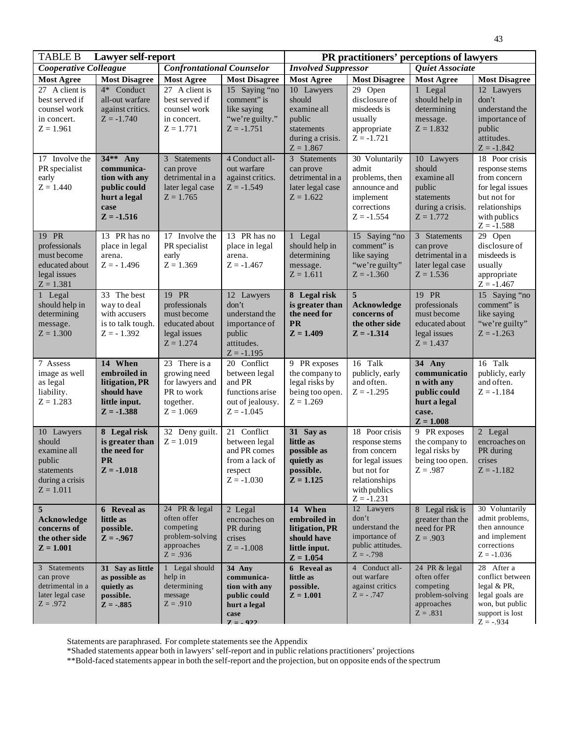| <b>TABLE B</b><br>Lawyer self-report                                                          |                                                                                                   |                                                                                            |                                                                                                     | PR practitioners' perceptions of lawyers                                                       |                                                                                                                                      |                                                                                                     |                                                                                                                                      |
|-----------------------------------------------------------------------------------------------|---------------------------------------------------------------------------------------------------|--------------------------------------------------------------------------------------------|-----------------------------------------------------------------------------------------------------|------------------------------------------------------------------------------------------------|--------------------------------------------------------------------------------------------------------------------------------------|-----------------------------------------------------------------------------------------------------|--------------------------------------------------------------------------------------------------------------------------------------|
| Cooperative Colleague                                                                         |                                                                                                   | <b>Confrontational Counselor</b>                                                           |                                                                                                     | <b>Involved Suppressor</b>                                                                     |                                                                                                                                      | <b>Quiet Associate</b>                                                                              |                                                                                                                                      |
| <b>Most Agree</b>                                                                             | <b>Most Disagree</b>                                                                              | <b>Most Agree</b>                                                                          | <b>Most Disagree</b>                                                                                | <b>Most Agree</b>                                                                              | <b>Most Disagree</b>                                                                                                                 | <b>Most Agree</b>                                                                                   | <b>Most Disagree</b>                                                                                                                 |
| 27 A client is<br>best served if<br>counsel work<br>in concert.<br>$Z = 1.961$                | 4* Conduct<br>all-out warfare<br>against critics.<br>$Z = -1.740$                                 | 27 A client is<br>best served if<br>counsel work<br>in concert.<br>$Z = 1.771$             | 15 Saying "no<br>comment" is<br>like saying<br>"we're guilty."<br>$Z = -1.751$                      | 10 Lawyers<br>should<br>examine all<br>public<br>statements<br>during a crisis.<br>$Z = 1.867$ | 29 Open<br>disclosure of<br>misdeeds is<br>usually<br>appropriate<br>$Z = -1.721$                                                    | 1 Legal<br>should help in<br>determining<br>message.<br>$Z = 1.832$                                 | 12 Lawyers<br>don't<br>understand the<br>importance of<br>public<br>attitudes.<br>$Z = -1.842$                                       |
| 17 Involve the<br>PR specialist<br>early<br>$Z = 1.440$                                       | $34**$ Any<br>communica-<br>tion with any<br>public could<br>hurt a legal<br>case<br>$Z = -1.516$ | 3 Statements<br>can prove<br>detrimental in a<br>later legal case<br>$Z = 1.765$           | 4 Conduct all-<br>out warfare<br>against critics.<br>$Z = -1.549$                                   | 3 Statements<br>can prove<br>detrimental in a<br>later legal case<br>$Z = 1.622$               | 30 Voluntarily<br>admit<br>problems, then<br>announce and<br>implement<br>corrections<br>$Z = -1.554$                                | 10 Lawyers<br>should<br>examine all<br>public<br>statements<br>during a crisis.<br>$Z = 1.772$      | 18 Poor crisis<br>response stems<br>from concern<br>for legal issues<br>but not for<br>relationships<br>with publics<br>$Z = -1.588$ |
| 19 PR<br>professionals<br>must become<br>educated about<br>legal issues<br>$Z = 1.381$        | 13 PR has no<br>place in legal<br>arena.<br>$Z = -1.496$                                          | 17 Involve the<br>PR specialist<br>early<br>$Z = 1.369$                                    | 13 PR has no<br>place in legal<br>arena.<br>$Z = -1.467$                                            | 1 Legal<br>should help in<br>determining<br>message.<br>$Z = 1.611$                            | 15 Saying "no<br>comment" is<br>like saying<br>"we're guilty"<br>$Z = -1.360$                                                        | 3 Statements<br>can prove<br>detrimental in a<br>later legal case<br>$Z = 1.536$                    | 29 Open<br>disclosure of<br>misdeeds is<br>usually<br>appropriate<br>$Z = -1.467$                                                    |
| 1 Legal<br>should help in<br>determining<br>message.<br>$Z = 1.300$                           | 33 The best<br>way to deal<br>with accusers<br>is to talk tough.<br>$Z = -1.392$                  | 19 PR<br>professionals<br>must become<br>educated about<br>legal issues<br>$Z = 1.274$     | 12 Lawyers<br>don't<br>understand the<br>importance of<br>public<br>attitudes.<br>$Z = -1.195$      | 8 Legal risk<br>is greater than<br>the need for<br>PR<br>$Z = 1.409$                           | 5<br>Acknowledge<br>concerns of<br>the other side<br>$Z = -1.314$                                                                    | 19 PR<br>professionals<br>must become<br>educated about<br>legal issues<br>$Z = 1.437$              | 15 Saying "no<br>comment" is<br>like saying<br>"we're guilty"<br>$Z = -1.263$                                                        |
| 7 Assess<br>image as well<br>as legal<br>liability.<br>$Z = 1.283$                            | 14 When<br>embroiled in<br>litigation, PR<br>should have<br>little input.<br>$Z = -1.388$         | 23 There is a<br>growing need<br>for lawyers and<br>PR to work<br>together.<br>$Z = 1.069$ | 20 Conflict<br>between legal<br>and PR<br>functions arise<br>out of jealousy.<br>$Z = -1.045$       | 9 PR exposes<br>the company to<br>legal risks by<br>being too open.<br>$Z = 1.269$             | 16 Talk<br>publicly, early<br>and often.<br>$Z = -1.295$                                                                             | <b>34 Any</b><br>communicatio<br>n with any<br>public could<br>hurt a legal<br>case.<br>$Z = 1.008$ | 16 Talk<br>publicly, early<br>and often.<br>$Z = -1.184$                                                                             |
| 10 Lawyers<br>should<br>examine all<br>public<br>statements<br>during a crisis<br>$Z = 1.011$ | 8 Legal risk<br>is greater than<br>the need for<br>PR<br>$Z = -1.018$                             | 32 Deny guilt.<br>$Z = 1.019$                                                              | 21 Conflict<br>between legal<br>and PR comes<br>from a lack of<br>respect<br>$Z = -1.030$           | 31 Say as<br>little as<br>possible as<br>quietly as<br>possible.<br>$Z = 1.125$                | 18 Poor crisis<br>response stems<br>from concern<br>for legal issues<br>but not for<br>relationships<br>with publics<br>$Z = -1.231$ | 9 PR exposes<br>the company to<br>legal risks by<br>being too open.<br>$Z = .987$                   | 2 Legal<br>encroaches on<br>PR during<br>crises<br>$Z = -1.182$                                                                      |
| 5<br>Acknowledge<br>concerns of<br>the other side<br>$Z = 1.001$                              | 6 Reveal as<br>little as<br>possible.<br>$Z = -.967$                                              | 24 PR & legal<br>often offer<br>competing<br>problem-solving<br>approaches<br>$Z = .936$   | 2 Legal<br>encroaches on<br>PR during<br>crises<br>$Z = -1.008$                                     | 14 When<br>embroiled in<br>litigation, PR<br>should have<br>little input.<br>$Z = 1.054$       | 12 Lawyers<br>don't<br>understand the<br>importance of<br>public attitudes.<br>$Z = -.798$                                           | 8 Legal risk is<br>greater than the<br>need for PR<br>$Z = .903$                                    | 30 Voluntarily<br>admit problems,<br>then announce<br>and implement<br>corrections<br>$Z = -1.036$                                   |
| 3 Statements<br>can prove<br>detrimental in a<br>later legal case<br>$Z = .972$               | 31 Say as little<br>as possible as<br>quietly as<br>possible.<br>$Z = -.885$                      | 1 Legal should<br>help in<br>determining<br>message<br>$Z = .910$                          | <b>34 Any</b><br>communica-<br>tion with any<br>public could<br>hurt a legal<br>case<br>$Z - 0.922$ | 6 Reveal as<br>little as<br>possible.<br>$Z = 1.001$                                           | 4 Conduct all-<br>out warfare<br>against critics<br>$Z = -0.747$                                                                     | 24 PR & legal<br>often offer<br>competing<br>problem-solving<br>approaches<br>$Z = .831$            | 28 After a<br>conflict between<br>legal & PR,<br>legal goals are<br>won, but public<br>support is lost<br>$Z = -934$                 |

Statements are paraphrased. For complete statements see the Appendix

\*Shaded statements appear both in lawyers' self-report and in public relations practitioners' projections

\*\*Bold-faced statements appear in both the self-report and the projection, but on opposite ends of the spectrum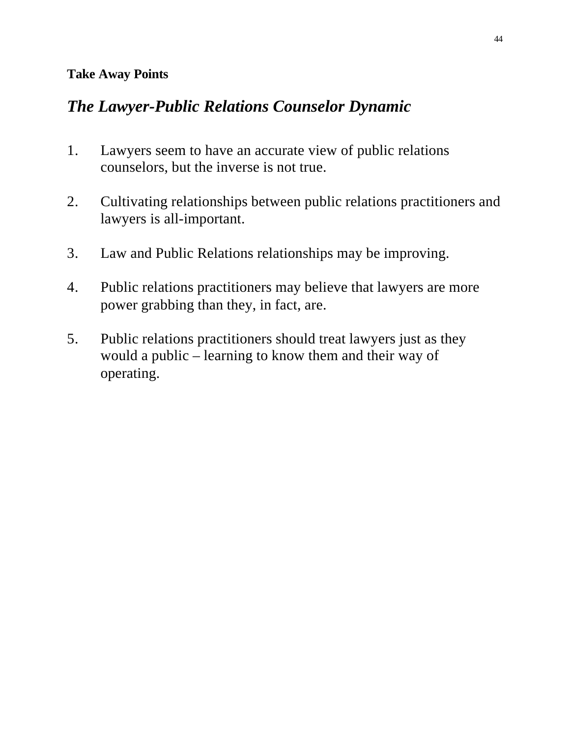# **Take Away Points**

# *The Lawyer-Public Relations Counselor Dynamic*

- 1. Lawyers seem to have an accurate view of public relations counselors, but the inverse is not true.
- 2. Cultivating relationships between public relations practitioners and lawyers is all-important.
- 3. Law and Public Relations relationships may be improving.
- 4. Public relations practitioners may believe that lawyers are more power grabbing than they, in fact, are.
- 5. Public relations practitioners should treat lawyers just as they would a public – learning to know them and their way of operating.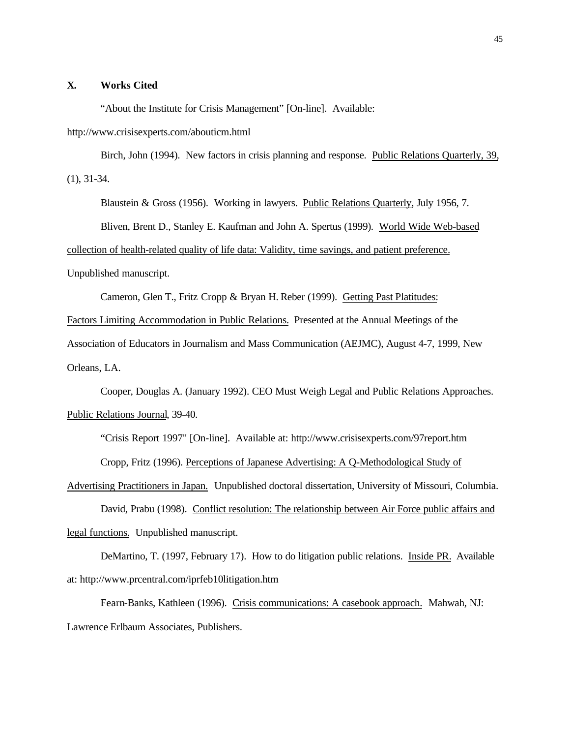# **X. Works Cited**

"About the Institute for Crisis Management" [On-line]. Available:

http://www.crisisexperts.com/abouticm.html

Birch, John (1994). New factors in crisis planning and response. Public Relations Quarterly, 39, (1), 31-34.

Blaustein & Gross (1956). Working in lawyers. Public Relations Quarterly, July 1956, 7. Bliven, Brent D., Stanley E. Kaufman and John A. Spertus (1999). World Wide Web-based collection of health-related quality of life data: Validity, time savings, and patient preference. Unpublished manuscript.

Cameron, Glen T., Fritz Cropp & Bryan H. Reber (1999). Getting Past Platitudes:

Factors Limiting Accommodation in Public Relations. Presented at the Annual Meetings of the

Association of Educators in Journalism and Mass Communication (AEJMC), August 4-7, 1999, New Orleans, LA.

Cooper, Douglas A. (January 1992). CEO Must Weigh Legal and Public Relations Approaches. Public Relations Journal, 39-40.

"Crisis Report 1997" [On-line]. Available at: http://www.crisisexperts.com/97report.htm Cropp, Fritz (1996). Perceptions of Japanese Advertising: A Q-Methodological Study of

Advertising Practitioners in Japan. Unpublished doctoral dissertation, University of Missouri, Columbia. David, Prabu (1998). Conflict resolution: The relationship between Air Force public affairs and

legal functions. Unpublished manuscript.

DeMartino, T. (1997, February 17). How to do litigation public relations. Inside PR. Available at: http://www.prcentral.com/iprfeb10litigation.htm

Fearn-Banks, Kathleen (1996). Crisis communications: A casebook approach. Mahwah, NJ: Lawrence Erlbaum Associates, Publishers.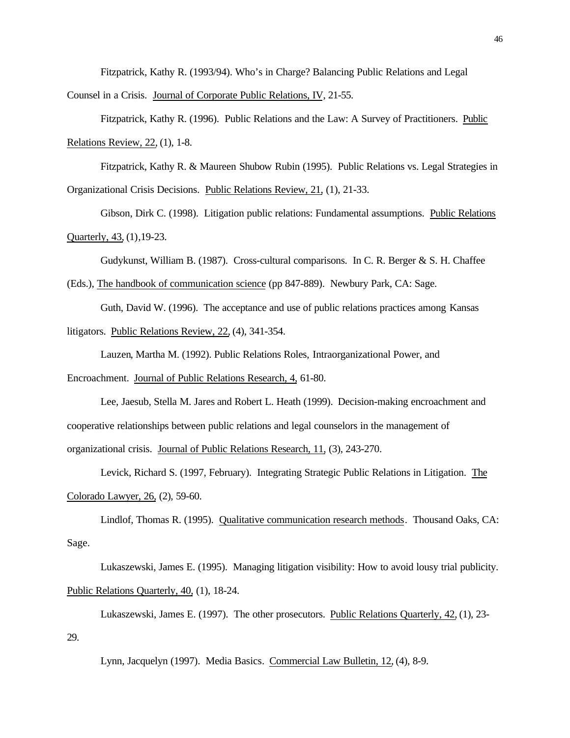Fitzpatrick, Kathy R. (1993/94). Who's in Charge? Balancing Public Relations and Legal

Counsel in a Crisis. Journal of Corporate Public Relations, IV, 21-55.

Fitzpatrick, Kathy R. (1996). Public Relations and the Law: A Survey of Practitioners. Public Relations Review, 22, (1), 1-8.

Fitzpatrick, Kathy R. & Maureen Shubow Rubin (1995). Public Relations vs. Legal Strategies in Organizational Crisis Decisions. Public Relations Review, 21, (1), 21-33.

Gibson, Dirk C. (1998). Litigation public relations: Fundamental assumptions. Public Relations Quarterly, 43, (1),19-23.

Gudykunst, William B. (1987). Cross-cultural comparisons. In C. R. Berger & S. H. Chaffee

(Eds.), The handbook of communication science (pp 847-889). Newbury Park, CA: Sage.

Guth, David W. (1996). The acceptance and use of public relations practices among Kansas

litigators. Public Relations Review, 22, (4), 341-354.

Lauzen, Martha M. (1992). Public Relations Roles, Intraorganizational Power, and

Encroachment. Journal of Public Relations Research, 4, 61-80.

Lee, Jaesub, Stella M. Jares and Robert L. Heath (1999). Decision-making encroachment and cooperative relationships between public relations and legal counselors in the management of organizational crisis. Journal of Public Relations Research, 11, (3), 243-270.

Levick, Richard S. (1997, February). Integrating Strategic Public Relations in Litigation. The Colorado Lawyer, 26, (2), 59-60.

Lindlof, Thomas R. (1995). Qualitative communication research methods. Thousand Oaks, CA: Sage.

Lukaszewski, James E. (1995). Managing litigation visibility: How to avoid lousy trial publicity. Public Relations Quarterly, 40, (1), 18-24.

Lukaszewski, James E. (1997). The other prosecutors. Public Relations Quarterly, 42, (1), 23- 29.

Lynn, Jacquelyn (1997). Media Basics. Commercial Law Bulletin, 12, (4), 8-9.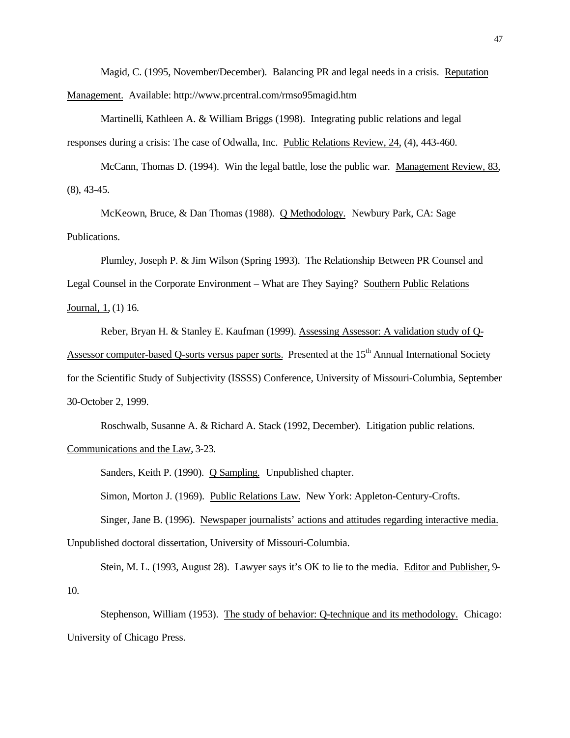Magid, C. (1995, November/December). Balancing PR and legal needs in a crisis. Reputation Management. Available: http://www.prcentral.com/rmso95magid.htm

Martinelli, Kathleen A. & William Briggs (1998). Integrating public relations and legal responses during a crisis: The case of Odwalla, Inc. Public Relations Review, 24, (4), 443-460.

McCann, Thomas D. (1994). Win the legal battle, lose the public war. Management Review, 83, (8), 43-45.

McKeown, Bruce, & Dan Thomas (1988). Q Methodology. Newbury Park, CA: Sage Publications.

Plumley, Joseph P. & Jim Wilson (Spring 1993). The Relationship Between PR Counsel and Legal Counsel in the Corporate Environment – What are They Saying? Southern Public Relations Journal, 1, (1) 16.

Reber, Bryan H. & Stanley E. Kaufman (1999). Assessing Assessor: A validation study of Q-Assessor computer-based Q-sorts versus paper sorts. Presented at the 15<sup>th</sup> Annual International Society for the Scientific Study of Subjectivity (ISSSS) Conference, University of Missouri-Columbia, September 30-October 2, 1999.

Roschwalb, Susanne A. & Richard A. Stack (1992, December). Litigation public relations. Communications and the Law, 3-23.

Sanders, Keith P. (1990). Q Sampling. Unpublished chapter.

Simon, Morton J. (1969). Public Relations Law. New York: Appleton-Century-Crofts.

Singer, Jane B. (1996). Newspaper journalists' actions and attitudes regarding interactive media. Unpublished doctoral dissertation, University of Missouri-Columbia.

Stein, M. L. (1993, August 28). Lawyer says it's OK to lie to the media. Editor and Publisher, 9- 10.

Stephenson, William (1953). The study of behavior: Q-technique and its methodology. Chicago: University of Chicago Press.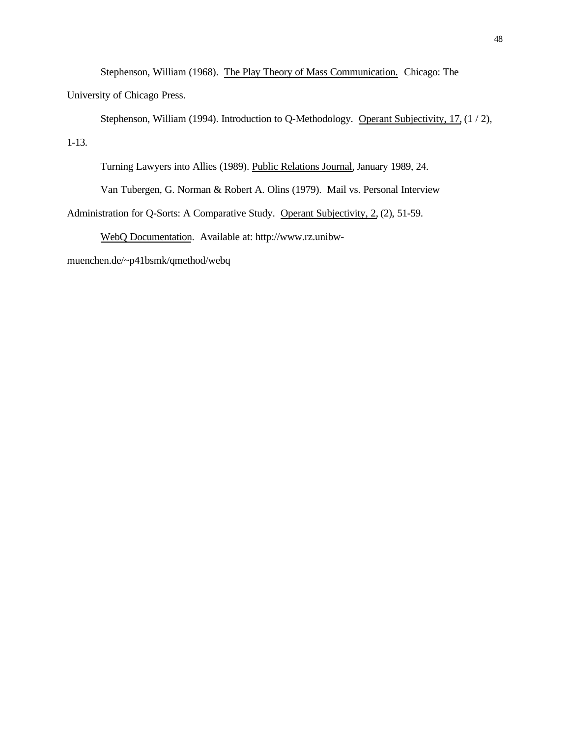Stephenson, William (1968). The Play Theory of Mass Communication. Chicago: The University of Chicago Press.

Stephenson, William (1994). Introduction to Q-Methodology. Operant Subjectivity, 17, (1/2), 1-13.

Turning Lawyers into Allies (1989). Public Relations Journal, January 1989, 24.

Van Tubergen, G. Norman & Robert A. Olins (1979). Mail vs. Personal Interview

Administration for Q-Sorts: A Comparative Study. Operant Subjectivity, 2, (2), 51-59.

WebQ Documentation. Available at: http://www.rz.unibw-

muenchen.de/~p41bsmk/qmethod/webq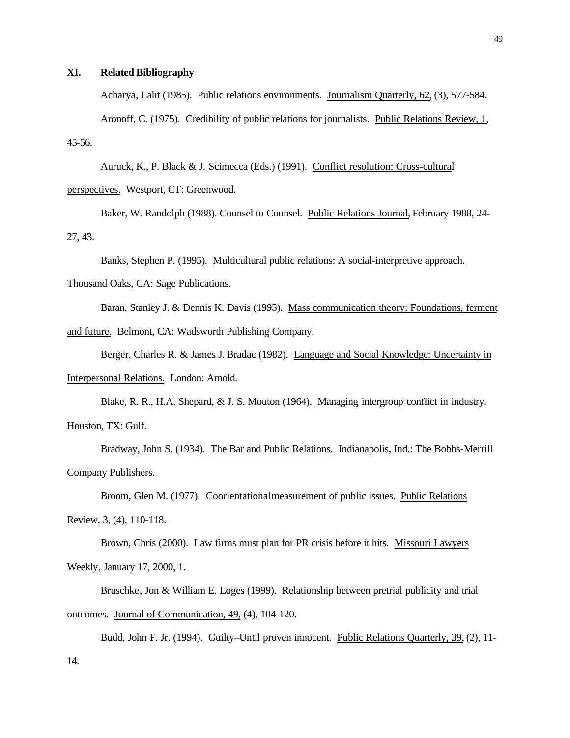# **XI. Related Bibliography**

Acharya, Lalit (1985). Public relations environments. Journalism Quarterly, 62, (3), 577-584. Aronoff, C. (1975). Credibility of public relations for journalists. Public Relations Review, 1, 45-56.

Auruck, K., P. Black & J. Scimecca (Eds.) (1991). Conflict resolution: Cross-cultural perspectives. Westport, CT: Greenwood.

Baker, W. Randolph (1988). Counsel to Counsel. Public Relations Journal, February 1988, 24- 27, 43.

Banks, Stephen P. (1995). Multicultural public relations: A social-interpretive approach.

Thousand Oaks, CA: Sage Publications.

Baran, Stanley J. & Dennis K. Davis (1995). Mass communication theory: Foundations, ferment

and future. Belmont, CA: Wadsworth Publishing Company.

Berger, Charles R. & James J. Bradac (1982). Language and Social Knowledge: Uncertainty in

Interpersonal Relations. London: Arnold.

Blake, R. R., H.A. Shepard, & J. S. Mouton (1964). Managing intergroup conflict in industry.

Houston, TX: Gulf.

Bradway, John S. (1934). The Bar and Public Relations. Indianapolis, Ind.: The Bobbs-Merrill Company Publishers.

Broom, Glen M. (1977). Coorientational measurement of public issues. Public Relations

Review, 3, (4), 110-118.

Brown, Chris (2000). Law firms must plan for PR crisis before it hits. Missouri Lawyers Weekly, January 17, 2000, 1.

Bruschke, Jon & William E. Loges (1999). Relationship between pretrial publicity and trial outcomes. Journal of Communication, 49, (4), 104-120.

Budd, John F. Jr. (1994). Guilty–Until proven innocent. Public Relations Quarterly, 39, (2), 11- 14.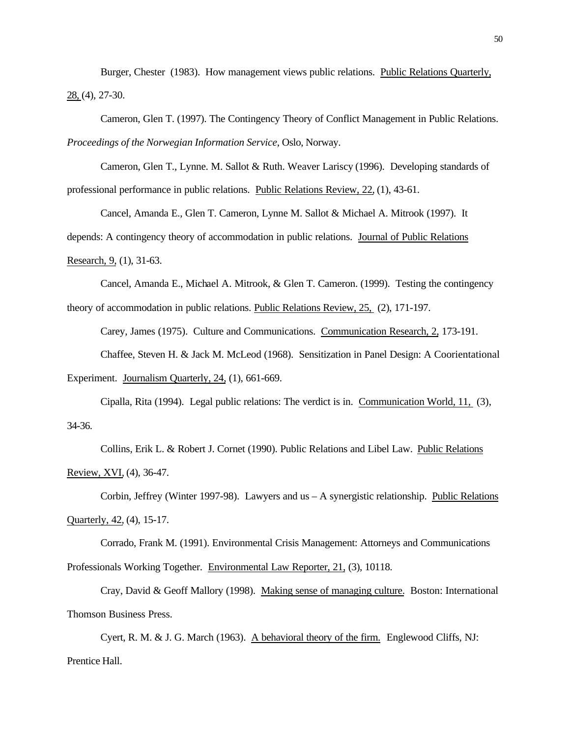Burger, Chester (1983). How management views public relations. Public Relations Quarterly, 28, (4), 27-30.

Cameron, Glen T. (1997). The Contingency Theory of Conflict Management in Public Relations. *Proceedings of the Norwegian Information Service*, Oslo, Norway.

Cameron, Glen T., Lynne. M. Sallot & Ruth. Weaver Lariscy (1996). Developing standards of professional performance in public relations. Public Relations Review, 22, (1), 43-61.

Cancel, Amanda E., Glen T. Cameron, Lynne M. Sallot & Michael A. Mitrook (1997). It depends: A contingency theory of accommodation in public relations. Journal of Public Relations Research, 9, (1), 31-63.

Cancel, Amanda E., Michael A. Mitrook, & Glen T. Cameron. (1999). Testing the contingency theory of accommodation in public relations. Public Relations Review, 25, (2), 171-197.

Carey, James (1975). Culture and Communications. Communication Research, 2, 173-191.

Chaffee, Steven H. & Jack M. McLeod (1968). Sensitization in Panel Design: A Coorientational Experiment. Journalism Quarterly, 24, (1), 661-669.

Cipalla, Rita (1994). Legal public relations: The verdict is in. Communication World, 11, (3), 34-36.

Collins, Erik L. & Robert J. Cornet (1990). Public Relations and Libel Law. Public Relations Review, XVI, (4), 36-47.

Corbin, Jeffrey (Winter 1997-98). Lawyers and us – A synergistic relationship. Public Relations Quarterly, 42, (4), 15-17.

Corrado, Frank M. (1991). Environmental Crisis Management: Attorneys and Communications Professionals Working Together. Environmental Law Reporter, 21, (3), 10118.

Cray, David & Geoff Mallory (1998). Making sense of managing culture. Boston: International Thomson Business Press.

Cyert, R. M. & J. G. March (1963). A behavioral theory of the firm. Englewood Cliffs, NJ: Prentice Hall.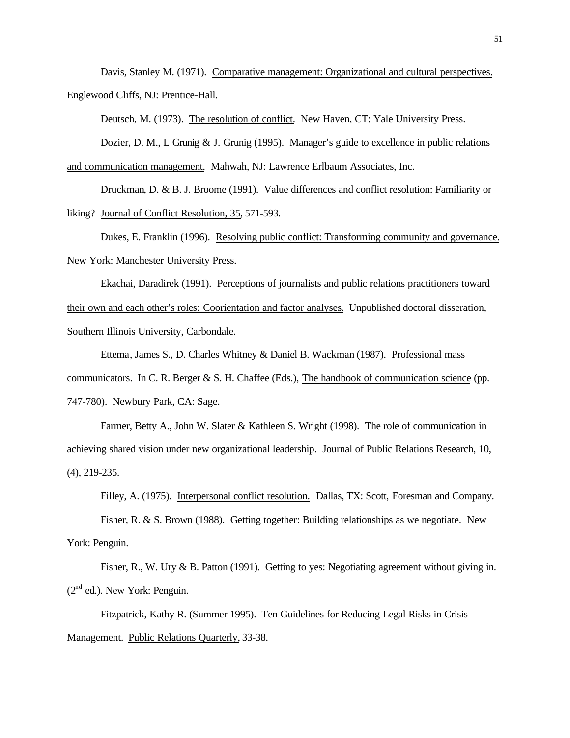Davis, Stanley M. (1971). Comparative management: Organizational and cultural perspectives. Englewood Cliffs, NJ: Prentice-Hall.

Deutsch, M. (1973). The resolution of conflict. New Haven, CT: Yale University Press. Dozier, D. M., L Grunig & J. Grunig (1995). Manager's guide to excellence in public relations

and communication management. Mahwah, NJ: Lawrence Erlbaum Associates, Inc.

Druckman, D. & B. J. Broome (1991). Value differences and conflict resolution: Familiarity or liking? Journal of Conflict Resolution, 35, 571-593.

Dukes, E. Franklin (1996). Resolving public conflict: Transforming community and governance. New York: Manchester University Press.

Ekachai, Daradirek (1991). Perceptions of journalists and public relations practitioners toward their own and each other's roles: Coorientation and factor analyses. Unpublished doctoral disseration, Southern Illinois University, Carbondale.

Ettema, James S., D. Charles Whitney & Daniel B. Wackman (1987). Professional mass

communicators. In C. R. Berger  $\&$  S. H. Chaffee (Eds.), The handbook of communication science (pp. 747-780). Newbury Park, CA: Sage.

Farmer, Betty A., John W. Slater & Kathleen S. Wright (1998). The role of communication in achieving shared vision under new organizational leadership. Journal of Public Relations Research, 10, (4), 219-235.

Filley, A. (1975). Interpersonal conflict resolution. Dallas, TX: Scott, Foresman and Company.

Fisher, R. & S. Brown (1988). Getting together: Building relationships as we negotiate. New York: Penguin.

Fisher, R., W. Ury & B. Patton (1991). Getting to yes: Negotiating agreement without giving in.  $(2<sup>nd</sup>$  ed.). New York: Penguin.

Fitzpatrick, Kathy R. (Summer 1995). Ten Guidelines for Reducing Legal Risks in Crisis Management. Public Relations Quarterly, 33-38.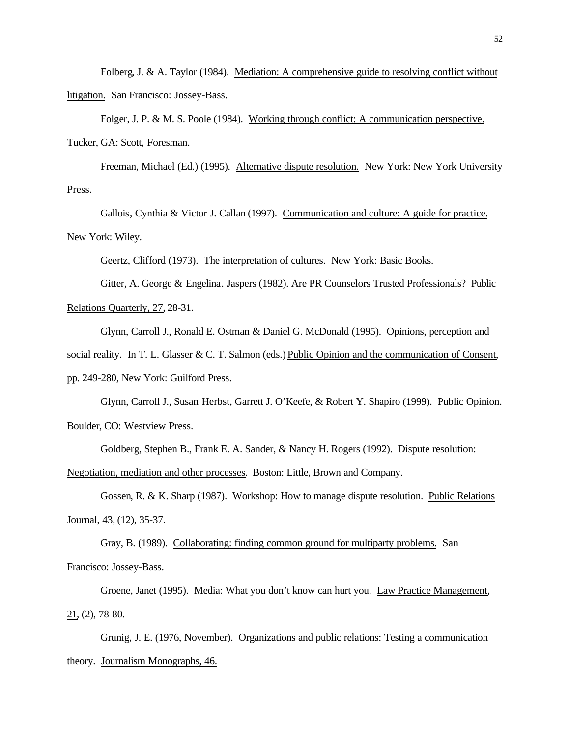Folberg, J. & A. Taylor (1984). Mediation: A comprehensive guide to resolving conflict without litigation. San Francisco: Jossey-Bass.

Folger, J. P. & M. S. Poole (1984). Working through conflict: A communication perspective. Tucker, GA: Scott, Foresman.

Freeman, Michael (Ed.) (1995). Alternative dispute resolution. New York: New York University Press.

Gallois, Cynthia & Victor J. Callan (1997). Communication and culture: A guide for practice. New York: Wiley.

Geertz, Clifford (1973). The interpretation of cultures. New York: Basic Books.

Gitter, A. George & Engelina. Jaspers (1982). Are PR Counselors Trusted Professionals? Public

Relations Quarterly, 27, 28-31.

Glynn, Carroll J., Ronald E. Ostman & Daniel G. McDonald (1995). Opinions, perception and

social reality. In T. L. Glasser & C. T. Salmon (eds.) Public Opinion and the communication of Consent, pp. 249-280, New York: Guilford Press.

Glynn, Carroll J., Susan Herbst, Garrett J. O'Keefe, & Robert Y. Shapiro (1999). Public Opinion.

Boulder, CO: Westview Press.

Goldberg, Stephen B., Frank E. A. Sander, & Nancy H. Rogers (1992). Dispute resolution:

Negotiation, mediation and other processes. Boston: Little, Brown and Company.

Gossen, R. & K. Sharp (1987). Workshop: How to manage dispute resolution. Public Relations Journal, 43, (12), 35-37.

Gray, B. (1989). Collaborating: finding common ground for multiparty problems. San Francisco: Jossey-Bass.

Groene, Janet (1995). Media: What you don't know can hurt you. Law Practice Management, 21, (2), 78-80.

Grunig, J. E. (1976, November). Organizations and public relations: Testing a communication theory. Journalism Monographs, 46.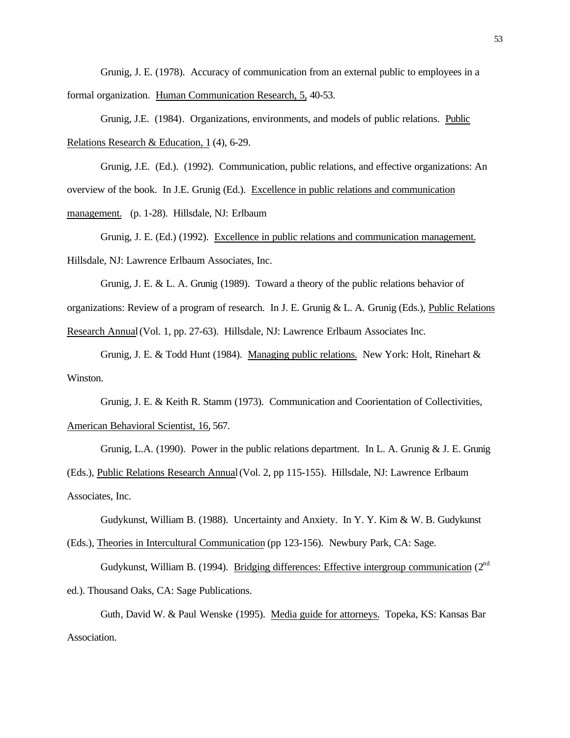Grunig, J. E. (1978). Accuracy of communication from an external public to employees in a formal organization. Human Communication Research, 5, 40-53.

Grunig, J.E. (1984). Organizations, environments, and models of public relations. Public Relations Research & Education, 1 (4), 6-29.

Grunig, J.E. (Ed.). (1992). Communication, public relations, and effective organizations: An overview of the book. In J.E. Grunig (Ed.). Excellence in public relations and communication management. (p. 1-28). Hillsdale, NJ: Erlbaum

Grunig, J. E. (Ed.) (1992). Excellence in public relations and communication management. Hillsdale, NJ: Lawrence Erlbaum Associates, Inc.

Grunig, J. E. & L. A. Grunig (1989). Toward a theory of the public relations behavior of organizations: Review of a program of research. In J. E. Grunig & L. A. Grunig (Eds.), Public Relations Research Annual (Vol. 1, pp. 27-63). Hillsdale, NJ: Lawrence Erlbaum Associates Inc.

Grunig, J. E. & Todd Hunt (1984). Managing public relations. New York: Holt, Rinehart & Winston.

Grunig, J. E. & Keith R. Stamm (1973). Communication and Coorientation of Collectivities, American Behavioral Scientist, 16, 567.

Grunig, L.A. (1990). Power in the public relations department. In L. A. Grunig & J. E. Grunig (Eds.), Public Relations Research Annual (Vol. 2, pp 115-155). Hillsdale, NJ: Lawrence Erlbaum Associates, Inc.

Gudykunst, William B. (1988). Uncertainty and Anxiety. In Y. Y. Kim & W. B. Gudykunst (Eds.), Theories in Intercultural Communication (pp 123-156). Newbury Park, CA: Sage.

Gudykunst, William B. (1994). Bridging differences: Effective intergroup communication (2<sup>nd</sup> ed.). Thousand Oaks, CA: Sage Publications.

Guth, David W. & Paul Wenske (1995). Media guide for attorneys. Topeka, KS: Kansas Bar Association.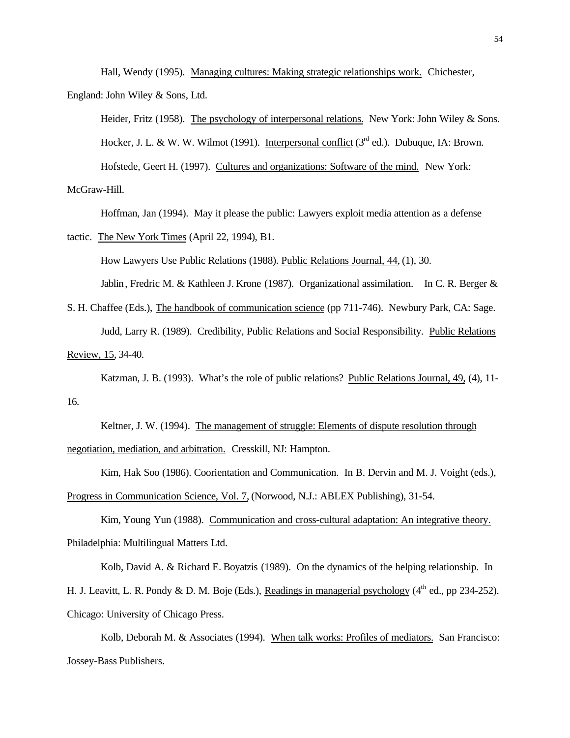Hall, Wendy (1995). Managing cultures: Making strategic relationships work. Chichester, England: John Wiley & Sons, Ltd.

Heider, Fritz (1958). The psychology of interpersonal relations. New York: John Wiley & Sons. Hocker, J. L. & W. W. Wilmot (1991). Interpersonal conflict  $(3<sup>rd</sup>$  ed.). Dubuque, IA: Brown. Hofstede, Geert H. (1997). Cultures and organizations: Software of the mind. New York:

McGraw-Hill.

Hoffman, Jan (1994). May it please the public: Lawyers exploit media attention as a defense tactic. The New York Times (April 22, 1994), B1.

How Lawyers Use Public Relations (1988). Public Relations Journal, 44, (1), 30.

Jablin, Fredric M. & Kathleen J. Krone (1987). Organizational assimilation. In C. R. Berger &

S. H. Chaffee (Eds.), The handbook of communication science (pp 711-746). Newbury Park, CA: Sage. Judd, Larry R. (1989). Credibility, Public Relations and Social Responsibility. Public Relations Review, 15, 34-40.

Katzman, J. B. (1993). What's the role of public relations? Public Relations Journal, 49, (4), 11- 16.

Keltner, J. W. (1994). The management of struggle: Elements of dispute resolution through negotiation, mediation, and arbitration. Cresskill, NJ: Hampton.

Kim, Hak Soo (1986). Coorientation and Communication. In B. Dervin and M. J. Voight (eds.), Progress in Communication Science, Vol. 7, (Norwood, N.J.: ABLEX Publishing), 31-54.

Kim, Young Yun (1988). Communication and cross-cultural adaptation: An integrative theory. Philadelphia: Multilingual Matters Ltd.

Kolb, David A. & Richard E. Boyatzis (1989). On the dynamics of the helping relationship. In H. J. Leavitt, L. R. Pondy & D. M. Boje (Eds.), Readings in managerial psychology (4<sup>th</sup> ed., pp 234-252). Chicago: University of Chicago Press.

Kolb, Deborah M. & Associates (1994). When talk works: Profiles of mediators. San Francisco: Jossey-Bass Publishers.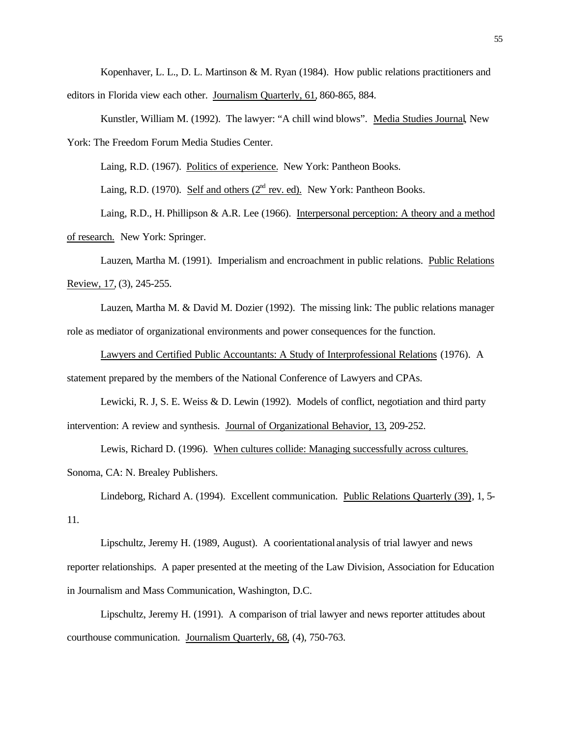Kopenhaver, L. L., D. L. Martinson & M. Ryan (1984). How public relations practitioners and editors in Florida view each other. Journalism Quarterly, 61, 860-865, 884.

Kunstler, William M. (1992). The lawyer: "A chill wind blows". Media Studies Journal, New York: The Freedom Forum Media Studies Center.

Laing, R.D. (1967). Politics of experience. New York: Pantheon Books.

Laing, R.D. (1970). Self and others ( $2<sup>nd</sup>$  rev. ed). New York: Pantheon Books.

Laing, R.D., H. Phillipson & A.R. Lee (1966). Interpersonal perception: A theory and a method of research. New York: Springer.

Lauzen, Martha M. (1991). Imperialism and encroachment in public relations. Public Relations Review, 17, (3), 245-255.

Lauzen, Martha M. & David M. Dozier (1992). The missing link: The public relations manager role as mediator of organizational environments and power consequences for the function.

Lawyers and Certified Public Accountants: A Study of Interprofessional Relations (1976). A statement prepared by the members of the National Conference of Lawyers and CPAs.

Lewicki, R. J, S. E. Weiss & D. Lewin (1992). Models of conflict, negotiation and third party intervention: A review and synthesis. Journal of Organizational Behavior, 13, 209-252.

Lewis, Richard D. (1996). When cultures collide: Managing successfully across cultures. Sonoma, CA: N. Brealey Publishers.

Lindeborg, Richard A. (1994). Excellent communication. Public Relations Quarterly (39), 1, 5- 11.

Lipschultz, Jeremy H. (1989, August). A coorientational analysis of trial lawyer and news reporter relationships. A paper presented at the meeting of the Law Division, Association for Education in Journalism and Mass Communication, Washington, D.C.

Lipschultz, Jeremy H. (1991). A comparison of trial lawyer and news reporter attitudes about courthouse communication. Journalism Quarterly, 68, (4), 750-763.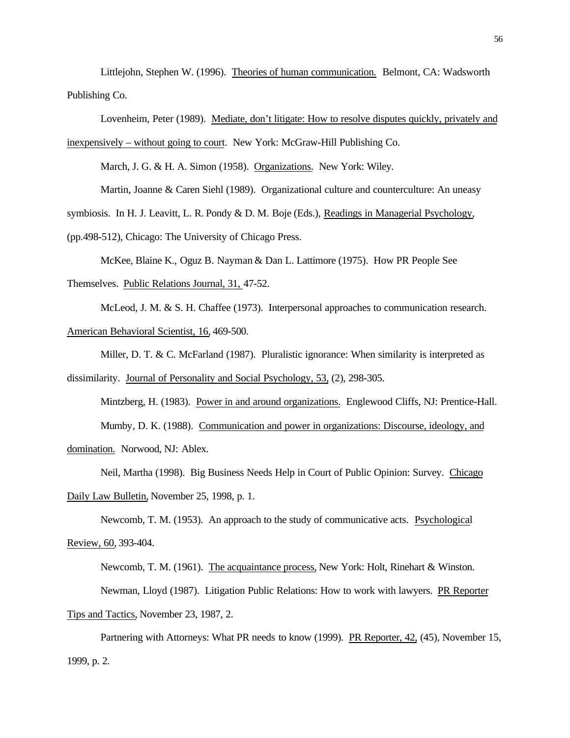Littlejohn, Stephen W. (1996). Theories of human communication. Belmont, CA: Wadsworth Publishing Co.

Lovenheim, Peter (1989). Mediate, don't litigate: How to resolve disputes quickly, privately and inexpensively – without going to court. New York: McGraw-Hill Publishing Co.

March, J. G. & H. A. Simon (1958). Organizations. New York: Wiley.

Martin, Joanne & Caren Siehl (1989). Organizational culture and counterculture: An uneasy

symbiosis. In H. J. Leavitt, L. R. Pondy & D. M. Boje (Eds.), Readings in Managerial Psychology,

(pp.498-512), Chicago: The University of Chicago Press.

McKee, Blaine K., Oguz B. Nayman & Dan L. Lattimore (1975). How PR People See Themselves. Public Relations Journal, 31, 47-52.

McLeod, J. M. & S. H. Chaffee (1973). Interpersonal approaches to communication research. American Behavioral Scientist, 16, 469-500.

Miller, D. T. & C. McFarland (1987). Pluralistic ignorance: When similarity is interpreted as dissimilarity. Journal of Personality and Social Psychology, 53, (2), 298-305.

Mintzberg, H. (1983). Power in and around organizations. Englewood Cliffs, NJ: Prentice-Hall. Mumby, D. K. (1988). Communication and power in organizations: Discourse, ideology, and domination. Norwood, NJ: Ablex.

Neil, Martha (1998). Big Business Needs Help in Court of Public Opinion: Survey. Chicago Daily Law Bulletin, November 25, 1998, p. 1.

Newcomb, T. M. (1953). An approach to the study of communicative acts. Psychological Review, 60, 393-404.

Newcomb, T. M. (1961). The acquaintance process, New York: Holt, Rinehart & Winston. Newman, Lloyd (1987). Litigation Public Relations: How to work with lawyers. PR Reporter Tips and Tactics, November 23, 1987, 2.

Partnering with Attorneys: What PR needs to know (1999). PR Reporter, 42, (45), November 15, 1999, p. 2.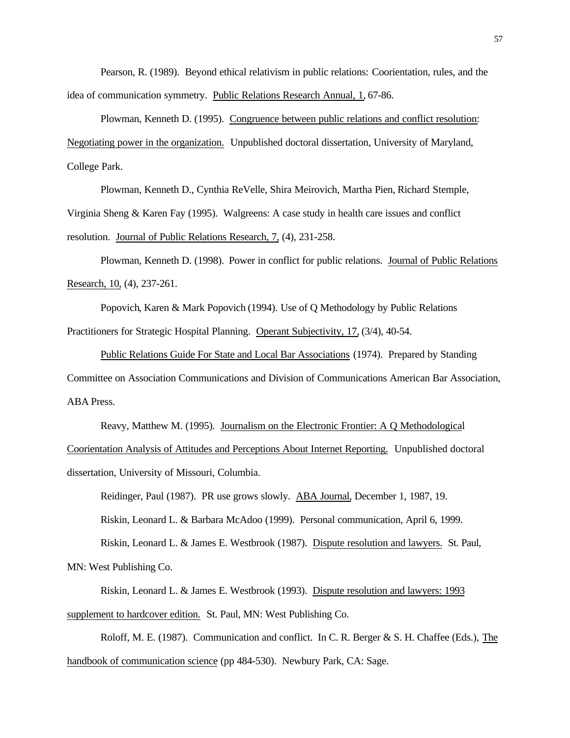Pearson, R. (1989). Beyond ethical relativism in public relations: Coorientation, rules, and the idea of communication symmetry. Public Relations Research Annual, 1, 67-86.

Plowman, Kenneth D. (1995). Congruence between public relations and conflict resolution: Negotiating power in the organization. Unpublished doctoral dissertation, University of Maryland, College Park.

Plowman, Kenneth D., Cynthia ReVelle, Shira Meirovich, Martha Pien, Richard Stemple,

Virginia Sheng & Karen Fay (1995). Walgreens: A case study in health care issues and conflict

resolution. Journal of Public Relations Research, 7, (4), 231-258.

Plowman, Kenneth D. (1998). Power in conflict for public relations. Journal of Public Relations Research, 10, (4), 237-261.

Popovich, Karen & Mark Popovich (1994). Use of Q Methodology by Public Relations

Practitioners for Strategic Hospital Planning. Operant Subjectivity, 17, (3/4), 40-54.

Public Relations Guide For State and Local Bar Associations (1974). Prepared by Standing Committee on Association Communications and Division of Communications American Bar Association, ABA Press.

Reavy, Matthew M. (1995). Journalism on the Electronic Frontier: A Q Methodological Coorientation Analysis of Attitudes and Perceptions About Internet Reporting. Unpublished doctoral dissertation, University of Missouri, Columbia.

Reidinger, Paul (1987). PR use grows slowly. ABA Journal, December 1, 1987, 19. Riskin, Leonard L. & Barbara McAdoo (1999). Personal communication, April 6, 1999. Riskin, Leonard L. & James E. Westbrook (1987). Dispute resolution and lawyers. St. Paul, MN: West Publishing Co.

Riskin, Leonard L. & James E. Westbrook (1993). Dispute resolution and lawyers: 1993 supplement to hardcover edition. St. Paul, MN: West Publishing Co.

Roloff, M. E. (1987). Communication and conflict. In C. R. Berger & S. H. Chaffee (Eds.), The handbook of communication science (pp 484-530). Newbury Park, CA: Sage.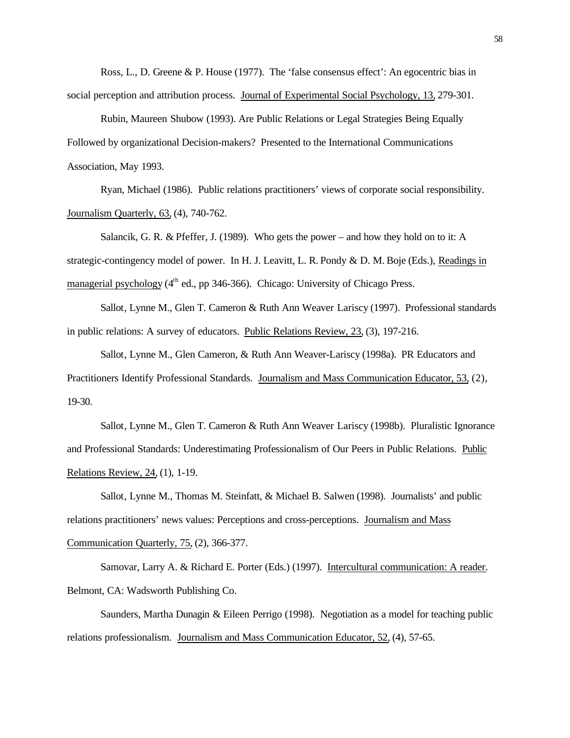Ross, L., D. Greene & P. House (1977). The 'false consensus effect': An egocentric bias in social perception and attribution process. Journal of Experimental Social Psychology, 13, 279-301.

Rubin, Maureen Shubow (1993). Are Public Relations or Legal Strategies Being Equally Followed by organizational Decision-makers? Presented to the International Communications Association, May 1993.

Ryan, Michael (1986). Public relations practitioners' views of corporate social responsibility. Journalism Quarterly, 63, (4), 740-762.

Salancik, G. R. & Pfeffer, J. (1989). Who gets the power – and how they hold on to it: A strategic-contingency model of power. In H. J. Leavitt, L. R. Pondy & D. M. Boje (Eds.), Readings in managerial psychology  $(4<sup>th</sup>$  ed., pp 346-366). Chicago: University of Chicago Press.

Sallot, Lynne M., Glen T. Cameron & Ruth Ann Weaver Lariscy (1997). Professional standards in public relations: A survey of educators. Public Relations Review, 23, (3), 197-216.

Sallot, Lynne M., Glen Cameron, & Ruth Ann Weaver-Lariscy (1998a). PR Educators and Practitioners Identify Professional Standards. Journalism and Mass Communication Educator, 53, (2), 19-30.

Sallot, Lynne M., Glen T. Cameron & Ruth Ann Weaver Lariscy (1998b). Pluralistic Ignorance and Professional Standards: Underestimating Professionalism of Our Peers in Public Relations. Public Relations Review, 24, (1), 1-19.

Sallot, Lynne M., Thomas M. Steinfatt, & Michael B. Salwen (1998). Journalists' and public relations practitioners' news values: Perceptions and cross-perceptions. Journalism and Mass Communication Quarterly, 75, (2), 366-377.

Samovar, Larry A. & Richard E. Porter (Eds.) (1997). Intercultural communication: A reader. Belmont, CA: Wadsworth Publishing Co.

Saunders, Martha Dunagin & Eileen Perrigo (1998). Negotiation as a model for teaching public relations professionalism. Journalism and Mass Communication Educator, 52, (4), 57-65.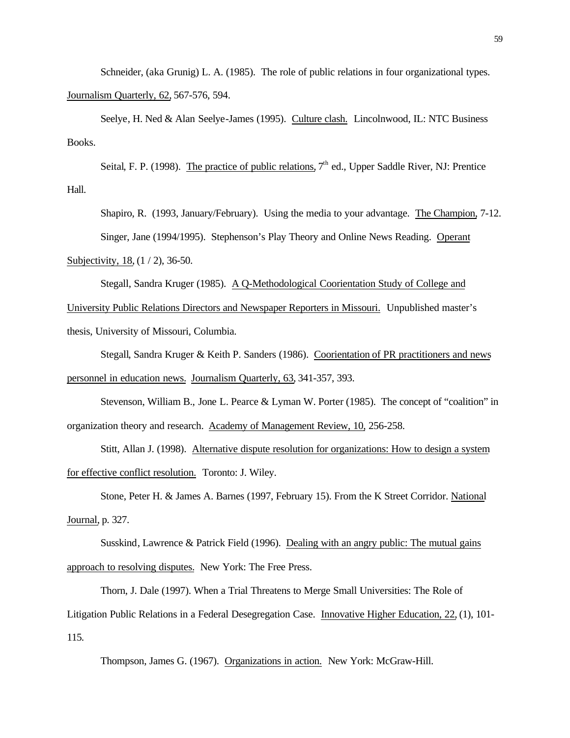Schneider, (aka Grunig) L. A. (1985). The role of public relations in four organizational types. Journalism Quarterly, 62, 567-576, 594.

Seelye, H. Ned & Alan Seelye-James (1995). Culture clash. Lincolnwood, IL: NTC Business Books.

Seital, F. P. (1998). The practice of public relations,  $7<sup>th</sup>$  ed., Upper Saddle River, NJ: Prentice Hall.

Shapiro, R. (1993, January/February). Using the media to your advantage. The Champion, 7-12. Singer, Jane (1994/1995). Stephenson's Play Theory and Online News Reading. Operant

Subjectivity, 18, (1 / 2), 36-50.

Stegall, Sandra Kruger (1985). A Q-Methodological Coorientation Study of College and University Public Relations Directors and Newspaper Reporters in Missouri. Unpublished master's thesis, University of Missouri, Columbia.

Stegall, Sandra Kruger & Keith P. Sanders (1986). Coorientation of PR practitioners and news personnel in education news. Journalism Quarterly, 63, 341-357, 393.

Stevenson, William B., Jone L. Pearce & Lyman W. Porter (1985). The concept of "coalition" in organization theory and research. Academy of Management Review, 10, 256-258.

Stitt, Allan J. (1998). Alternative dispute resolution for organizations: How to design a system for effective conflict resolution. Toronto: J. Wiley.

Stone, Peter H. & James A. Barnes (1997, February 15). From the K Street Corridor. National Journal, p. 327.

Susskind, Lawrence & Patrick Field (1996). Dealing with an angry public: The mutual gains approach to resolving disputes. New York: The Free Press.

Thorn, J. Dale (1997). When a Trial Threatens to Merge Small Universities: The Role of Litigation Public Relations in a Federal Desegregation Case. Innovative Higher Education, 22, (1), 101- 115.

Thompson, James G. (1967). Organizations in action. New York: McGraw-Hill.